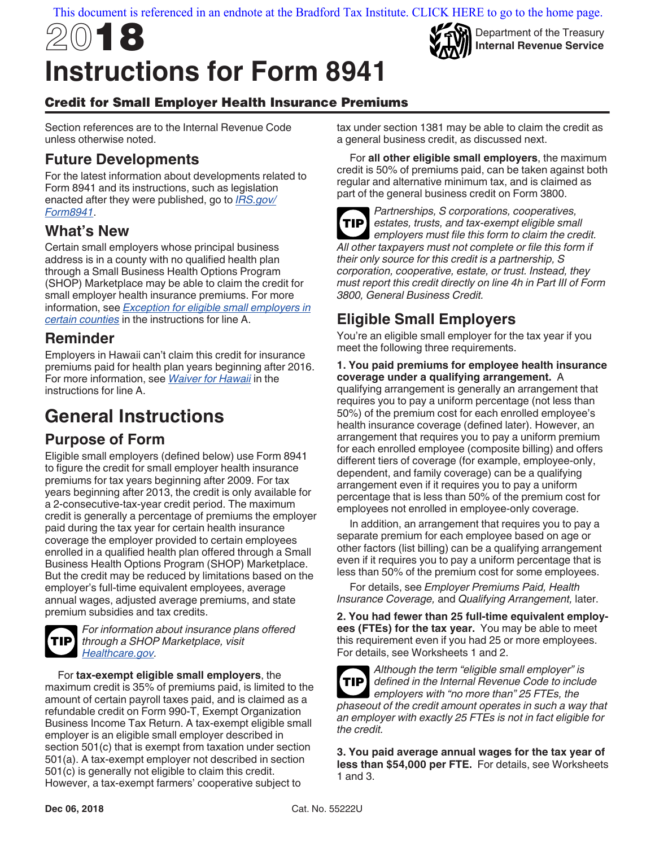[This document is referenced in an endnote at the Bradford Tax Institute. CLICK HERE to go to the home page.](http://www.bradfordtaxinstitute.com)

2018 **Instructions for Form 8941**



Department of the Treasury **Internal Revenue Service**

### Credit for Small Employer Health Insurance Premiums

Section references are to the Internal Revenue Code unless otherwise noted.

### **Future Developments**

For the latest information about developments related to Form 8941 and its instructions, such as legislation enacted after they were published, go to *[IRS.gov/](https://www.irs.gov/form8941) [Form8941](https://www.irs.gov/form8941)*.

### **What's New**

Certain small employers whose principal business address is in a county with no qualified health plan through a Small Business Health Options Program (SHOP) Marketplace may be able to claim the credit for small employer health insurance premiums. For more information, see *[Exception for eligible small employers in](#page-4-0)  [certain counties](#page-4-0)* in the instructions for line A.

### **Reminder**

Employers in Hawaii can't claim this credit for insurance premiums paid for health plan years beginning after 2016. For more information, see *[Waiver for Hawaii](#page-4-0)* in the instructions for line A.

# **General Instructions**

## **Purpose of Form**

Eligible small employers (defined below) use Form 8941 to figure the credit for small employer health insurance premiums for tax years beginning after 2009. For tax years beginning after 2013, the credit is only available for a 2-consecutive-tax-year credit period. The maximum credit is generally a percentage of premiums the employer paid during the tax year for certain health insurance coverage the employer provided to certain employees enrolled in a qualified health plan offered through a Small Business Health Options Program (SHOP) Marketplace. But the credit may be reduced by limitations based on the employer's full-time equivalent employees, average annual wages, adjusted average premiums, and state premium subsidies and tax credits.



*For information about insurance plans offered through a SHOP Marketplace, visit [Healthcare.gov.](https://www.healthcare.gov/small-businesses/)*

For **tax-exempt eligible small employers**, the maximum credit is 35% of premiums paid, is limited to the amount of certain payroll taxes paid, and is claimed as a refundable credit on Form 990-T, Exempt Organization Business Income Tax Return. A tax-exempt eligible small employer is an eligible small employer described in section 501(c) that is exempt from taxation under section 501(a). A tax-exempt employer not described in section 501(c) is generally not eligible to claim this credit. However, a tax-exempt farmers' cooperative subject to

tax under section 1381 may be able to claim the credit as a general business credit, as discussed next.

For **all other eligible small employers**, the maximum credit is 50% of premiums paid, can be taken against both regular and alternative minimum tax, and is claimed as part of the general business credit on Form 3800.

*Partnerships, S corporations, cooperatives, estates, trusts, and tax-exempt eligible small employers must file this form to claim the credit. All other taxpayers must not complete or file this form if their only source for this credit is a partnership, S corporation, cooperative, estate, or trust. Instead, they must report this credit directly on line 4h in Part III of Form 3800, General Business Credit.* **TIP**

## **Eligible Small Employers**

You're an eligible small employer for the tax year if you meet the following three requirements.

#### **1. You paid premiums for employee health insurance coverage under a qualifying arrangement.** A qualifying arrangement is generally an arrangement that requires you to pay a uniform percentage (not less than 50%) of the premium cost for each enrolled employee's health insurance coverage (defined later). However, an arrangement that requires you to pay a uniform premium for each enrolled employee (composite billing) and offers different tiers of coverage (for example, employee-only, dependent, and family coverage) can be a qualifying arrangement even if it requires you to pay a uniform percentage that is less than 50% of the premium cost for employees not enrolled in employee-only coverage.

In addition, an arrangement that requires you to pay a separate premium for each employee based on age or other factors (list billing) can be a qualifying arrangement even if it requires you to pay a uniform percentage that is less than 50% of the premium cost for some employees.

For details, see *Employer Premiums Paid, Health Insurance Coverage,* and *Qualifying Arrangement,* later.

**2. You had fewer than 25 full-time equivalent employees (FTEs) for the tax year.** You may be able to meet this requirement even if you had 25 or more employees. For details, see Worksheets 1 and 2.



*Although the term "eligible small employer" is defined in the Internal Revenue Code to include employers with "no more than" 25 FTEs, the phaseout of the credit amount operates in such a way that an employer with exactly 25 FTEs is not in fact eligible for the credit.*

**3. You paid average annual wages for the tax year of less than \$54,000 per FTE.** For details, see Worksheets 1 and 3.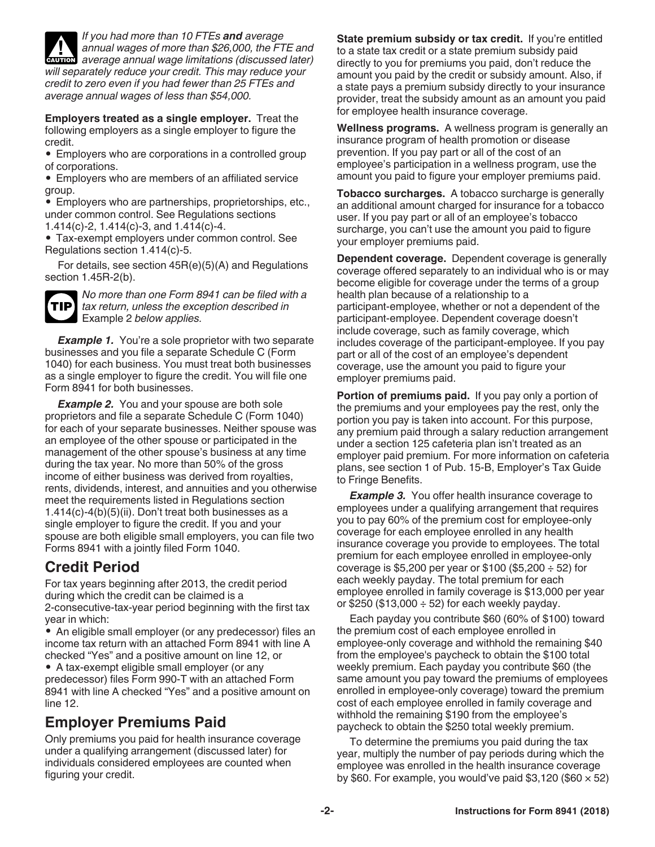

<span id="page-1-0"></span>*If you had more than 10 FTEs and average annual wages of more than \$26,000, the FTE and*  **z** annual wages of more than \$26,000, the FTE and average annual wage limitations (discussed later) *will separately reduce your credit. This may reduce your credit to zero even if you had fewer than 25 FTEs and average annual wages of less than \$54,000.*

**Employers treated as a single employer.** Treat the following employers as a single employer to figure the credit.

• Employers who are corporations in a controlled group of corporations.

• Employers who are members of an affiliated service group.

• Employers who are partnerships, proprietorships, etc., under common control. See Regulations sections 1.414(c)-2, 1.414(c)-3, and 1.414(c)-4.

• Tax-exempt employers under common control. See Regulations section 1.414(c)-5.

For details, see section 45R(e)(5)(A) and Regulations section 1.45R-2(b).



*No more than one Form 8941 can be filed with a tax return, unless the exception described in*  Example 2 *below applies.*

**Example 1.** You're a sole proprietor with two separate businesses and you file a separate Schedule C (Form 1040) for each business. You must treat both businesses as a single employer to figure the credit. You will file one Form 8941 for both businesses.

**Example 2.** You and your spouse are both sole proprietors and file a separate Schedule C (Form 1040) for each of your separate businesses. Neither spouse was an employee of the other spouse or participated in the management of the other spouse's business at any time during the tax year. No more than 50% of the gross income of either business was derived from royalties, rents, dividends, interest, and annuities and you otherwise meet the requirements listed in Regulations section 1.414(c)-4(b)(5)(ii). Don't treat both businesses as a single employer to figure the credit. If you and your spouse are both eligible small employers, you can file two Forms 8941 with a jointly filed Form 1040.

## **Credit Period**

For tax years beginning after 2013, the credit period during which the credit can be claimed is a 2-consecutive-tax-year period beginning with the first tax year in which:

• An eligible small employer (or any predecessor) files an income tax return with an attached Form 8941 with line A checked "Yes" and a positive amount on line 12, or

• A tax-exempt eligible small employer (or any predecessor) files Form 990-T with an attached Form 8941 with line A checked "Yes" and a positive amount on line 12.

## **Employer Premiums Paid**

Only premiums you paid for health insurance coverage under a qualifying arrangement (discussed later) for individuals considered employees are counted when figuring your credit.

**State premium subsidy or tax credit.** If you're entitled to a state tax credit or a state premium subsidy paid directly to you for premiums you paid, don't reduce the amount you paid by the credit or subsidy amount. Also, if a state pays a premium subsidy directly to your insurance provider, treat the subsidy amount as an amount you paid for employee health insurance coverage.

**Wellness programs.** A wellness program is generally an insurance program of health promotion or disease prevention. If you pay part or all of the cost of an employee's participation in a wellness program, use the amount you paid to figure your employer premiums paid.

**Tobacco surcharges.** A tobacco surcharge is generally an additional amount charged for insurance for a tobacco user. If you pay part or all of an employee's tobacco surcharge, you can't use the amount you paid to figure your employer premiums paid.

**Dependent coverage.** Dependent coverage is generally coverage offered separately to an individual who is or may become eligible for coverage under the terms of a group health plan because of a relationship to a participant-employee, whether or not a dependent of the participant-employee. Dependent coverage doesn't include coverage, such as family coverage, which includes coverage of the participant-employee. If you pay part or all of the cost of an employee's dependent coverage, use the amount you paid to figure your employer premiums paid.

**Portion of premiums paid.** If you pay only a portion of the premiums and your employees pay the rest, only the portion you pay is taken into account. For this purpose, any premium paid through a salary reduction arrangement under a section 125 cafeteria plan isn't treated as an employer paid premium. For more information on cafeteria plans, see section 1 of Pub. 15-B, Employer's Tax Guide to Fringe Benefits.

**Example 3.** You offer health insurance coverage to employees under a qualifying arrangement that requires you to pay 60% of the premium cost for employee-only coverage for each employee enrolled in any health insurance coverage you provide to employees. The total premium for each employee enrolled in employee-only coverage is \$5,200 per year or \$100 (\$5,200  $\div$  52) for each weekly payday. The total premium for each employee enrolled in family coverage is \$13,000 per year or \$250 (\$13,000  $\div$  52) for each weekly payday.

Each payday you contribute \$60 (60% of \$100) toward the premium cost of each employee enrolled in employee-only coverage and withhold the remaining \$40 from the employee's paycheck to obtain the \$100 total weekly premium. Each payday you contribute \$60 (the same amount you pay toward the premiums of employees enrolled in employee-only coverage) toward the premium cost of each employee enrolled in family coverage and withhold the remaining \$190 from the employee's paycheck to obtain the \$250 total weekly premium.

To determine the premiums you paid during the tax year, multiply the number of pay periods during which the employee was enrolled in the health insurance coverage by \$60. For example, you would've paid \$3,120 (\$60  $\times$  52)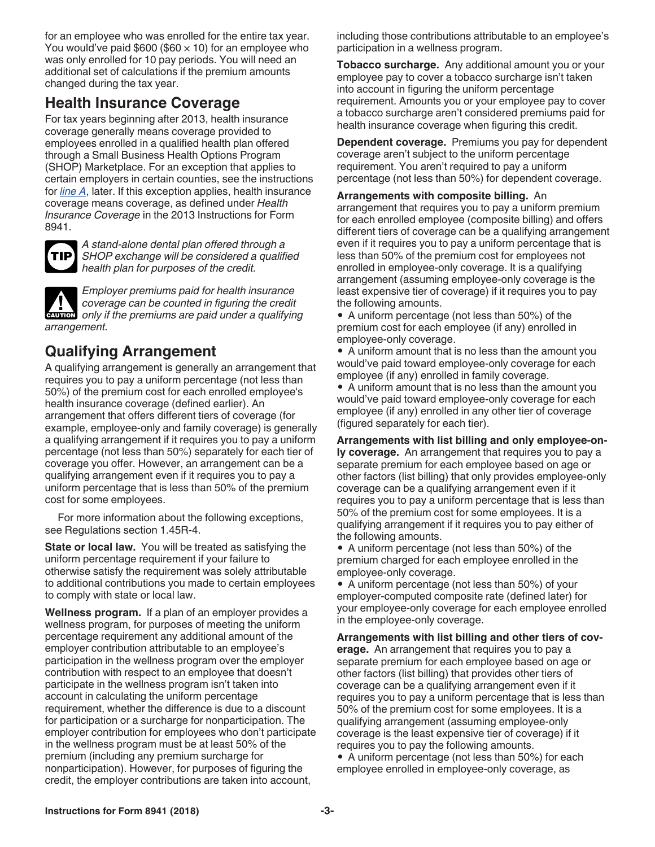<span id="page-2-0"></span>for an employee who was enrolled for the entire tax year. You would've paid  $$600 ($60 \times 10)$  for an employee who was only enrolled for 10 pay periods. You will need an additional set of calculations if the premium amounts changed during the tax year.

## **Health Insurance Coverage**

For tax years beginning after 2013, health insurance coverage generally means coverage provided to employees enrolled in a qualified health plan offered through a Small Business Health Options Program (SHOP) Marketplace. For an exception that applies to certain employers in certain counties, see the instructions for *[line A](#page-3-0)*, later. If this exception applies, health insurance coverage means coverage, as defined under *Health Insurance Coverage* in the 2013 Instructions for Form 8941.



*A stand-alone dental plan offered through a SHOP exchange will be considered a qualified health plan for purposes of the credit.*

*Employer premiums paid for health insurance coverage can be counted in figuring the credit*  **COVERGE CALLET COVERGE CALLET AND COVERGE CALLET COVERGE CALLET CAUTION Only if the premiums are paid under a qualifying** *arrangement.*

## **Qualifying Arrangement**

A qualifying arrangement is generally an arrangement that requires you to pay a uniform percentage (not less than 50%) of the premium cost for each enrolled employee's health insurance coverage (defined earlier). An arrangement that offers different tiers of coverage (for example, employee-only and family coverage) is generally a qualifying arrangement if it requires you to pay a uniform percentage (not less than 50%) separately for each tier of coverage you offer. However, an arrangement can be a qualifying arrangement even if it requires you to pay a uniform percentage that is less than 50% of the premium cost for some employees.

For more information about the following exceptions, see Regulations section 1.45R-4.

**State or local law.** You will be treated as satisfying the uniform percentage requirement if your failure to otherwise satisfy the requirement was solely attributable to additional contributions you made to certain employees to comply with state or local law.

**Wellness program.** If a plan of an employer provides a wellness program, for purposes of meeting the uniform percentage requirement any additional amount of the employer contribution attributable to an employee's participation in the wellness program over the employer contribution with respect to an employee that doesn't participate in the wellness program isn't taken into account in calculating the uniform percentage requirement, whether the difference is due to a discount for participation or a surcharge for nonparticipation. The employer contribution for employees who don't participate in the wellness program must be at least 50% of the premium (including any premium surcharge for nonparticipation). However, for purposes of figuring the credit, the employer contributions are taken into account,

including those contributions attributable to an employee's participation in a wellness program.

**Tobacco surcharge.** Any additional amount you or your employee pay to cover a tobacco surcharge isn't taken into account in figuring the uniform percentage requirement. Amounts you or your employee pay to cover a tobacco surcharge aren't considered premiums paid for health insurance coverage when figuring this credit.

**Dependent coverage.** Premiums you pay for dependent coverage aren't subject to the uniform percentage requirement. You aren't required to pay a uniform percentage (not less than 50%) for dependent coverage.

#### **Arrangements with composite billing.** An

arrangement that requires you to pay a uniform premium for each enrolled employee (composite billing) and offers different tiers of coverage can be a qualifying arrangement even if it requires you to pay a uniform percentage that is less than 50% of the premium cost for employees not enrolled in employee-only coverage. It is a qualifying arrangement (assuming employee-only coverage is the least expensive tier of coverage) if it requires you to pay the following amounts.

• A uniform percentage (not less than 50%) of the premium cost for each employee (if any) enrolled in employee-only coverage.

• A uniform amount that is no less than the amount you would've paid toward employee-only coverage for each employee (if any) enrolled in family coverage.

• A uniform amount that is no less than the amount you would've paid toward employee-only coverage for each employee (if any) enrolled in any other tier of coverage (figured separately for each tier).

**Arrangements with list billing and only employee-only coverage.** An arrangement that requires you to pay a separate premium for each employee based on age or other factors (list billing) that only provides employee-only coverage can be a qualifying arrangement even if it requires you to pay a uniform percentage that is less than 50% of the premium cost for some employees. It is a qualifying arrangement if it requires you to pay either of the following amounts.

• A uniform percentage (not less than 50%) of the premium charged for each employee enrolled in the employee-only coverage.

• A uniform percentage (not less than 50%) of your employer-computed composite rate (defined later) for your employee-only coverage for each employee enrolled in the employee-only coverage.

**Arrangements with list billing and other tiers of coverage.** An arrangement that requires you to pay a separate premium for each employee based on age or other factors (list billing) that provides other tiers of coverage can be a qualifying arrangement even if it requires you to pay a uniform percentage that is less than 50% of the premium cost for some employees. It is a qualifying arrangement (assuming employee-only coverage is the least expensive tier of coverage) if it requires you to pay the following amounts.

• A uniform percentage (not less than 50%) for each employee enrolled in employee-only coverage, as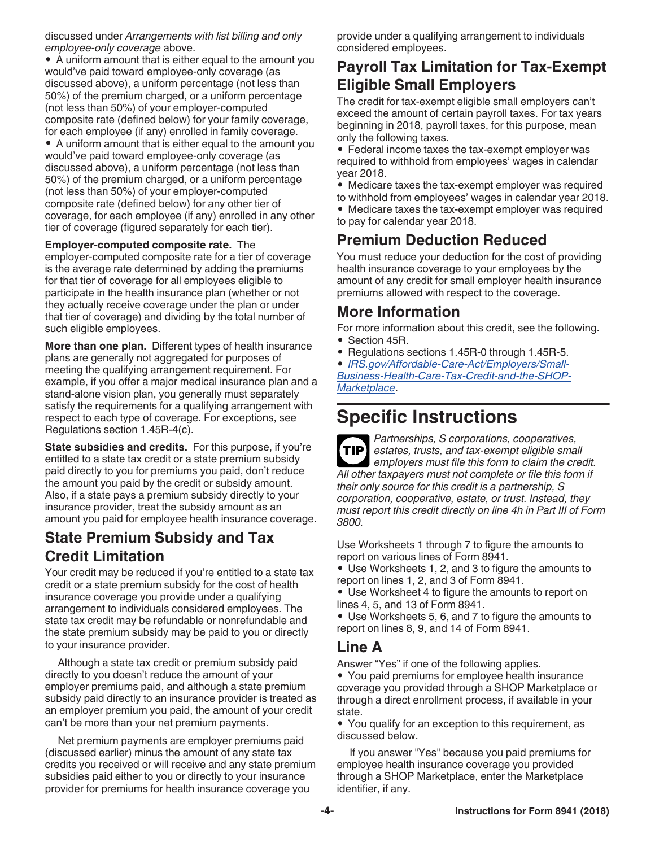<span id="page-3-0"></span>discussed under *Arrangements with list billing and only employee-only coverage* above.

• A uniform amount that is either equal to the amount you would've paid toward employee-only coverage (as discussed above), a uniform percentage (not less than 50%) of the premium charged, or a uniform percentage (not less than 50%) of your employer-computed composite rate (defined below) for your family coverage, for each employee (if any) enrolled in family coverage.

• A uniform amount that is either equal to the amount you would've paid toward employee-only coverage (as discussed above), a uniform percentage (not less than 50%) of the premium charged, or a uniform percentage (not less than 50%) of your employer-computed composite rate (defined below) for any other tier of coverage, for each employee (if any) enrolled in any other tier of coverage (figured separately for each tier).

#### **Employer-computed composite rate.** The

employer-computed composite rate for a tier of coverage is the average rate determined by adding the premiums for that tier of coverage for all employees eligible to participate in the health insurance plan (whether or not they actually receive coverage under the plan or under that tier of coverage) and dividing by the total number of such eligible employees.

**More than one plan.** Different types of health insurance plans are generally not aggregated for purposes of meeting the qualifying arrangement requirement. For example, if you offer a major medical insurance plan and a stand-alone vision plan, you generally must separately satisfy the requirements for a qualifying arrangement with respect to each type of coverage. For exceptions, see Regulations section 1.45R-4(c).

**State subsidies and credits.** For this purpose, if you're entitled to a state tax credit or a state premium subsidy paid directly to you for premiums you paid, don't reduce the amount you paid by the credit or subsidy amount. Also, if a state pays a premium subsidy directly to your insurance provider, treat the subsidy amount as an amount you paid for employee health insurance coverage.

## **State Premium Subsidy and Tax Credit Limitation**

Your credit may be reduced if you're entitled to a state tax credit or a state premium subsidy for the cost of health insurance coverage you provide under a qualifying arrangement to individuals considered employees. The state tax credit may be refundable or nonrefundable and the state premium subsidy may be paid to you or directly to your insurance provider.

Although a state tax credit or premium subsidy paid directly to you doesn't reduce the amount of your employer premiums paid, and although a state premium subsidy paid directly to an insurance provider is treated as an employer premium you paid, the amount of your credit can't be more than your net premium payments.

Net premium payments are employer premiums paid (discussed earlier) minus the amount of any state tax credits you received or will receive and any state premium subsidies paid either to you or directly to your insurance provider for premiums for health insurance coverage you

provide under a qualifying arrangement to individuals considered employees.

### **Payroll Tax Limitation for Tax-Exempt Eligible Small Employers**

The credit for tax-exempt eligible small employers can't exceed the amount of certain payroll taxes. For tax years beginning in 2018, payroll taxes, for this purpose, mean only the following taxes.

• Federal income taxes the tax-exempt employer was required to withhold from employees' wages in calendar year 2018.

• Medicare taxes the tax-exempt employer was required to withhold from employees' wages in calendar year 2018. • Medicare taxes the tax-exempt employer was required to pay for calendar year 2018.

## **Premium Deduction Reduced**

You must reduce your deduction for the cost of providing health insurance coverage to your employees by the amount of any credit for small employer health insurance premiums allowed with respect to the coverage.

### **More Information**

For more information about this credit, see the following.

- Section 45R.
- Regulations sections 1.45R-0 through 1.45R-5.

• *[IRS.gov/Affordable-Care-Act/Employers/Small-](https://www.irs.gov/Affordable-Care-Act/Employers/Small-Business-Health-Care-Tax-Credit-and-the-SHOP-Marketplace)[Business-Health-Care-Tax-Credit-and-the-SHOP-](https://www.irs.gov/Affordable-Care-Act/Employers/Small-Business-Health-Care-Tax-Credit-and-the-SHOP-Marketplace)[Marketplace](https://www.irs.gov/Affordable-Care-Act/Employers/Small-Business-Health-Care-Tax-Credit-and-the-SHOP-Marketplace)*.

# **Specific Instructions**

*Partnerships, S corporations, cooperatives, estates, trusts, and tax-exempt eligible small employers must file this form to claim the credit. All other taxpayers must not complete or file this form if their only source for this credit is a partnership, S corporation, cooperative, estate, or trust. Instead, they must report this credit directly on line 4h in Part III of Form 3800.* **TIP**

Use Worksheets 1 through 7 to figure the amounts to report on various lines of Form 8941.

• Use Worksheets 1, 2, and 3 to figure the amounts to report on lines 1, 2, and 3 of Form 8941.

• Use Worksheet 4 to figure the amounts to report on lines 4, 5, and 13 of Form 8941.

• Use Worksheets 5, 6, and 7 to figure the amounts to report on lines 8, 9, and 14 of Form 8941.

### **Line A**

Answer "Yes" if one of the following applies.

• You paid premiums for employee health insurance coverage you provided through a SHOP Marketplace or through a direct enrollment process, if available in your state.

• You qualify for an exception to this requirement, as discussed below.

If you answer "Yes" because you paid premiums for employee health insurance coverage you provided through a SHOP Marketplace, enter the Marketplace identifier, if any.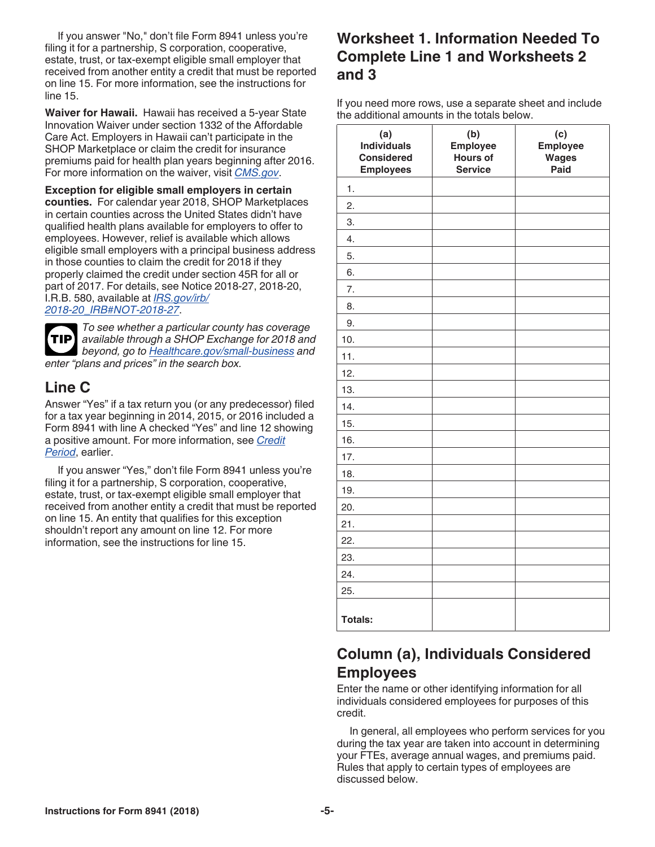<span id="page-4-0"></span>If you answer "No," don't file Form 8941 unless you're filing it for a partnership, S corporation, cooperative, estate, trust, or tax-exempt eligible small employer that received from another entity a credit that must be reported on line 15. For more information, see the instructions for line 15.

**Waiver for Hawaii.** Hawaii has received a 5-year State Innovation Waiver under section 1332 of the Affordable Care Act. Employers in Hawaii can't participate in the SHOP Marketplace or claim the credit for insurance premiums paid for health plan years beginning after 2016. For more information on the waiver, visit *[CMS.gov](https://www.cms.gov/)*.

**Exception for eligible small employers in certain counties.** For calendar year 2018, SHOP Marketplaces in certain counties across the United States didn't have qualified health plans available for employers to offer to employees. However, relief is available which allows eligible small employers with a principal business address in those counties to claim the credit for 2018 if they properly claimed the credit under section 45R for all or part of 2017. For details, see Notice 2018-27, 2018-20, I.R.B. 580, available at *[IRS.gov/irb/](https://www.irs.gov/irb/2018-20_IRB#NOT-2018-27) [2018-20\\_IRB#NOT-2018-27](https://www.irs.gov/irb/2018-20_IRB#NOT-2018-27)*.

*To see whether a particular county has coverage available through a SHOP Exchange for 2018 and beyond, go to [Healthcare.gov/small-business](https://www.healthcare.gov/small-businesses/) and enter "plans and prices" in the search box.* **TIP**

## **Line C**

Answer "Yes" if a tax return you (or any predecessor) filed for a tax year beginning in 2014, 2015, or 2016 included a Form 8941 with line A checked "Yes" and line 12 showing a positive amount. For more information, see *[Credit](#page-1-0)  [Period](#page-1-0)*, earlier.

If you answer "Yes," don't file Form 8941 unless you're filing it for a partnership, S corporation, cooperative, estate, trust, or tax-exempt eligible small employer that received from another entity a credit that must be reported on line 15. An entity that qualifies for this exception shouldn't report any amount on line 12. For more information, see the instructions for line 15.

## **Worksheet 1. Information Needed To Complete Line 1 and Worksheets 2 and 3**

If you need more rows, use a separate sheet and include the additional amounts in the totals below.

| (a)<br><b>Individuals</b><br><b>Considered</b><br><b>Employees</b> | (b)<br><b>Employee</b><br><b>Hours of</b><br><b>Service</b> | (c)<br><b>Employee</b><br><b>Wages</b><br>Paid |
|--------------------------------------------------------------------|-------------------------------------------------------------|------------------------------------------------|
| $\mathbf{1}$ .                                                     |                                                             |                                                |
| $\overline{2}$ .                                                   |                                                             |                                                |
| 3.                                                                 |                                                             |                                                |
| 4.                                                                 |                                                             |                                                |
| 5.                                                                 |                                                             |                                                |
| 6.                                                                 |                                                             |                                                |
| 7.                                                                 |                                                             |                                                |
| 8.                                                                 |                                                             |                                                |
| 9.                                                                 |                                                             |                                                |
| 10.                                                                |                                                             |                                                |
| 11.                                                                |                                                             |                                                |
| 12.                                                                |                                                             |                                                |
| 13.                                                                |                                                             |                                                |
| 14.                                                                |                                                             |                                                |
| 15.                                                                |                                                             |                                                |
| 16.                                                                |                                                             |                                                |
| 17.                                                                |                                                             |                                                |
| 18.                                                                |                                                             |                                                |
| 19.                                                                |                                                             |                                                |
| 20.                                                                |                                                             |                                                |
| 21.                                                                |                                                             |                                                |
| 22.                                                                |                                                             |                                                |
| 23.                                                                |                                                             |                                                |
| 24.                                                                |                                                             |                                                |
| 25.                                                                |                                                             |                                                |
| <b>Totals:</b>                                                     |                                                             |                                                |

## **Column (a), Individuals Considered Employees**

Enter the name or other identifying information for all individuals considered employees for purposes of this credit.

In general, all employees who perform services for you during the tax year are taken into account in determining your FTEs, average annual wages, and premiums paid. Rules that apply to certain types of employees are discussed below.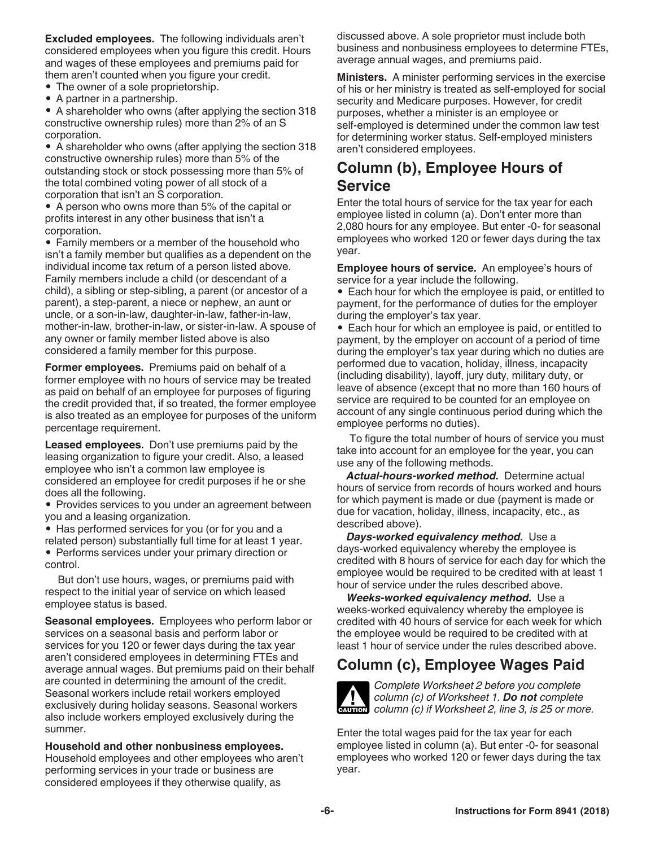**Excluded employees.** The following individuals aren't considered employees when you figure this credit. Hours and wages of these employees and premiums paid for them aren't counted when you figure your credit.

- The owner of a sole proprietorship.
- A partner in a partnership.

• A shareholder who owns (after applying the section 318 constructive ownership rules) more than 2% of an S corporation.

• A shareholder who owns (after applying the section 318 constructive ownership rules) more than 5% of the outstanding stock or stock possessing more than 5% of the total combined voting power of all stock of a corporation that isn't an S corporation.

• A person who owns more than 5% of the capital or profits interest in any other business that isn't a corporation.

• Family members or a member of the household who isn't a family member but qualifies as a dependent on the individual income tax return of a person listed above. Family members include a child (or descendant of a child), a sibling or step-sibling, a parent (or ancestor of a parent), a step-parent, a niece or nephew, an aunt or uncle, or a son-in-law, daughter-in-law, father-in-law, mother-in-law, brother-in-law, or sister-in-law. A spouse of any owner or family member listed above is also considered a family member for this purpose.

**Former employees.** Premiums paid on behalf of a former employee with no hours of service may be treated as paid on behalf of an employee for purposes of figuring the credit provided that, if so treated, the former employee is also treated as an employee for purposes of the uniform percentage requirement.

**Leased employees.** Don't use premiums paid by the leasing organization to figure your credit. Also, a leased employee who isn't a common law employee is considered an employee for credit purposes if he or she does all the following.

• Provides services to you under an agreement between you and a leasing organization.

• Has performed services for you (or for you and a related person) substantially full time for at least 1 year.

• Performs services under your primary direction or control.

But don't use hours, wages, or premiums paid with respect to the initial year of service on which leased employee status is based.

**Seasonal employees.** Employees who perform labor or services on a seasonal basis and perform labor or services for you 120 or fewer days during the tax year aren't considered employees in determining FTEs and average annual wages. But premiums paid on their behalf are counted in determining the amount of the credit. Seasonal workers include retail workers employed exclusively during holiday seasons. Seasonal workers also include workers employed exclusively during the summer.

**Household and other nonbusiness employees.**  Household employees and other employees who aren't performing services in your trade or business are considered employees if they otherwise qualify, as

discussed above. A sole proprietor must include both business and nonbusiness employees to determine FTEs, average annual wages, and premiums paid.

**Ministers.** A minister performing services in the exercise of his or her ministry is treated as self-employed for social security and Medicare purposes. However, for credit purposes, whether a minister is an employee or self-employed is determined under the common law test for determining worker status. Self-employed ministers aren't considered employees.

## **Column (b), Employee Hours of Service**

Enter the total hours of service for the tax year for each employee listed in column (a). Don't enter more than 2,080 hours for any employee. But enter -0- for seasonal employees who worked 120 or fewer days during the tax year.

**Employee hours of service.** An employee's hours of service for a year include the following.

• Each hour for which the employee is paid, or entitled to payment, for the performance of duties for the employer during the employer's tax year.

• Each hour for which an employee is paid, or entitled to payment, by the employer on account of a period of time during the employer's tax year during which no duties are performed due to vacation, holiday, illness, incapacity (including disability), layoff, jury duty, military duty, or leave of absence (except that no more than 160 hours of service are required to be counted for an employee on account of any single continuous period during which the employee performs no duties).

To figure the total number of hours of service you must take into account for an employee for the year, you can use any of the following methods.

*Actual-hours-worked method.* Determine actual hours of service from records of hours worked and hours for which payment is made or due (payment is made or due for vacation, holiday, illness, incapacity, etc., as described above).

*Days-worked equivalency method.* Use a days-worked equivalency whereby the employee is credited with 8 hours of service for each day for which the employee would be required to be credited with at least 1 hour of service under the rules described above.

*Weeks-worked equivalency method.* Use a weeks-worked equivalency whereby the employee is credited with 40 hours of service for each week for which the employee would be required to be credited with at least 1 hour of service under the rules described above.

## **Column (c), Employee Wages Paid**



*Complete Worksheet 2 before you complete column (c) of Worksheet 1. Do not complete*  **column (c) of Worksheet 1. Do not complete**<br> **CAUTION** column (c) if Worksheet 2, line 3, is 25 or more.

Enter the total wages paid for the tax year for each employee listed in column (a). But enter -0- for seasonal employees who worked 120 or fewer days during the tax year.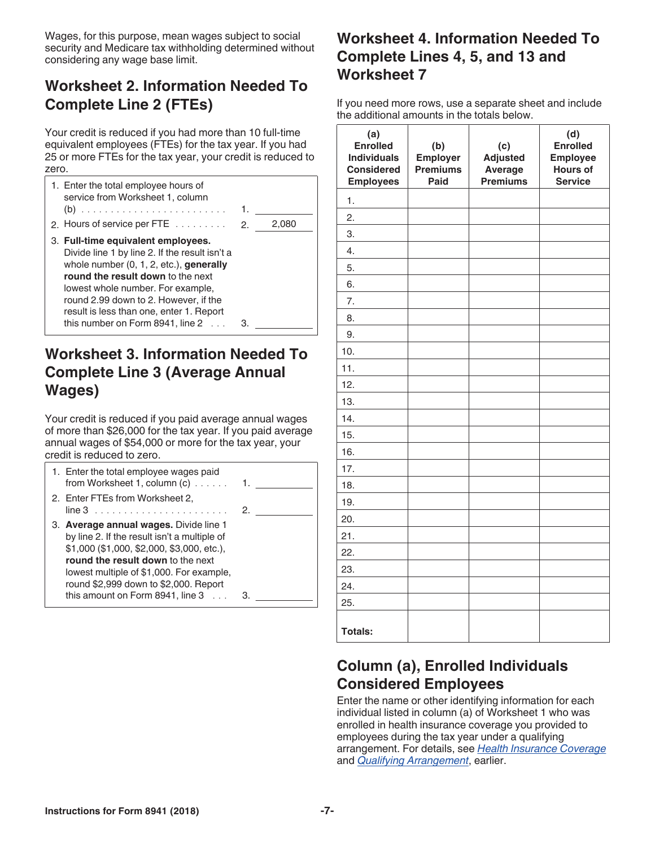Wages, for this purpose, mean wages subject to social security and Medicare tax withholding determined without considering any wage base limit.

## **Worksheet 2. Information Needed To Complete Line 2 (FTEs)**

Your credit is reduced if you had more than 10 full-time equivalent employees (FTEs) for the tax year. If you had 25 or more FTEs for the tax year, your credit is reduced to zero.

| 1. Enter the total employee hours of<br>service from Worksheet 1, column<br>2. Hours of service per FTE $\ldots \ldots \ldots$ 2.                                                                                                                                                                                                              | 1. | 2.080 |
|------------------------------------------------------------------------------------------------------------------------------------------------------------------------------------------------------------------------------------------------------------------------------------------------------------------------------------------------|----|-------|
| 3. Full-time equivalent employees.<br>Divide line 1 by line 2. If the result isn't a<br>whole number (0, 1, 2, etc.), generally<br>round the result down to the next<br>lowest whole number. For example,<br>round 2.99 down to 2. However, if the<br>result is less than one, enter 1. Report<br>this number on Form $8941$ , line $2 \ldots$ | з  |       |

## **Worksheet 3. Information Needed To Complete Line 3 (Average Annual Wages)**

Your credit is reduced if you paid average annual wages of more than \$26,000 for the tax year. If you paid average annual wages of \$54,000 or more for the tax year, your credit is reduced to zero.

| 1. Enter the total employee wages paid<br>from Worksheet 1, column (c)                                                                                                                                                                                                                             | 1. |
|----------------------------------------------------------------------------------------------------------------------------------------------------------------------------------------------------------------------------------------------------------------------------------------------------|----|
| 2. Enter FTEs from Worksheet 2,                                                                                                                                                                                                                                                                    | 2. |
| 3. Average annual wages. Divide line 1<br>by line 2. If the result isn't a multiple of<br>\$1,000 (\$1,000, \$2,000, \$3,000, etc.),<br>round the result down to the next<br>lowest multiple of \$1,000. For example,<br>round \$2,999 down to \$2,000. Report<br>this amount on Form 8941, line 3 |    |

## **Worksheet 4. Information Needed To Complete Lines 4, 5, and 13 and Worksheet 7**

If you need more rows, use a separate sheet and include the additional amounts in the totals below.

| (a)<br><b>Enrolled</b><br><b>Individuals</b><br><b>Considered</b><br><b>Employees</b> | (b)<br>Employer<br><b>Premiums</b><br>Paid | (c)<br><b>Adjusted</b><br>Average<br><b>Premiums</b> | (d)<br><b>Enrolled</b><br><b>Employee</b><br><b>Hours of</b><br><b>Service</b> |
|---------------------------------------------------------------------------------------|--------------------------------------------|------------------------------------------------------|--------------------------------------------------------------------------------|
| $\mathbf{1}$ .                                                                        |                                            |                                                      |                                                                                |
| 2.                                                                                    |                                            |                                                      |                                                                                |
| 3.                                                                                    |                                            |                                                      |                                                                                |
| 4.                                                                                    |                                            |                                                      |                                                                                |
| 5.                                                                                    |                                            |                                                      |                                                                                |
| 6.                                                                                    |                                            |                                                      |                                                                                |
| 7.                                                                                    |                                            |                                                      |                                                                                |
| 8.                                                                                    |                                            |                                                      |                                                                                |
| 9.                                                                                    |                                            |                                                      |                                                                                |
| 10.                                                                                   |                                            |                                                      |                                                                                |
| 11.                                                                                   |                                            |                                                      |                                                                                |
| 12.                                                                                   |                                            |                                                      |                                                                                |
| 13.                                                                                   |                                            |                                                      |                                                                                |
| 14.                                                                                   |                                            |                                                      |                                                                                |
| 15.                                                                                   |                                            |                                                      |                                                                                |
| 16.                                                                                   |                                            |                                                      |                                                                                |
| 17.                                                                                   |                                            |                                                      |                                                                                |
| 18.                                                                                   |                                            |                                                      |                                                                                |
| 19.                                                                                   |                                            |                                                      |                                                                                |
| 20.                                                                                   |                                            |                                                      |                                                                                |
| 21.                                                                                   |                                            |                                                      |                                                                                |
| 22.                                                                                   |                                            |                                                      |                                                                                |
| 23.                                                                                   |                                            |                                                      |                                                                                |
| 24.                                                                                   |                                            |                                                      |                                                                                |
| 25.                                                                                   |                                            |                                                      |                                                                                |
| <b>Totals:</b>                                                                        |                                            |                                                      |                                                                                |

## **Column (a), Enrolled Individuals Considered Employees**

Enter the name or other identifying information for each individual listed in column (a) of Worksheet 1 who was enrolled in health insurance coverage you provided to employees during the tax year under a qualifying arrangement. For details, see *[Health Insurance Coverage](#page-2-0)*  and *[Qualifying Arrangement](#page-2-0)*, earlier.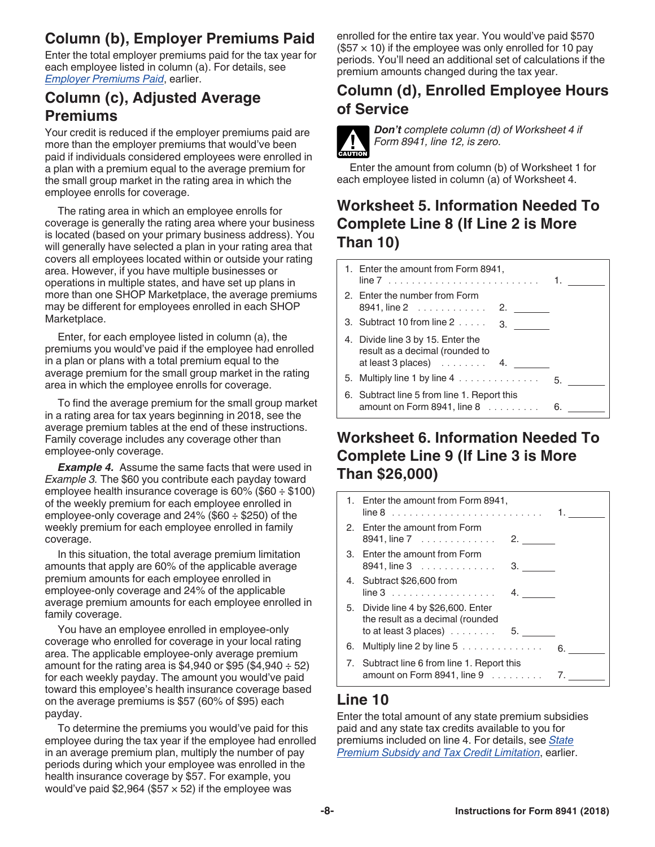## **Column (b), Employer Premiums Paid**

Enter the total employer premiums paid for the tax year for each employee listed in column (a). For details, see *[Employer Premiums Paid](#page-1-0)*, earlier.

### **Column (c), Adjusted Average Premiums**

Your credit is reduced if the employer premiums paid are more than the employer premiums that would've been paid if individuals considered employees were enrolled in a plan with a premium equal to the average premium for the small group market in the rating area in which the employee enrolls for coverage.

The rating area in which an employee enrolls for coverage is generally the rating area where your business is located (based on your primary business address). You will generally have selected a plan in your rating area that covers all employees located within or outside your rating area. However, if you have multiple businesses or operations in multiple states, and have set up plans in more than one SHOP Marketplace, the average premiums may be different for employees enrolled in each SHOP Marketplace.

Enter, for each employee listed in column (a), the premiums you would've paid if the employee had enrolled in a plan or plans with a total premium equal to the average premium for the small group market in the rating area in which the employee enrolls for coverage.

To find the average premium for the small group market in a rating area for tax years beginning in 2018, see the average premium tables at the end of these instructions. Family coverage includes any coverage other than employee-only coverage.

**Example 4.** Assume the same facts that were used in *Example 3.* The \$60 you contribute each payday toward employee health insurance coverage is  $60\%$  (\$60  $\div$  \$100) of the weekly premium for each employee enrolled in employee-only coverage and  $24\%$  (\$60  $\div$  \$250) of the weekly premium for each employee enrolled in family coverage.

In this situation, the total average premium limitation amounts that apply are 60% of the applicable average premium amounts for each employee enrolled in employee-only coverage and 24% of the applicable average premium amounts for each employee enrolled in family coverage.

You have an employee enrolled in employee-only coverage who enrolled for coverage in your local rating area. The applicable employee-only average premium amount for the rating area is \$4,940 or \$95 (\$4,940  $\div$  52) for each weekly payday. The amount you would've paid toward this employee's health insurance coverage based on the average premiums is \$57 (60% of \$95) each payday.

To determine the premiums you would've paid for this employee during the tax year if the employee had enrolled in an average premium plan, multiply the number of pay periods during which your employee was enrolled in the health insurance coverage by \$57. For example, you would've paid  $$2,964$  (\$57  $\times$  52) if the employee was

enrolled for the entire tax year. You would've paid \$570  $($57 \times 10)$  if the employee was only enrolled for 10 pay periods. You'll need an additional set of calculations if the premium amounts changed during the tax year.

## **Column (d), Enrolled Employee Hours of Service**



*Don't complete column (d) of Worksheet 4 if Form 8941, line 12, is zero.*

Enter the amount from column (b) of Worksheet 1 for each employee listed in column (a) of Worksheet 4.

## **Worksheet 5. Information Needed To Complete Line 8 (If Line 2 is More Than 10)**

| 1. Enter the amount from Form 8941,                                                                           |    |
|---------------------------------------------------------------------------------------------------------------|----|
| 2. Enter the number from Form<br>8941, line 2 2.                                                              |    |
| 3. Subtract 10 from line 2                                                                                    | 3. |
| 4. Divide line 3 by 15. Enter the<br>result as a decimal (rounded to<br>at least 3 places) $\ldots \ldots$ 4. |    |
| 5. Multiply line 1 by line 4 $\ldots \ldots \ldots \ldots$ 5.                                                 |    |
| 6. Subtract line 5 from line 1. Report this<br>amount on Form 8941, line $8 \ldots \ldots$                    | 6. |

## **Worksheet 6. Information Needed To Complete Line 9 (If Line 3 is More Than \$26,000)**

| 1. Enter the amount from Form 8941,                                                                                        |
|----------------------------------------------------------------------------------------------------------------------------|
| 2. Enter the amount from Form<br>8941, line 7 2.                                                                           |
| 3. Enter the amount from Form<br>8941, line 3<br>3.                                                                        |
| 4. Subtract \$26,600 from<br>$line 3$                                                                                      |
| 5. Divide line 4 by \$26,600. Enter<br>the result as a decimal (rounded<br>to at least 3 places) $\ldots \ldots \ldots$ 5. |
| 6. Multiply line 2 by line $5$<br>6.                                                                                       |
| 7. Subtract line 6 from line 1. Report this<br>amount on Form 8941, line $9 \ldots \ldots \ldots$ 7.                       |

## **Line 10**

Enter the total amount of any state premium subsidies paid and any state tax credits available to you for premiums included on line 4. For details, see *[State](#page-3-0) [Premium Subsidy and Tax Credit Limitation](#page-3-0)*, earlier.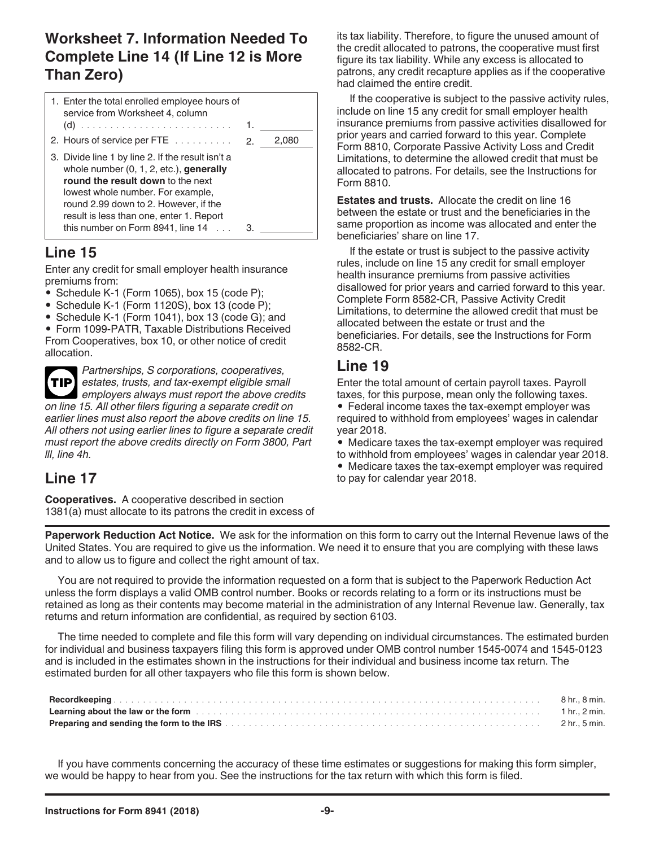## **Worksheet 7. Information Needed To Complete Line 14 (If Line 12 is More Than Zero)**

| 1. Enter the total enrolled employee hours of<br>service from Worksheet 4, column                                                                                                                                                                           |       |
|-------------------------------------------------------------------------------------------------------------------------------------------------------------------------------------------------------------------------------------------------------------|-------|
| 2. Hours of service per FTE 2.                                                                                                                                                                                                                              | 2,080 |
| 3. Divide line 1 by line 2. If the result isn't a<br>whole number (0, 1, 2, etc.), generally<br>round the result down to the next<br>lowest whole number. For example,<br>round 2.99 down to 2. However, if the<br>result is less than one, enter 1. Report |       |
| this number on Form $8941$ , line $14$                                                                                                                                                                                                                      |       |

### **Line 15**

Enter any credit for small employer health insurance premiums from:

- Schedule K-1 (Form 1065), box 15 (code P);
- Schedule K-1 (Form 1120S), box 13 (code P);
- Schedule K-1 (Form 1041), box 13 (code G); and

• Form 1099-PATR, Taxable Distributions Received From Cooperatives, box 10, or other notice of credit allocation.

*Partnerships, S corporations, cooperatives, estates, trusts, and tax-exempt eligible small*  **TIP** *employers always must report the above credits on line 15. All other filers figuring a separate credit on earlier lines must also report the above credits on line 15. All others not using earlier lines to figure a separate credit* 

*must report the above credits directly on Form 3800, Part lll, line 4h.*

## **Line 17**

**Cooperatives.** A cooperative described in section 1381(a) must allocate to its patrons the credit in excess of its tax liability. Therefore, to figure the unused amount of the credit allocated to patrons, the cooperative must first figure its tax liability. While any excess is allocated to patrons, any credit recapture applies as if the cooperative had claimed the entire credit.

If the cooperative is subject to the passive activity rules, include on line 15 any credit for small employer health insurance premiums from passive activities disallowed for prior years and carried forward to this year. Complete Form 8810, Corporate Passive Activity Loss and Credit Limitations, to determine the allowed credit that must be allocated to patrons. For details, see the Instructions for Form 8810.

**Estates and trusts.** Allocate the credit on line 16 between the estate or trust and the beneficiaries in the same proportion as income was allocated and enter the beneficiaries' share on line 17.

If the estate or trust is subject to the passive activity rules, include on line 15 any credit for small employer health insurance premiums from passive activities disallowed for prior years and carried forward to this year. Complete Form 8582-CR, Passive Activity Credit Limitations, to determine the allowed credit that must be allocated between the estate or trust and the beneficiaries. For details, see the Instructions for Form 8582-CR.

## **Line 19**

Enter the total amount of certain payroll taxes. Payroll taxes, for this purpose, mean only the following taxes. • Federal income taxes the tax-exempt employer was required to withhold from employees' wages in calendar year 2018.

• Medicare taxes the tax-exempt employer was required

to withhold from employees' wages in calendar year 2018.

• Medicare taxes the tax-exempt employer was required to pay for calendar year 2018.

**Paperwork Reduction Act Notice.** We ask for the information on this form to carry out the Internal Revenue laws of the United States. You are required to give us the information. We need it to ensure that you are complying with these laws and to allow us to figure and collect the right amount of tax.

You are not required to provide the information requested on a form that is subject to the Paperwork Reduction Act unless the form displays a valid OMB control number. Books or records relating to a form or its instructions must be retained as long as their contents may become material in the administration of any Internal Revenue law. Generally, tax returns and return information are confidential, as required by section 6103.

The time needed to complete and file this form will vary depending on individual circumstances. The estimated burden for individual and business taxpayers filing this form is approved under OMB control number 1545-0074 and 1545-0123 and is included in the estimates shown in the instructions for their individual and business income tax return. The estimated burden for all other taxpayers who file this form is shown below.

If you have comments concerning the accuracy of these time estimates or suggestions for making this form simpler, we would be happy to hear from you. See the instructions for the tax return with which this form is filed.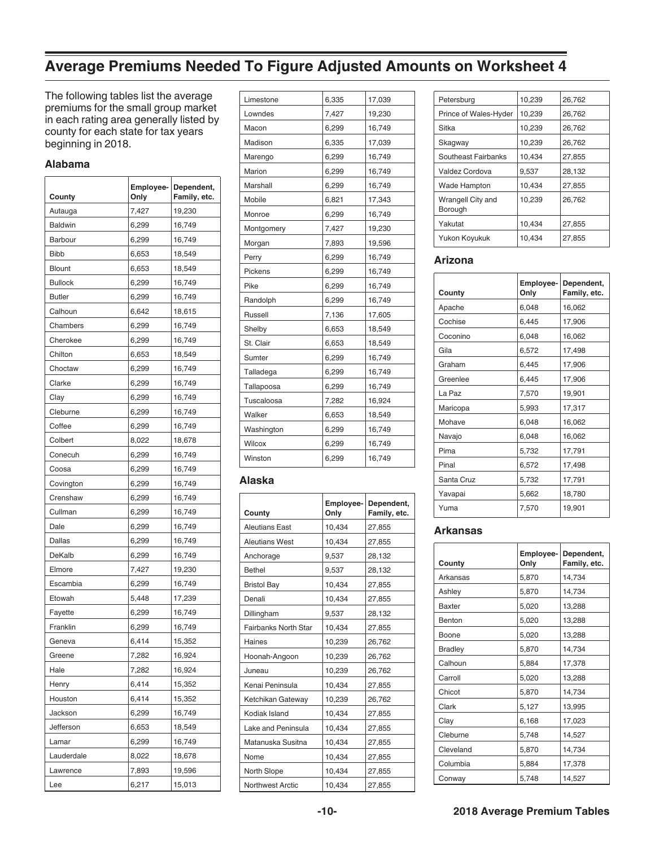## **Average Premiums Needed To Figure Adjusted Amounts on Worksheet 4**

The following tables list the average premiums for the small group market in each rating area generally listed by county for each state for tax years beginning in 2018.

#### **Alabama**

| County         | Employee-<br>Only | Dependent,<br>Family, etc. |
|----------------|-------------------|----------------------------|
| Autauga        | 7,427             | 19,230                     |
| <b>Baldwin</b> | 6,299             | 16,749                     |
| <b>Barbour</b> | 6,299             | 16,749                     |
| <b>Bibb</b>    | 6,653             | 18,549                     |
| <b>Blount</b>  | 6,653             | 18,549                     |
| <b>Bullock</b> | 6,299             | 16,749                     |
| <b>Butler</b>  | 6,299             | 16,749                     |
| Calhoun        | 6,642             | 18,615                     |
| Chambers       | 6,299             | 16,749                     |
| Cherokee       | 6,299             | 16,749                     |
| Chilton        | 6,653             | 18,549                     |
| Choctaw        | 6,299             | 16,749                     |
| Clarke         | 6,299             | 16,749                     |
| Clay           | 6,299             | 16,749                     |
| Cleburne       | 6,299             | 16,749                     |
| Coffee         | 6,299             | 16,749                     |
| Colbert        | 8,022             | 18,678                     |
| Conecuh        | 6,299             | 16,749                     |
| Coosa          | 6,299             | 16,749                     |
| Covington      | 6,299             | 16,749                     |
| Crenshaw       | 6,299             | 16,749                     |
| Cullman        | 6,299             | 16,749                     |
| Dale           | 6,299             | 16,749                     |
| Dallas         | 6,299             | 16,749                     |
| DeKalb         | 6,299             | 16,749                     |
| Elmore         | 7,427             | 19,230                     |
| Escambia       | 6,299             | 16,749                     |
| Etowah         | 5,448             | 17,239                     |
| Fayette        | 6,299             | 16,749                     |
| Franklin       | 6,299             | 16,749                     |
| Geneva         | 6,414             | 15,352                     |
| Greene         | 7,282             | 16,924                     |
| Hale           | 7,282             | 16,924                     |
| Henry          | 6,414             | 15,352                     |
| Houston        | 6,414             | 15,352                     |
| Jackson        | 6,299             | 16,749                     |
| Jefferson      | 6,653             | 18,549                     |
| Lamar          | 6,299             | 16,749                     |
| Lauderdale     | 8,022             | 18,678                     |
| Lawrence       | 7,893             | 19,596                     |
| Lee            | 6,217             | 15,013                     |

| Limestone      | 6,335 | 17,039 |
|----------------|-------|--------|
| Lowndes        | 7,427 | 19,230 |
| Macon          | 6,299 | 16,749 |
| Madison        | 6,335 | 17,039 |
| Marengo        | 6,299 | 16,749 |
| Marion         | 6,299 | 16,749 |
| Marshall       | 6,299 | 16,749 |
| Mobile         | 6,821 | 17,343 |
| Monroe         | 6,299 | 16,749 |
| Montgomery     | 7,427 | 19,230 |
| Morgan         | 7,893 | 19,596 |
| Perry          | 6,299 | 16,749 |
| Pickens        | 6,299 | 16,749 |
|                |       |        |
| Pike           | 6,299 | 16,749 |
| Randolph       | 6,299 | 16,749 |
| <b>Russell</b> | 7,136 | 17,605 |
| Shelby         | 6,653 | 18,549 |
| St. Clair      | 6,653 | 18,549 |
| Sumter         | 6,299 | 16,749 |
| Talladega      | 6,299 | 16,749 |
| Tallapoosa     | 6,299 | 16,749 |
| Tuscaloosa     | 7,282 | 16,924 |
| Walker         | 6,653 | 18,549 |
| Washington     | 6,299 | 16,749 |
| Wilcox         | 6,299 | 16,749 |

#### **Alaska**

| County                      | Employee-<br>Only | Dependent,<br>Family, etc. |
|-----------------------------|-------------------|----------------------------|
| <b>Aleutians East</b>       | 10,434            | 27,855                     |
| <b>Aleutians West</b>       | 10.434            | 27.855                     |
| Anchorage                   | 9,537             | 28,132                     |
| Bethel                      | 9,537             | 28,132                     |
| <b>Bristol Bay</b>          | 10.434            | 27,855                     |
| Denali                      | 10,434            | 27,855                     |
| Dillingham                  | 9,537             | 28,132                     |
| <b>Fairbanks North Star</b> | 10,434            | 27,855                     |
| Haines                      | 10,239            | 26,762                     |
| Hoonah-Angoon               | 10,239            | 26,762                     |
| Juneau                      | 10,239            | 26,762                     |
| Kenai Peninsula             | 10,434            | 27,855                     |
| Ketchikan Gateway           | 10,239            | 26,762                     |
| Kodiak Island               | 10,434            | 27,855                     |
| Lake and Peninsula          | 10,434            | 27,855                     |
| Matanuska Susitna           | 10,434            | 27,855                     |
| Nome                        | 10,434            | 27,855                     |
| North Slope                 | 10,434            | 27,855                     |
| <b>Northwest Arctic</b>     | 10,434            | 27,855                     |

| Petersburg                   | 10,239 | 26,762 |
|------------------------------|--------|--------|
| Prince of Wales-Hyder        | 10,239 | 26,762 |
| Sitka                        | 10,239 | 26,762 |
| Skagway                      | 10,239 | 26,762 |
| Southeast Fairbanks          | 10,434 | 27,855 |
| Valdez Cordova               | 9,537  | 28,132 |
| Wade Hampton                 | 10,434 | 27,855 |
| Wrangell City and<br>Borough | 10,239 | 26,762 |
| Yakutat                      | 10,434 | 27,855 |
| Yukon Koyukuk                | 10,434 | 27,855 |

#### **Arizona**

| County     | Employee-<br>Only | Dependent,<br>Family, etc. |
|------------|-------------------|----------------------------|
| Apache     | 6,048             | 16,062                     |
| Cochise    | 6,445             | 17,906                     |
| Coconino   | 6,048             | 16,062                     |
| Gila       | 6,572             | 17,498                     |
| Graham     | 6,445             | 17,906                     |
| Greenlee   | 6,445             | 17,906                     |
| La Paz     | 7,570             | 19,901                     |
| Maricopa   | 5,993             | 17,317                     |
| Mohave     | 6,048             | 16,062                     |
| Navajo     | 6,048             | 16,062                     |
| Pima       | 5,732<br>17,791   |                            |
| Pinal      | 6,572<br>17,498   |                            |
| Santa Cruz | 17,791<br>5,732   |                            |
| Yavapai    | 5,662             | 18,780                     |
| Yuma       | 7,570             | 19,901                     |

#### **Arkansas**

| County         | Employee-<br>Only | Dependent,<br>Family, etc. |
|----------------|-------------------|----------------------------|
| Arkansas       | 5,870             | 14,734                     |
| Ashley         | 5,870             | 14,734                     |
| <b>Baxter</b>  | 5,020             | 13,288                     |
| Benton         | 5,020<br>13,288   |                            |
| Boone          | 5,020             | 13,288                     |
| <b>Bradley</b> | 5,870             | 14,734                     |
| Calhoun        | 5,884             | 17,378                     |
| Carroll        | 5,020             | 13,288                     |
| Chicot         | 5,870             | 14,734                     |
| Clark          | 5,127             | 13,995                     |
| Clay           | 6,168             | 17,023                     |
| Cleburne       | 5,748             | 14,527                     |
| Cleveland      | 5,870             | 14,734                     |
| Columbia       | 5,884             | 17,378                     |
| Conway         | 5,748             | 14,527                     |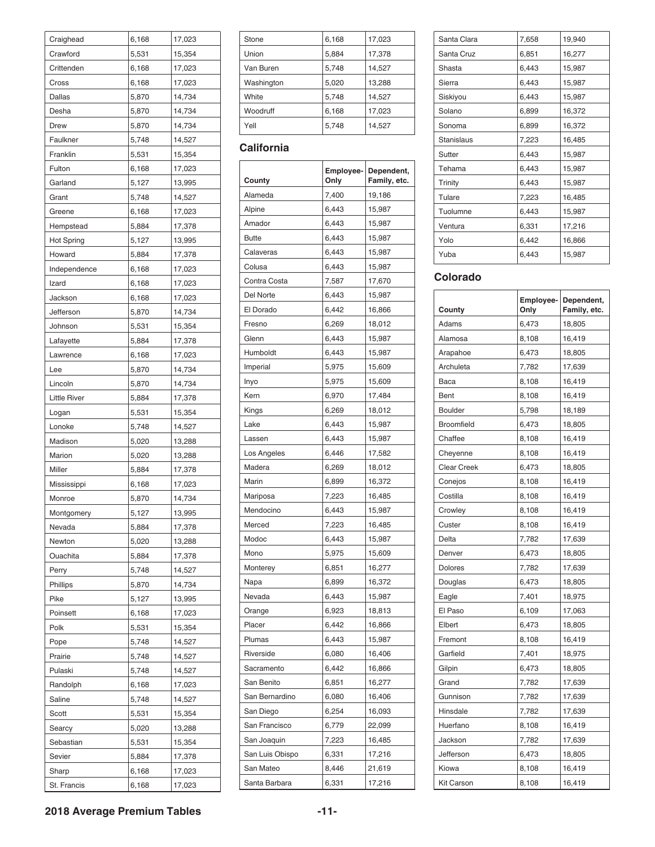| Craighead           | 6,168          | 17,023 |
|---------------------|----------------|--------|
| Crawford            | 5,531          | 15,354 |
| Crittenden          | 6,168          | 17,023 |
| Cross               | 6,168          | 17,023 |
| <b>Dallas</b>       | 5,870          | 14,734 |
| Desha               | 5,870          | 14,734 |
| Drew                | 5,870          | 14,734 |
| Faulkner            | 5,748          | 14,527 |
| Franklin            | 5,531          | 15,354 |
| Fulton              | 6,168          | 17,023 |
| Garland             | 5,127          | 13,995 |
| Grant               | 5,748          | 14,527 |
| Greene              | 6,168          | 17,023 |
| Hempstead           | 5,884          | 17,378 |
| Hot Spring          | 5,127          | 13,995 |
| Howard              | 5,884          | 17,378 |
| Independence        | 6,168          | 17,023 |
| Izard               | 6,168          | 17,023 |
| Jackson             | 6,168          | 17,023 |
| Jefferson           | 5,870          | 14,734 |
| Johnson             | 5,531          | 15,354 |
| Lafayette           | 5,884          | 17,378 |
| Lawrence            | 6,168          | 17,023 |
| Lee                 | 5,870          | 14,734 |
| Lincoln             | 5,870          | 14,734 |
| <b>Little River</b> | 5,884          | 17,378 |
| Logan               | 5,531          | 15,354 |
| Lonoke              | 5,748          | 14,527 |
| Madison             | 5,020          | 13,288 |
| Marion              | 5,020          | 13,288 |
| Miller              | 5,884          | 17,378 |
| Mississippi         | 6,168          | 17,023 |
| Monroe              | 5,870          | 14,734 |
| Montgomery          | 5,127          | 13,995 |
| Nevada              | 5,884          | 17,378 |
| Newton              | 5,020          | 13,288 |
| Ouachita            | 5,884          | 17,378 |
| Perry               | 5,748          | 14,527 |
| Phillips            | 5,870          | 14,734 |
| Pike                | 5,127          | 13,995 |
| Poinsett            | 6,168          | 17,023 |
| Polk                | 5,531          | 15,354 |
| Pope                | 5,748          | 14,527 |
| Prairie             | 5,748          | 14,527 |
| Pulaski             | 5,748          | 14,527 |
| Randolph            | 6,168          | 17,023 |
| Saline              | 5,748          | 14,527 |
| Scott               | 5,531          | 15,354 |
| Searcy              | 5,020          | 13,288 |
|                     |                |        |
| Sebastian           | 5,531          | 15,354 |
| Sevier              | 5,884          | 17,378 |
| Sharp               | 6,168<br>6,168 | 17,023 |
| St. Francis         |                | 17,023 |

| Stone      | 6,168 | 17,023 |
|------------|-------|--------|
| Union      | 5,884 | 17,378 |
| Van Buren  | 5,748 | 14,527 |
| Washington | 5,020 | 13,288 |
| White      | 5,748 | 14,527 |
| Woodruff   | 6,168 | 17,023 |
| Yell       | 5,748 | 14,527 |

#### **California**

| County          | Employee-<br>Only | Dependent,<br>Family, etc. |  |
|-----------------|-------------------|----------------------------|--|
| Alameda         | 7,400             | 19,186                     |  |
| Alpine          | 6,443             | 15,987                     |  |
| Amador          | 6,443             | 15,987                     |  |
| <b>Butte</b>    | 6,443             | 15,987                     |  |
| Calaveras       | 6,443             | 15,987                     |  |
| Colusa          | 6,443             | 15,987                     |  |
| Contra Costa    | 7,587             | 17,670                     |  |
| Del Norte       | 6,443             | 15,987                     |  |
| El Dorado       | 6,442             | 16,866                     |  |
| Fresno          | 6,269             | 18,012                     |  |
| Glenn           | 6,443             | 15,987                     |  |
| Humboldt        | 6,443             | 15,987                     |  |
| Imperial        | 5,975             | 15,609                     |  |
| Inyo            | 5,975             | 15,609                     |  |
| Kern            | 6,970             | 17,484                     |  |
| Kings           | 6,269             | 18,012                     |  |
| Lake            | 6,443             | 15,987                     |  |
| Lassen          | 6,443             | 15,987                     |  |
| Los Angeles     | 6,446             | 17,582                     |  |
| Madera          | 6,269             | 18,012                     |  |
| Marin           | 6,899             | 16,372                     |  |
| Mariposa        | 7,223             | 16,485                     |  |
| Mendocino       | 6,443             | 15,987                     |  |
| Merced          | 7,223             | 16,485                     |  |
| Modoc           | 6,443             | 15,987                     |  |
| Mono            | 5,975             | 15,609                     |  |
| Monterey        | 6,851             | 16,277                     |  |
| Napa            | 6,899             | 16,372                     |  |
| Nevada          | 6,443             | 15,987                     |  |
| Orange          | 6,923             | 18,813                     |  |
| Placer          | 6,442             | 16,866                     |  |
| Plumas          | 6.443             | 15,987                     |  |
| Riverside       | 6,080             | 16,406                     |  |
| Sacramento      | 6,442             | 16,866                     |  |
| San Benito      | 6,851             | 16,277                     |  |
| San Bernardino  | 6,080             | 16,406                     |  |
| San Diego       | 6,254             | 16,093                     |  |
| San Francisco   | 6,779             | 22,099                     |  |
| San Joaquin     | 7,223             | 16,485                     |  |
| San Luis Obispo | 6,331             | 17,216                     |  |
| San Mateo       | 8,446             | 21,619                     |  |
| Santa Barbara   | 6,331             | 17,216                     |  |

| Santa Clara       | 7,658 | 19,940 |
|-------------------|-------|--------|
| Santa Cruz        | 6,851 | 16,277 |
| Shasta            | 6,443 | 15,987 |
| Sierra            | 6,443 | 15,987 |
| Siskiyou          | 6,443 | 15,987 |
| Solano            | 6,899 | 16,372 |
| Sonoma            | 6,899 | 16,372 |
| <b>Stanislaus</b> | 7,223 | 16,485 |
| Sutter            | 6,443 | 15,987 |
| Tehama            | 6,443 | 15,987 |
| Trinity           | 6,443 | 15,987 |
| Tulare            | 7,223 | 16,485 |
| Tuolumne          | 6,443 | 15,987 |
| Ventura           | 6,331 | 17,216 |
| Yolo              | 6,442 | 16,866 |
| Yuba              | 6,443 | 15,987 |
|                   |       |        |

### **Colorado**

| County             | Employee-<br>Only | Dependent,<br>Family, etc. |
|--------------------|-------------------|----------------------------|
| Adams              | 6,473             | 18,805                     |
| Alamosa            | 8,108             | 16,419                     |
| Arapahoe           | 6,473             | 18,805                     |
| Archuleta          | 7,782             | 17,639                     |
| Baca               | 8,108             | 16,419                     |
| Bent               | 8,108             | 16,419                     |
| Boulder            | 5,798             | 18,189                     |
| <b>Broomfield</b>  | 6,473             | 18,805                     |
| Chaffee            | 8,108             | 16,419                     |
| Cheyenne           | 8,108             | 16,419                     |
| <b>Clear Creek</b> | 6,473             | 18,805                     |
| Conejos            | 8,108             | 16,419                     |
| Costilla           | 8,108             | 16,419                     |
| Crowley            | 8,108             | 16,419                     |
| Custer             | 8,108             | 16,419                     |
| Delta              | 7,782             | 17,639                     |
| Denver             | 6,473             | 18,805                     |
| <b>Dolores</b>     | 7,782             | 17,639                     |
| Douglas            | 6,473             | 18,805                     |
| Eagle              | 7,401             | 18,975                     |
| El Paso            | 6,109<br>17,063   |                            |
| Elbert             | 6,473             | 18,805                     |
| Fremont            | 8,108             | 16,419                     |
| Garfield           | 7,401             | 18,975                     |
| Gilpin             | 6,473             | 18,805                     |
| Grand              | 7,782             | 17,639                     |
| Gunnison           | 7,782             | 17,639                     |
| Hinsdale           | 7,782             | 17,639                     |
| Huerfano           | 8,108             | 16,419                     |
| Jackson            | 7,782             | 17,639                     |
| Jefferson          | 6,473             | 18,805                     |
| Kiowa              | 8,108             | 16,419                     |
| <b>Kit Carson</b>  | 8,108             | 16,419                     |

**2018 Average Premium Tables -11-**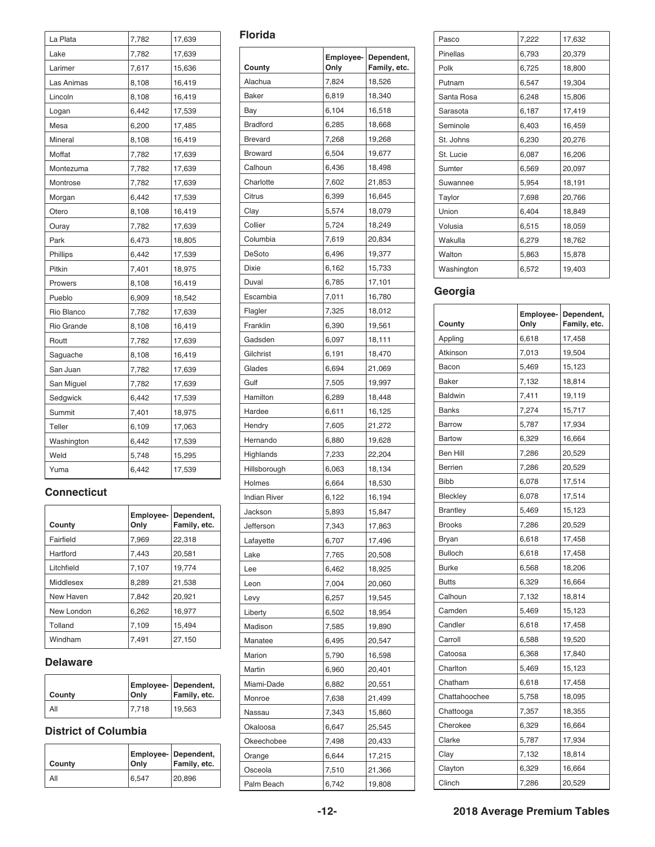| La Plata   | 7,782 | 17,639 |
|------------|-------|--------|
| Lake       | 7,782 | 17,639 |
| Larimer    | 7,617 | 15,636 |
| Las Animas | 8,108 | 16,419 |
| Lincoln    | 8,108 | 16,419 |
| Logan      | 6,442 | 17,539 |
| Mesa       | 6,200 | 17,485 |
| Mineral    | 8,108 | 16,419 |
| Moffat     | 7,782 | 17,639 |
| Montezuma  | 7,782 | 17,639 |
| Montrose   | 7,782 | 17,639 |
| Morgan     | 6,442 | 17,539 |
| Otero      | 8,108 | 16,419 |
| Ouray      | 7,782 | 17,639 |
| Park       | 6,473 | 18,805 |
| Phillips   | 6,442 | 17,539 |
| Pitkin     | 7,401 | 18,975 |
| Prowers    | 8,108 | 16,419 |
| Pueblo     | 6,909 | 18,542 |
| Rio Blanco | 7,782 | 17,639 |
| Rio Grande | 8,108 | 16,419 |
| Routt      | 7,782 | 17,639 |
| Saguache   | 8,108 | 16,419 |
| San Juan   | 7,782 | 17,639 |
| San Miguel | 7,782 | 17,639 |
| Sedgwick   | 6,442 | 17,539 |
| Summit     | 7,401 | 18,975 |
| Teller     | 6,109 | 17,063 |
| Washington | 6,442 | 17,539 |
| Weld       | 5,748 | 15,295 |
| Yuma       | 6,442 | 17,539 |

#### **Connecticut**

| County     | Employee-<br>Only | Dependent,<br>Family, etc. |
|------------|-------------------|----------------------------|
| Fairfield  | 7.969             | 22,318                     |
| Hartford   | 7,443             | 20,581                     |
| Litchfield | 7,107             | 19,774                     |
| Middlesex  | 8,289             | 21,538                     |
| New Haven  | 7,842             | 20,921                     |
| New London | 6,262             | 16.977                     |
| Tolland    | 7,109             | 15,494                     |
| Windham    | 7.491             | 27,150                     |

#### **Delaware**

| County | Only  | <b>Employee-</b> Dependent,<br>Family, etc. |  |
|--------|-------|---------------------------------------------|--|
| All    | 7,718 | 19,563                                      |  |

### **District of Columbia**

| <b>County</b> | Only  | <b>Employee- Dependent,</b><br>Family, etc. |
|---------------|-------|---------------------------------------------|
| All           | 6.547 | 20.896                                      |

| I | × | × |
|---|---|---|

| Employee-<br>Only | Dependent,<br>Family, etc.                                                                                                                   |
|-------------------|----------------------------------------------------------------------------------------------------------------------------------------------|
| 7,824             | 18,526                                                                                                                                       |
| 6,819             | 18,340                                                                                                                                       |
| 6,104             | 16,518                                                                                                                                       |
| 6,285             | 18,668                                                                                                                                       |
| 7,268             | 19,268                                                                                                                                       |
| 6,504             | 19,677                                                                                                                                       |
| 6,436             | 18,498                                                                                                                                       |
| 7,602             | 21,853                                                                                                                                       |
| 6,399             | 16,645                                                                                                                                       |
| 5,574             | 18,079                                                                                                                                       |
| 5,724             | 18,249                                                                                                                                       |
| 7,619             | 20,834                                                                                                                                       |
|                   | 19,377                                                                                                                                       |
| 6,162             | 15,733                                                                                                                                       |
| 6,785             | 17,101                                                                                                                                       |
|                   | 16,780                                                                                                                                       |
|                   | 18,012                                                                                                                                       |
|                   | 19,561                                                                                                                                       |
|                   | 18,111                                                                                                                                       |
|                   |                                                                                                                                              |
|                   | 18,470                                                                                                                                       |
|                   | 21,069                                                                                                                                       |
|                   | 19,997                                                                                                                                       |
|                   | 18,448                                                                                                                                       |
|                   | 16,125                                                                                                                                       |
|                   | 21,272                                                                                                                                       |
|                   | 19,628                                                                                                                                       |
|                   | 22,204                                                                                                                                       |
| 6,063             | 18,134                                                                                                                                       |
| 6,664             | 18,530                                                                                                                                       |
| 6,122             | 16,194                                                                                                                                       |
| 5,893             | 15,847                                                                                                                                       |
| 7,343             | 17,863                                                                                                                                       |
| 6,707             | 17,496                                                                                                                                       |
| 7,765             | 20,508                                                                                                                                       |
| 6,462             | 18,925                                                                                                                                       |
| 7,004             | 20,060                                                                                                                                       |
| 6,257             | 19,545                                                                                                                                       |
| 6,502             | 18,954                                                                                                                                       |
| 7,585             | 19,890                                                                                                                                       |
| 6,495             | 20,547                                                                                                                                       |
| 5,790             | 16,598                                                                                                                                       |
| 6,960             | 20,401                                                                                                                                       |
| 6,882             | 20,551                                                                                                                                       |
| 7,638             | 21,499                                                                                                                                       |
|                   | 15,860                                                                                                                                       |
|                   | 25,545                                                                                                                                       |
|                   | 20,433                                                                                                                                       |
|                   |                                                                                                                                              |
|                   |                                                                                                                                              |
| 6,644<br>7,510    | 17,215<br>21,366                                                                                                                             |
|                   | 6,496<br>7,011<br>7,325<br>6,390<br>6,097<br>6,191<br>6,694<br>7,505<br>6,289<br>6,611<br>7,605<br>6,880<br>7,233<br>7,343<br>6,647<br>7,498 |

| Pasco      | 7,222 | 17,632 |
|------------|-------|--------|
| Pinellas   | 6,793 | 20,379 |
| Polk       | 6,725 | 18,800 |
| Putnam     | 6.547 | 19,304 |
| Santa Rosa | 6,248 | 15,806 |
| Sarasota   | 6,187 | 17,419 |
| Seminole   | 6,403 | 16,459 |
| St. Johns  | 6,230 | 20,276 |
| St. Lucie  | 6,087 | 16,206 |
| Sumter     | 6,569 | 20,097 |
| Suwannee   | 5,954 | 18,191 |
| Taylor     | 7,698 | 20,766 |
| Union      | 6,404 | 18,849 |
| Volusia    | 6,515 | 18,059 |
| Wakulla    | 6,279 | 18,762 |
| Walton     | 5,863 | 15,878 |
| Washington | 6,572 | 19,403 |
|            |       |        |

### **Georgia**

| County          | Employee-<br>Onlv | Dependent,<br>Family, etc. |
|-----------------|-------------------|----------------------------|
| Appling         | 6,618             | 17,458                     |
| Atkinson        | 7,013             | 19,504                     |
| Bacon           | 5,469             | 15,123                     |
| Baker           | 7,132             | 18,814                     |
| <b>Baldwin</b>  | 7,411             | 19,119                     |
| <b>Banks</b>    | 7,274             | 15,717                     |
| <b>Barrow</b>   | 5,787             | 17,934                     |
| <b>Bartow</b>   | 6,329             | 16,664                     |
| Ben Hill        | 7,286             | 20,529                     |
| <b>Berrien</b>  | 7,286             | 20,529                     |
| <b>Bibb</b>     | 6,078             | 17,514                     |
| Bleckley        | 6,078             | 17,514                     |
| <b>Brantley</b> | 5,469             | 15,123                     |
| <b>Brooks</b>   | 7,286             | 20,529                     |
| Bryan           | 6,618             | 17,458                     |
| <b>Bulloch</b>  | 6,618             | 17,458                     |
| <b>Burke</b>    | 6,568             | 18,206                     |
| <b>Butts</b>    | 6,329             | 16,664                     |
| Calhoun         | 7,132             | 18,814                     |
| Camden          | 5,469             | 15,123                     |
| Candler         | 6,618             | 17,458                     |
| Carroll         | 6,588             | 19,520                     |
| Catoosa         | 6,368             | 17,840                     |
| Charlton        | 5,469             | 15,123                     |
| Chatham         | 6,618             | 17,458                     |
| Chattahoochee   | 5,758             | 18,095                     |
| Chattooga       | 7,357             | 18,355                     |
| Cherokee        | 6,329             | 16,664                     |
| Clarke          | 5,787             | 17,934                     |
| Clay            | 7,132             | 18,814                     |
| Clayton         | 6,329             | 16,664                     |
| Clinch          | 7,286             | 20,529                     |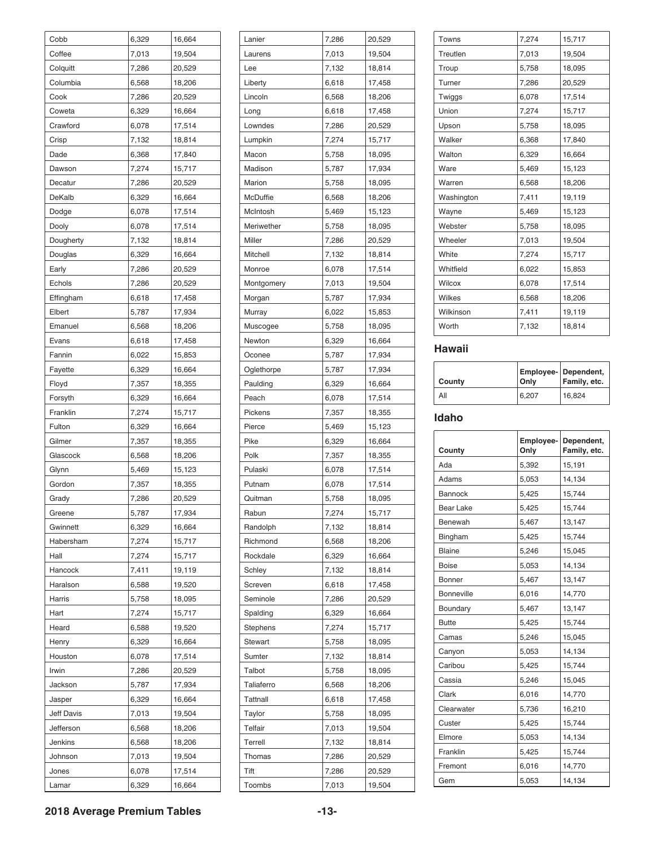| Cobb              | 6,329          | 16,664 |
|-------------------|----------------|--------|
| Coffee            | 7,013          | 19,504 |
| Colquitt          | 7,286          | 20,529 |
| Columbia          | 6,568          | 18,206 |
| Cook              | 7,286          | 20,529 |
| Coweta            | 6,329          | 16,664 |
| Crawford          | 6,078          | 17,514 |
| Crisp             | 7,132          | 18,814 |
| Dade              | 6,368          | 17,840 |
| Dawson            | 7,274          | 15,717 |
| Decatur           | 7,286          | 20,529 |
| DeKalb            | 6,329          | 16,664 |
| Dodge             | 6,078          | 17,514 |
| Dooly             | 6,078          | 17,514 |
| Dougherty         | 7,132          | 18,814 |
| Douglas           | 6,329          | 16,664 |
| Early             | 7,286          | 20,529 |
| Echols            | 7,286          | 20,529 |
| Effingham         | 6,618          | 17,458 |
| Elbert            | 5,787          | 17,934 |
| Emanuel           | 6,568          | 18,206 |
| Evans             | 6,618          | 17,458 |
| Fannin            | 6,022          | 15,853 |
| Fayette           | 6,329          | 16,664 |
| Floyd             | 7,357          | 18,355 |
| Forsyth           | 6,329          | 16,664 |
| Franklin          | 7,274          | 15,717 |
|                   |                |        |
| Fulton<br>Gilmer  | 6,329          | 16,664 |
|                   | 7,357          | 18,355 |
| Glascock          | 6,568          | 18,206 |
| Glynn             | 5,469<br>7,357 | 15,123 |
| Gordon            |                | 18,355 |
| Grady             | 7,286          | 20,529 |
| Greene            | 5,787          | 17,934 |
| Gwinnett          | 6,329          | 16,664 |
| Habersham         | 7,274          | 15,717 |
| Hall              | 7,274          | 15,717 |
| Hancock           | 7,411          | 19,119 |
| Haralson          | 6,588          | 19,520 |
| Harris            | 5,758          | 18,095 |
| Hart              | 7,274          | 15,717 |
| Heard             | 6,588          | 19,520 |
| Henry             | 6,329          | 16,664 |
| Houston           | 6,078          | 17,514 |
| Irwin             | 7,286          | 20,529 |
| Jackson           | 5,787          | 17,934 |
| Jasper            | 6,329          | 16,664 |
| <b>Jeff Davis</b> | 7,013          | 19,504 |
| Jefferson         | 6,568          | 18,206 |
| Jenkins           | 6,568          | 18,206 |
| Johnson           | 7,013          | 19,504 |
| Jones             | 6,078          | 17,514 |
| Lamar             | 6,329          | 16,664 |

| Lanier          | 7,286 | 20,529 |
|-----------------|-------|--------|
| Laurens         | 7,013 | 19,504 |
| Lee             | 7,132 | 18,814 |
| Liberty         | 6,618 | 17,458 |
| Lincoln         | 6,568 | 18,206 |
| Long            | 6,618 | 17,458 |
| Lowndes         | 7,286 | 20,529 |
| Lumpkin         | 7,274 | 15,717 |
| Macon           | 5,758 | 18,095 |
| Madison         | 5,787 | 17,934 |
| Marion          | 5,758 | 18,095 |
| <b>McDuffie</b> | 6,568 | 18,206 |
| McIntosh        | 5,469 | 15,123 |
| Meriwether      | 5,758 | 18,095 |
| Miller          | 7,286 | 20,529 |
| Mitchell        | 7,132 | 18,814 |
| Monroe          | 6,078 | 17,514 |
| Montgomery      | 7,013 | 19,504 |
| Morgan          | 5,787 | 17,934 |
| Murray          | 6,022 | 15,853 |
| Muscogee        | 5,758 | 18,095 |
| Newton          | 6,329 | 16,664 |
| Oconee          | 5,787 | 17,934 |
| Oglethorpe      | 5,787 | 17,934 |
| Paulding        | 6,329 | 16,664 |
| Peach           | 6,078 | 17,514 |
| Pickens         | 7,357 | 18,355 |
| Pierce          | 5,469 | 15,123 |
| Pike            | 6,329 | 16,664 |
| Polk            | 7,357 | 18,355 |
| Pulaski         | 6,078 | 17,514 |
| Putnam          | 6,078 | 17,514 |
| Quitman         | 5,758 | 18,095 |
| Rabun           | 7,274 | 15,717 |
| Randolph        | 7,132 | 18,814 |
| Richmond        | 6,568 | 18,206 |
| Rockdale        | 6,329 | 16,664 |
| Schley          | 7,132 | 18,814 |
| Screven         | 6,618 | 17,458 |
| Seminole        | 7,286 | 20,529 |
| Spalding        | 6,329 | 16,664 |
| <b>Stephens</b> | 7,274 | 15,717 |
| <b>Stewart</b>  | 5,758 | 18,095 |
| Sumter          | 7,132 | 18,814 |
| Talbot          | 5,758 | 18,095 |
| Taliaferro      | 6,568 | 18,206 |
| <b>Tattnall</b> | 6,618 | 17,458 |
| Taylor          | 5,758 | 18,095 |
| Telfair         | 7,013 | 19,504 |
| Terrell         | 7,132 | 18,814 |
| Thomas          | 7,286 | 20,529 |
| Tift            | 7,286 | 20,529 |
| Toombs          | 7,013 | 19,504 |

| Towns      | 7,274 | 15,717 |
|------------|-------|--------|
| Treutlen   | 7,013 | 19,504 |
| Troup      | 5,758 | 18,095 |
| Turner     | 7,286 | 20,529 |
| Twiggs     | 6,078 | 17,514 |
| Union      | 7,274 | 15,717 |
| Upson      | 5,758 | 18,095 |
| Walker     | 6,368 | 17,840 |
| Walton     | 6,329 | 16,664 |
| Ware       | 5,469 | 15,123 |
| Warren     | 6,568 | 18,206 |
| Washington | 7,411 | 19,119 |
| Wayne      | 5,469 | 15,123 |
| Webster    | 5,758 | 18,095 |
| Wheeler    | 7,013 | 19,504 |
| White      | 7,274 | 15,717 |
| Whitfield  | 6,022 | 15,853 |
| Wilcox     | 6,078 | 17,514 |
| Wilkes     | 6,568 | 18,206 |
| Wilkinson  | 7,411 | 19,119 |
| Worth      | 7,132 | 18,814 |
|            |       |        |

### **Hawaii**

| County | Only  | <b>Employee- Dependent,</b><br>Family, etc. |
|--------|-------|---------------------------------------------|
| All    | 6.207 | 16,824                                      |

### **Idaho**

| County           | Employee-<br>Only | Dependent,<br>Family, etc. |
|------------------|-------------------|----------------------------|
| Ada              | 5,392             | 15,191                     |
| Adams            | 5,053             | 14,134                     |
| Bannock          | 5,425             | 15,744                     |
| <b>Bear Lake</b> | 5,425             | 15,744                     |
| Benewah          | 5,467             | 13,147                     |
| Bingham          | 5,425             | 15,744                     |
| Blaine           | 5,246             | 15,045                     |
| <b>Boise</b>     | 5,053             | 14,134                     |
| <b>Bonner</b>    | 5,467             | 13,147                     |
| Bonneville       | 6,016             | 14,770                     |
| Boundary         | 5,467             | 13,147                     |
| <b>Butte</b>     | 5,425             | 15,744                     |
| Camas            | 5,246             | 15,045                     |
| Canyon           | 5,053             | 14,134                     |
| Caribou          | 5,425             | 15,744                     |
| Cassia           | 5,246             | 15,045                     |
| Clark            | 6,016             | 14,770                     |
| Clearwater       | 5,736             | 16,210                     |
| Custer           | 5,425             | 15,744                     |
| Elmore           | 5,053             | 14,134                     |
| Franklin         | 5,425             | 15,744                     |
| Fremont          | 6,016             | 14,770                     |
| Gem              | 5,053             | 14,134                     |

#### **2018 Average Premium Tables -13-**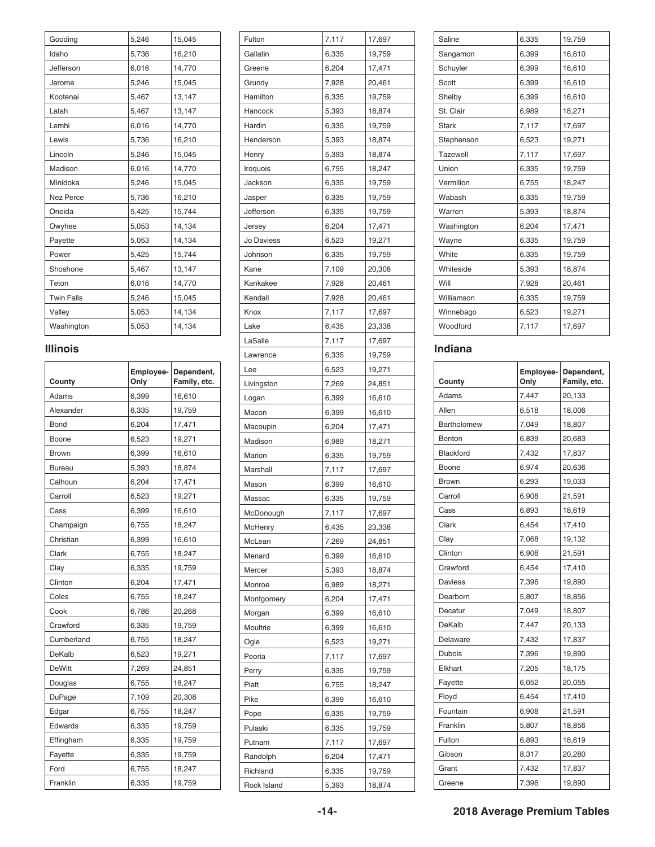| Gooding           | 5,246 | 15,045 |
|-------------------|-------|--------|
| Idaho             | 5,736 | 16,210 |
| Jefferson         | 6,016 | 14,770 |
| Jerome            | 5,246 | 15,045 |
| Kootenai          | 5,467 | 13,147 |
| Latah             | 5,467 | 13,147 |
| Lemhi             | 6,016 | 14,770 |
| Lewis             | 5,736 | 16,210 |
| Lincoln           | 5,246 | 15,045 |
| Madison           | 6,016 | 14,770 |
| Minidoka          | 5,246 | 15,045 |
| <b>Nez Perce</b>  | 5,736 | 16,210 |
| Oneida            | 5,425 | 15,744 |
| Owyhee            | 5,053 | 14,134 |
| Payette           | 5,053 | 14,134 |
| Power             | 5,425 | 15,744 |
| Shoshone          | 5,467 | 13,147 |
| Teton             | 6,016 | 14,770 |
| <b>Twin Falls</b> | 5,246 | 15,045 |
| Valley            | 5,053 | 14,134 |
| Washington        | 5,053 | 14,134 |

#### **Illinois**

| County        | Employee-<br>Only | Dependent,<br>Family, etc. |
|---------------|-------------------|----------------------------|
| Adams         | 6,399             | 16,610                     |
| Alexander     | 6,335             | 19,759                     |
| <b>Bond</b>   | 6,204             | 17,471                     |
| Boone         | 6,523             | 19,271                     |
| <b>Brown</b>  | 6,399             | 16,610                     |
| <b>Bureau</b> | 5,393             | 18,874                     |
| Calhoun       | 6,204             | 17,471                     |
| Carroll       | 6,523             | 19,271                     |
| Cass          | 6,399             | 16,610                     |
| Champaign     | 6,755             | 18,247                     |
| Christian     | 6,399             | 16,610                     |
| Clark         | 6,755             | 18,247                     |
| Clay          | 6,335             | 19,759                     |
| Clinton       | 6,204             | 17,471                     |
| Coles         | 6,755             | 18,247                     |
| Cook          | 6,786             | 20,268                     |
| Crawford      | 6,335             | 19,759                     |
| Cumberland    | 6,755             | 18,247                     |
| DeKalb        | 6,523             | 19,271                     |
| <b>DeWitt</b> | 7,269             | 24,851                     |
| Douglas       | 6,755             | 18,247                     |
| DuPage        | 7,109             | 20,308                     |
| Edgar         | 6,755             | 18,247                     |
| Edwards       | 6,335             | 19,759                     |
| Effingham     | 6,335             | 19,759                     |
| Fayette       | 6,335             | 19,759                     |
| Ford          | 6,755             | 18,247                     |
| Franklin      | 6,335             | 19,759                     |

| Fulton           | 7,117          | 17,697 |
|------------------|----------------|--------|
| Gallatin         | 6,335          | 19,759 |
| Greene           | 6,204          | 17,471 |
| Grundy           | 7,928          | 20,461 |
| Hamilton         | 6,335          | 19,759 |
| Hancock          | 5,393          | 18,874 |
| Hardin           | 6,335          | 19,759 |
| Henderson        | 5,393          | 18,874 |
| Henry            | 5,393          | 18,874 |
| Iroquois         | 6,755          | 18,247 |
| Jackson          | 6,335          | 19,759 |
| Jasper           | 6,335          | 19,759 |
| Jefferson        | 6,335          | 19,759 |
| Jersey           | 6,204          | 17,471 |
| Jo Daviess       | 6,523          | 19,271 |
| Johnson          | 6,335          | 19,759 |
| Kane             | 7,109          | 20,308 |
| Kankakee         | 7,928          | 20,461 |
| Kendall          | 7,928          | 20,461 |
| Knox             | 7,117          | 17,697 |
| Lake             | 6,435          | 23,338 |
| LaSalle          | 7,117          | 17,697 |
| Lawrence         | 6,335          | 19,759 |
| Lee              | 6,523          | 19,271 |
| Livingston       | 7,269          | 24,851 |
| Logan            | 6,399          | 16,610 |
| Macon            | 6,399          | 16,610 |
| Macoupin         | 6,204          | 17,471 |
| Madison          | 6,989          | 18,271 |
| Marion           | 6,335          | 19,759 |
| Marshall         | 7,117          | 17,697 |
| Mason            | 6,399          | 16,610 |
| Massac           | 6,335          | 19,759 |
| McDonough        | 7,117          | 17,697 |
| McHenry          | 6,435          | 23,338 |
| McLean           | 7,269          | 24,851 |
| Menard           | 6,399          | 16,610 |
|                  |                | 18,874 |
| Mercer<br>Monroe | 5,393<br>6,989 | 18,271 |
|                  | 6,204          | 17,471 |
| Montgomery       |                | 16,610 |
| Morgan           | 6,399          |        |
| Moultrie         | 6,399          | 16,610 |
| Ogle             | 6,523          | 19,271 |
| Peoria           | 7,117          | 17,697 |
| Perry            | 6,335          | 19,759 |
| Piatt            | 6,755          | 18,247 |
| Pike             | 6,399          | 16,610 |
| Pope             | 6,335          | 19,759 |
| Pulaski          | 6,335          | 19,759 |
| Putnam           | 7,117          | 17,697 |
| Randolph         | 6,204          | 17,471 |
| Richland         | 6,335          | 19,759 |
| Rock Island      | 5,393          | 18,874 |

| Saline          | 6,335 | 19,759 |
|-----------------|-------|--------|
| Sangamon        | 6,399 | 16,610 |
| Schuyler        | 6,399 | 16,610 |
| Scott           | 6,399 | 16,610 |
| Shelby          | 6,399 | 16,610 |
| St. Clair       | 6,989 | 18,271 |
| <b>Stark</b>    | 7,117 | 17,697 |
| Stephenson      | 6,523 | 19,271 |
| <b>Tazewell</b> | 7,117 | 17,697 |
| Union           | 6,335 | 19,759 |
| Vermilion       | 6,755 | 18,247 |
| Wabash          | 6,335 | 19,759 |
| Warren          | 5,393 | 18,874 |
| Washington      | 6,204 | 17,471 |
| Wayne           | 6,335 | 19,759 |
| White           | 6,335 | 19,759 |
| Whiteside       | 5,393 | 18,874 |
| Will            | 7,928 | 20,461 |
| Williamson      | 6,335 | 19,759 |
| Winnebago       | 6,523 | 19,271 |
| Woodford        | 7,117 | 17,697 |
|                 |       |        |

#### **Indiana**

| County           | Employee-<br>Only | Dependent,<br>Family, etc. |
|------------------|-------------------|----------------------------|
| Adams            | 7,447             | 20,133                     |
| Allen            | 6,518             | 18,006                     |
| Bartholomew      | 7,049             | 18,807                     |
| Benton           | 6,839             | 20,683                     |
| <b>Blackford</b> | 7,432             | 17,837                     |
| Boone            | 6,974             | 20,636                     |
| <b>Brown</b>     | 6,293             | 19,033                     |
| Carroll          | 6,908             | 21,591                     |
| Cass             | 6,893             | 18,619                     |
| Clark            | 6,454             | 17,410                     |
| Clay             | 7,068             | 19,132                     |
| Clinton          | 6,908             | 21,591                     |
| Crawford         | 6,454             | 17,410                     |
| <b>Daviess</b>   | 7,396             | 19,890                     |
| Dearborn         | 5,807             | 18,856                     |
| Decatur          | 7,049             | 18,807                     |
| <b>DeKalb</b>    | 7,447             | 20,133                     |
| Delaware         | 7,432             | 17,837                     |
| Dubois           | 7,396             | 19,890                     |
| Elkhart          | 7,205             | 18,175                     |
| Fayette          | 6,052             | 20,055                     |
| Floyd            | 6,454             | 17,410                     |
| Fountain         | 6,908             | 21,591                     |
| Franklin         | 5,807             | 18,856                     |
| Fulton           | 6,893             | 18,619                     |
| Gibson           | 8,317             | 20,280                     |
| Grant            | 7,432             | 17,837                     |
| Greene           | 7,396             | 19,890                     |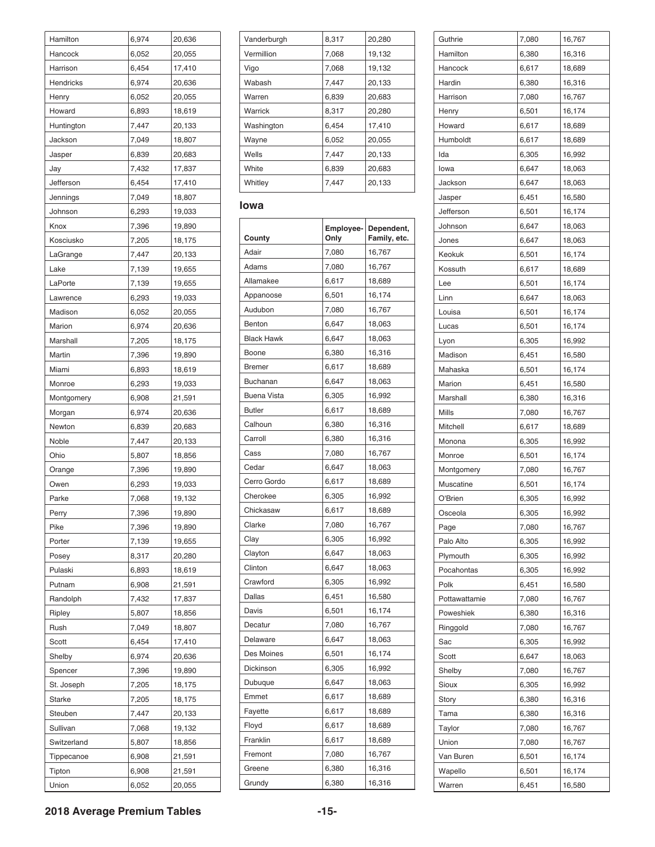| Hamilton      | 6,974 | 20,636 |
|---------------|-------|--------|
| Hancock       | 6,052 | 20,055 |
| Harrison      | 6,454 | 17,410 |
| Hendricks     | 6,974 | 20,636 |
| Henry         | 6,052 | 20,055 |
| Howard        | 6,893 | 18,619 |
| Huntington    | 7,447 | 20,133 |
| Jackson       | 7,049 | 18,807 |
| Jasper        | 6,839 | 20,683 |
| Jay           | 7,432 | 17,837 |
| Jefferson     | 6,454 | 17,410 |
| Jennings      | 7,049 | 18,807 |
| Johnson       | 6,293 | 19,033 |
| Knox          | 7,396 | 19,890 |
| Kosciusko     | 7,205 | 18,175 |
| LaGrange      | 7,447 | 20,133 |
| Lake          | 7,139 | 19,655 |
| LaPorte       | 7,139 | 19,655 |
| Lawrence      | 6,293 | 19,033 |
| Madison       | 6,052 | 20,055 |
| Marion        | 6,974 | 20,636 |
| Marshall      | 7,205 | 18,175 |
| Martin        | 7,396 | 19,890 |
| Miami         | 6,893 | 18,619 |
| Monroe        | 6,293 | 19,033 |
| Montgomery    | 6,908 | 21,591 |
| Morgan        | 6,974 | 20,636 |
| Newton        | 6,839 | 20,683 |
| Noble         | 7,447 | 20,133 |
| Ohio          | 5,807 | 18,856 |
| Orange        | 7,396 | 19,890 |
| Owen          | 6,293 | 19,033 |
| Parke         | 7,068 | 19,132 |
| Perry         | 7,396 | 19,890 |
| Pike          | 7,396 | 19,890 |
| Porter        | 7,139 | 19,655 |
|               |       |        |
| Posey         | 8,317 | 20,280 |
| Pulaski       | 6,893 | 18,619 |
| Putnam        | 6,908 | 21,591 |
| Randolph      | 7,432 | 17,837 |
| Ripley        | 5,807 | 18,856 |
| Rush          | 7,049 | 18,807 |
| Scott         | 6,454 | 17,410 |
| Shelby        | 6,974 | 20,636 |
| Spencer       | 7,396 | 19,890 |
| St. Joseph    | 7,205 | 18,175 |
| <b>Starke</b> | 7,205 | 18,175 |
| Steuben       | 7,447 | 20,133 |
| Sullivan      | 7,068 | 19,132 |
| Switzerland   | 5,807 | 18,856 |
| Tippecanoe    | 6,908 | 21,591 |
| Tipton        | 6,908 | 21,591 |
| Union         | 6,052 | 20,055 |

| Vanderburgh | 8,317 | 20,280 |
|-------------|-------|--------|
| Vermillion  | 7,068 | 19,132 |
| Vigo        | 7,068 | 19,132 |
| Wabash      | 7,447 | 20,133 |
| Warren      | 6,839 | 20,683 |
| Warrick     | 8,317 | 20,280 |
| Washington  | 6,454 | 17,410 |
| Wayne       | 6,052 | 20,055 |
| Wells       | 7,447 | 20,133 |
| White       | 6,839 | 20,683 |
| Whitley     | 7,447 | 20,133 |

#### **Iowa**

| County             | Employee-<br>Only | Dependent,<br>Family, etc. |
|--------------------|-------------------|----------------------------|
| Adair              | 7,080             | 16,767                     |
| Adams              | 7,080             | 16,767                     |
| Allamakee          | 6,617             | 18,689                     |
| Appanoose          | 6,501             | 16,174                     |
| Audubon            | 7,080             | 16,767                     |
| Benton             | 6,647             | 18,063                     |
| <b>Black Hawk</b>  | 6,647             | 18,063                     |
| Boone              | 6,380             | 16,316                     |
| <b>Bremer</b>      | 6,617             | 18,689                     |
| Buchanan           | 6,647             | 18,063                     |
| <b>Buena Vista</b> | 6,305             | 16,992                     |
| Butler             | 6,617             | 18,689                     |
| Calhoun            | 6,380             | 16,316                     |
| Carroll            | 6,380             | 16,316                     |
| Cass               | 7,080             | 16,767                     |
| Cedar              | 6,647             | 18,063                     |
| Cerro Gordo        | 6,617             | 18,689                     |
| Cherokee           | 6,305             | 16,992                     |
| Chickasaw          | 6,617             | 18,689                     |
| Clarke             | 7,080             | 16,767                     |
| Clay               | 6,305             | 16,992                     |
| Clayton            | 6,647             | 18,063                     |
| Clinton            | 6,647             | 18,063                     |
| Crawford           | 6,305             | 16,992                     |
| Dallas             | 6,451             | 16,580                     |
| Davis              | 6,501             | 16,174                     |
| Decatur            | 7,080             | 16,767                     |
| Delaware           | 6,647             | 18,063                     |
| Des Moines         | 6,501             | 16,174                     |
| Dickinson          | 6,305             | 16,992                     |
| Dubuque            | 6,647             | 18,063                     |
| Emmet              | 6,617             | 18,689                     |
| Fayette            | 6,617             | 18,689                     |
| Floyd              | 6,617             | 18,689                     |
| Franklin           | 6,617             | 18,689                     |
| Fremont            | 7,080             | 16,767                     |
| Greene             | 6,380             | 16,316                     |
| Grundy             | 6,380             | 16,316                     |

| Guthrie       | 7,080 | 16,767 |
|---------------|-------|--------|
| Hamilton      | 6,380 | 16,316 |
| Hancock       | 6,617 | 18,689 |
| Hardin        | 6,380 | 16,316 |
| Harrison      | 7,080 | 16,767 |
| Henry         | 6,501 | 16,174 |
| Howard        | 6,617 | 18,689 |
| Humboldt      | 6,617 | 18,689 |
| Ida           | 6,305 | 16,992 |
| lowa          | 6,647 | 18,063 |
| Jackson       | 6,647 | 18,063 |
| Jasper        | 6,451 | 16,580 |
| Jefferson     | 6,501 | 16,174 |
| Johnson       | 6,647 | 18,063 |
| Jones         | 6,647 | 18,063 |
| Keokuk        | 6,501 | 16,174 |
| Kossuth       | 6,617 | 18,689 |
| Lee           | 6,501 | 16,174 |
| Linn          | 6,647 | 18,063 |
| Louisa        | 6,501 | 16,174 |
| Lucas         | 6,501 | 16,174 |
| Lyon          | 6,305 | 16,992 |
| Madison       | 6,451 | 16,580 |
| Mahaska       | 6,501 | 16,174 |
| Marion        | 6,451 | 16,580 |
| Marshall      | 6,380 | 16,316 |
| Mills         | 7,080 | 16,767 |
| Mitchell      | 6,617 | 18,689 |
| Monona        | 6,305 | 16,992 |
| Monroe        | 6,501 | 16,174 |
| Montgomery    | 7,080 | 16,767 |
|               |       |        |
| Muscatine     | 6,501 | 16,174 |
| O'Brien       | 6,305 | 16,992 |
| Osceola       | 6,305 | 16,992 |
| Page          | 7,080 | 16,767 |
| Palo Alto     | 6,305 | 16,992 |
| Plymouth      | 6,305 | 16,992 |
| Pocahontas    | 6,305 | 16,992 |
| Polk          | 6,451 | 16,580 |
| Pottawattamie | 7,080 | 16,767 |
| Poweshiek     | 6,380 | 16,316 |
| Ringgold      | 7,080 | 16,767 |
| Sac           | 6,305 | 16,992 |
| Scott         | 6,647 | 18,063 |
| Shelby        | 7,080 | 16,767 |
| Sioux         | 6,305 | 16,992 |
| Story         | 6,380 | 16,316 |
| Tama          | 6,380 | 16,316 |
| Taylor        | 7,080 | 16,767 |
| Union         | 7,080 | 16,767 |
| Van Buren     | 6,501 | 16,174 |
| Wapello       | 6,501 | 16,174 |
| Warren        | 6,451 | 16,580 |

**2018 Average Premium Tables -15-**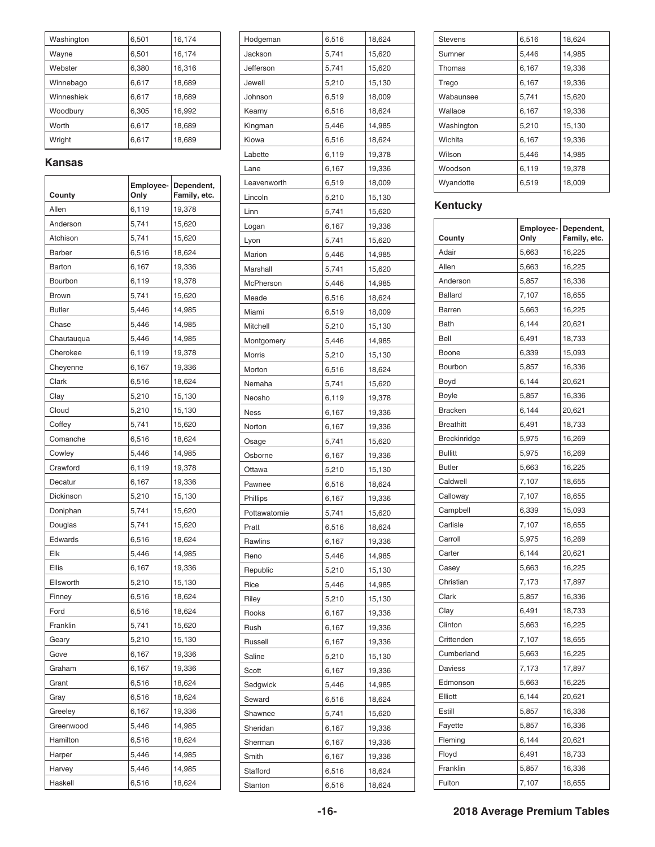| Washington | 6,501 | 16,174 |
|------------|-------|--------|
| Wayne      | 6,501 | 16,174 |
| Webster    | 6,380 | 16,316 |
| Winnebago  | 6,617 | 18,689 |
| Winneshiek | 6,617 | 18,689 |
| Woodbury   | 6,305 | 16,992 |
| Worth      | 6,617 | 18,689 |
| Wright     | 6.617 | 18,689 |

#### **Kansas**

| County        | Employee-<br>Only | Dependent,<br>Family, etc. |
|---------------|-------------------|----------------------------|
| Allen         | 6,119             | 19,378                     |
| Anderson      | 5,741             | 15,620                     |
| Atchison      | 5,741             | 15,620                     |
| <b>Barber</b> | 6,516             | 18,624                     |
| Barton        | 6,167             | 19,336                     |
| Bourbon       | 6,119             | 19,378                     |
| <b>Brown</b>  | 5,741             | 15,620                     |
| <b>Butler</b> | 5,446             | 14,985                     |
| Chase         | 5,446             | 14,985                     |
| Chautauqua    | 5,446             | 14,985                     |
| Cherokee      | 6,119             | 19,378                     |
| Cheyenne      | 6,167             | 19,336                     |
| Clark         | 6,516             | 18,624                     |
| Clay          | 5,210             | 15,130                     |
| Cloud         | 5,210             | 15,130                     |
| Coffey        | 5,741             | 15,620                     |
| Comanche      | 6,516             | 18,624                     |
| Cowley        | 5,446             | 14,985                     |
| Crawford      | 6,119             | 19,378                     |
| Decatur       | 6,167             | 19,336                     |
| Dickinson     | 5,210             | 15,130                     |
| Doniphan      | 5,741             | 15,620                     |
| Douglas       | 5,741             | 15,620                     |
| Edwards       | 6,516             | 18,624                     |
| Elk           | 5,446             | 14,985                     |
| Ellis         | 6,167             | 19,336                     |
| Ellsworth     | 5,210             | 15,130                     |
| Finney        | 6,516             | 18,624                     |
| Ford          | 6,516             | 18,624                     |
| Franklin      | 5,741             | 15,620                     |
| Geary         | 5,210             | 15,130                     |
| Gove          | 6,167             | 19,336                     |
| Graham        | 6,167             | 19,336                     |
| Grant         | 6,516             | 18,624                     |
| Gray          | 6,516             | 18,624                     |
| Greeley       | 6,167             | 19,336                     |
| Greenwood     | 5,446             | 14,985                     |
| Hamilton      | 6,516             | 18,624                     |
| Harper        | 5,446             | 14,985                     |
| Harvey        | 5,446             | 14,985                     |
| Haskell       | 6,516             | 18,624                     |

| Hodgeman     | 6,516 | 18,624 |
|--------------|-------|--------|
| Jackson      | 5,741 | 15,620 |
| Jefferson    | 5,741 | 15,620 |
| Jewell       | 5,210 | 15,130 |
| Johnson      | 6,519 | 18,009 |
| Kearny       | 6,516 | 18,624 |
| Kingman      | 5,446 | 14,985 |
| Kiowa        | 6,516 | 18,624 |
| Labette      | 6,119 | 19,378 |
| Lane         | 6,167 | 19,336 |
| Leavenworth  | 6,519 | 18,009 |
| Lincoln      | 5,210 | 15,130 |
| Linn         | 5,741 | 15,620 |
| Logan        | 6,167 | 19,336 |
| Lyon         | 5,741 | 15,620 |
| Marion       | 5,446 | 14,985 |
| Marshall     | 5,741 | 15,620 |
| McPherson    | 5,446 | 14,985 |
| Meade        | 6,516 | 18,624 |
| Miami        | 6,519 | 18,009 |
| Mitchell     | 5,210 | 15,130 |
| Montgomery   | 5,446 | 14,985 |
| Morris       | 5,210 | 15,130 |
| Morton       | 6,516 | 18,624 |
| Nemaha       | 5,741 | 15,620 |
| Neosho       | 6,119 | 19,378 |
| Ness         | 6,167 | 19,336 |
| Norton       | 6,167 | 19,336 |
| Osage        | 5,741 | 15,620 |
| Osborne      | 6,167 | 19,336 |
| Ottawa       | 5,210 | 15,130 |
| Pawnee       | 6,516 | 18,624 |
| Phillips     | 6,167 | 19,336 |
|              | 5,741 |        |
| Pottawatomie |       | 15,620 |
| Pratt        | 6,516 | 18,624 |
| Rawlins      | 6,167 | 19,336 |
| Reno         | 5,446 | 14,985 |
| Republic     | 5,210 | 15,130 |
| Rice         | 5,446 | 14,985 |
| Riley        | 5,210 | 15,130 |
| Rooks        | 6,167 | 19,336 |
| Rush         | 6,167 | 19,336 |
| Russell      | 6,167 | 19,336 |
| Saline       | 5,210 | 15,130 |
| Scott        | 6,167 | 19,336 |
| Sedgwick     | 5,446 | 14,985 |
| Seward       | 6,516 | 18,624 |
| Shawnee      | 5,741 | 15,620 |
| Sheridan     | 6,167 | 19,336 |
| Sherman      | 6,167 | 19,336 |
| Smith        | 6,167 | 19,336 |
| Stafford     | 6,516 | 18,624 |
| Stanton      | 6,516 | 18,624 |

| <b>Stevens</b> | 6,516 | 18,624 |
|----------------|-------|--------|
| Sumner         | 5,446 | 14,985 |
| Thomas         | 6,167 | 19,336 |
| Trego          | 6,167 | 19,336 |
| Wabaunsee      | 5,741 | 15,620 |
| Wallace        | 6,167 | 19,336 |
| Washington     | 5,210 | 15,130 |
| Wichita        | 6,167 | 19,336 |
| Wilson         | 5,446 | 14,985 |
| Woodson        | 6,119 | 19,378 |
| Wyandotte      | 6,519 | 18,009 |
|                |       |        |

### **Kentucky**

|                  | Employee- | Dependent,   |
|------------------|-----------|--------------|
| County           | Only      | Family, etc. |
| Adair            | 5,663     | 16,225       |
| Allen            | 5,663     | 16,225       |
| Anderson         | 5,857     | 16,336       |
| <b>Ballard</b>   | 7,107     | 18,655       |
| Barren           | 5,663     | 16,225       |
| Bath             | 6,144     | 20,621       |
| Bell             | 6,491     | 18,733       |
| Boone            | 6,339     | 15,093       |
| Bourbon          | 5,857     | 16,336       |
| Boyd             | 6,144     | 20,621       |
| Boyle            | 5,857     | 16,336       |
| <b>Bracken</b>   | 6,144     | 20,621       |
| <b>Breathitt</b> | 6,491     | 18,733       |
| Breckinridge     | 5,975     | 16,269       |
| <b>Bullitt</b>   | 5,975     | 16,269       |
| <b>Butler</b>    | 5,663     | 16,225       |
| Caldwell         | 7,107     | 18,655       |
| Calloway         | 7,107     | 18,655       |
| Campbell         | 6,339     | 15,093       |
| Carlisle         | 7,107     | 18,655       |
| Carroll          | 5,975     | 16,269       |
| Carter           | 6,144     | 20,621       |
| Casey            | 5,663     | 16,225       |
| Christian        | 7,173     | 17,897       |
| Clark            | 5,857     | 16,336       |
| Clay             | 6,491     | 18,733       |
| Clinton          | 5,663     | 16,225       |
| Crittenden       | 7,107     | 18,655       |
| Cumberland       | 5,663     | 16,225       |
| <b>Daviess</b>   | 7,173     | 17,897       |
| Edmonson         | 5,663     | 16,225       |
| Elliott          | 6,144     | 20,621       |
| Estill           | 5,857     | 16,336       |
| Fayette          | 5,857     | 16,336       |
| Fleming          | 6,144     | 20,621       |
| Floyd            | 6,491     | 18,733       |
| Franklin         | 5,857     | 16,336       |
| Fulton           | 7,107     | 18,655       |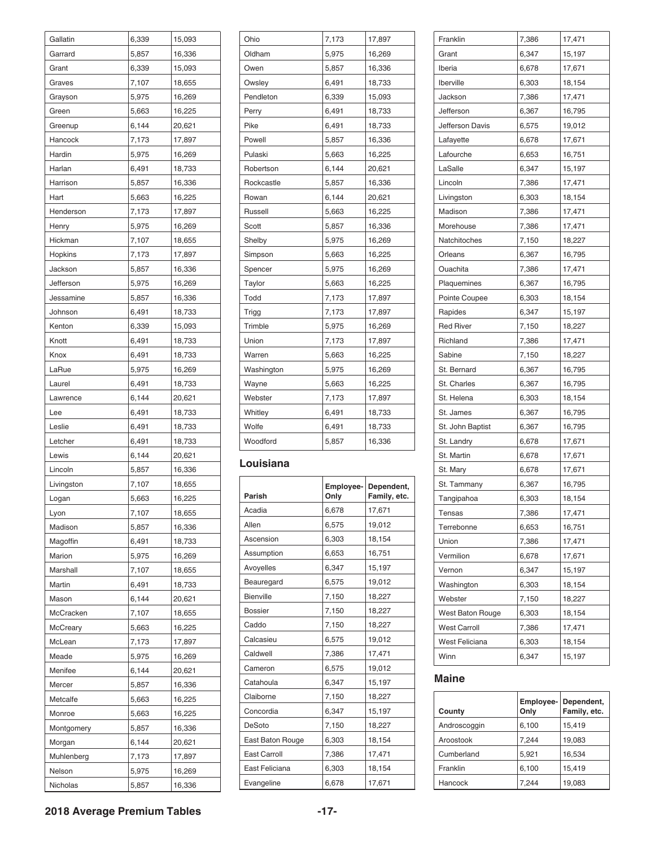| Gallatin        | 6,339 | 15,093 |
|-----------------|-------|--------|
| Garrard         | 5,857 | 16,336 |
| Grant           | 6,339 | 15,093 |
| Graves          | 7,107 | 18,655 |
| Grayson         | 5,975 | 16,269 |
| Green           | 5,663 | 16,225 |
| Greenup         | 6,144 | 20,621 |
| Hancock         | 7,173 | 17,897 |
| Hardin          | 5,975 | 16,269 |
| Harlan          | 6,491 | 18,733 |
| Harrison        | 5,857 | 16,336 |
| Hart            | 5,663 | 16,225 |
| Henderson       | 7,173 | 17,897 |
| Henry           | 5,975 | 16,269 |
| Hickman         | 7,107 | 18,655 |
| Hopkins         | 7,173 | 17,897 |
| Jackson         | 5,857 | 16,336 |
| Jefferson       | 5,975 | 16,269 |
| Jessamine       | 5,857 | 16,336 |
| Johnson         | 6,491 | 18,733 |
| Kenton          | 6,339 | 15,093 |
| Knott           | 6,491 | 18,733 |
| Knox            | 6,491 | 18,733 |
| LaRue           | 5,975 | 16,269 |
| Laurel          | 6,491 | 18,733 |
| Lawrence        | 6,144 | 20,621 |
| Lee             | 6,491 | 18,733 |
| Leslie          | 6,491 | 18,733 |
| Letcher         | 6,491 | 18,733 |
| Lewis           | 6,144 | 20,621 |
| Lincoln         | 5,857 | 16,336 |
| Livingston      | 7,107 | 18,655 |
| Logan           | 5,663 | 16,225 |
|                 | 7,107 | 18,655 |
| Lyon<br>Madison | 5,857 | 16,336 |
|                 |       | 18,733 |
| Magoffin        | 6,491 |        |
| Marion          | 5,975 | 16,269 |
| Marshall        | 7,107 | 18,655 |
| Martin          | 6,491 | 18,733 |
| Mason           | 6,144 | 20,621 |
| McCracken       | 7,107 | 18,655 |
| McCreary        | 5,663 | 16,225 |
| McLean          | 7,173 | 17,897 |
| Meade           | 5,975 | 16,269 |
| Menifee         | 6,144 | 20,621 |
| Mercer          | 5,857 | 16,336 |
| Metcalfe        | 5,663 | 16,225 |
| Monroe          | 5,663 | 16,225 |
| Montgomery      | 5,857 | 16,336 |
| Morgan          | 6,144 | 20,621 |
| Muhlenberg      | 7,173 | 17,897 |
| Nelson          | 5,975 | 16,269 |
| Nicholas        | 5,857 | 16,336 |

| Ohio       | 7,173 | 17,897 |
|------------|-------|--------|
| Oldham     | 5,975 | 16,269 |
| Owen       | 5,857 | 16,336 |
| Owsley     | 6,491 | 18,733 |
| Pendleton  | 6,339 | 15,093 |
| Perry      | 6,491 | 18,733 |
| Pike       | 6,491 | 18,733 |
| Powell     | 5,857 | 16,336 |
| Pulaski    | 5,663 | 16,225 |
| Robertson  | 6,144 | 20,621 |
| Rockcastle | 5,857 | 16,336 |
| Rowan      | 6,144 | 20,621 |
| Russell    | 5,663 | 16,225 |
| Scott      | 5,857 | 16,336 |
| Shelby     | 5,975 | 16,269 |
| Simpson    | 5,663 | 16,225 |
| Spencer    | 5,975 | 16,269 |
| Taylor     | 5,663 | 16,225 |
| Todd       | 7,173 | 17,897 |
| Trigg      | 7,173 | 17,897 |
| Trimble    | 5,975 | 16,269 |
| Union      | 7,173 | 17,897 |
| Warren     | 5,663 | 16,225 |
| Washington | 5,975 | 16,269 |
| Wayne      | 5,663 | 16,225 |
| Webster    | 7,173 | 17,897 |
| Whitley    | 6,491 | 18,733 |
| Wolfe      | 6,491 | 18,733 |
| Woodford   | 5,857 | 16,336 |

### **Louisiana**

| Parish           | Employee-<br>Only | Dependent,<br>Family, etc. |
|------------------|-------------------|----------------------------|
| Acadia           | 6,678             | 17,671                     |
| Allen            | 6.575             | 19,012                     |
| Ascension        | 6,303             | 18,154                     |
| Assumption       | 6,653             | 16,751                     |
| Avoyelles        | 6,347             | 15,197                     |
| Beauregard       | 6,575             | 19,012                     |
| Bienville        | 7,150             | 18,227                     |
| <b>Bossier</b>   | 7,150             | 18,227                     |
| Caddo            | 7,150             | 18,227                     |
| Calcasieu        | 6,575             | 19,012                     |
| Caldwell         | 7,386             | 17,471                     |
| Cameron          | 6,575             | 19,012                     |
| Catahoula        | 6.347             | 15,197                     |
| Claiborne        | 7,150             | 18,227                     |
| Concordia        | 6,347             | 15,197                     |
| <b>DeSoto</b>    | 7,150             | 18,227                     |
| East Baton Rouge | 6,303             | 18,154                     |
| East Carroll     | 7,386             | 17,471                     |
| East Feliciana   | 6,303             | 18,154                     |
| Evangeline       | 6,678             | 17,671                     |

| Franklin              | 7,386 | 17,471 |
|-----------------------|-------|--------|
| Grant                 | 6,347 | 15,197 |
| Iberia                | 6,678 | 17,671 |
| Iberville             | 6,303 | 18,154 |
| Jackson               | 7,386 | 17,471 |
| Jefferson             | 6,367 | 16,795 |
| Jefferson Davis       | 6,575 | 19,012 |
| Lafayette             | 6,678 | 17,671 |
| Lafourche             | 6,653 | 16,751 |
| LaSalle               | 6,347 | 15,197 |
| Lincoln               | 7,386 | 17,471 |
| Livingston            | 6,303 | 18,154 |
| Madison               | 7,386 | 17,471 |
| Morehouse             | 7,386 | 17,471 |
| Natchitoches          | 7,150 | 18,227 |
| Orleans               | 6,367 | 16,795 |
| Ouachita              | 7,386 | 17,471 |
| Plaquemines           | 6,367 | 16,795 |
| Pointe Coupee         | 6,303 | 18,154 |
| Rapides               | 6,347 | 15,197 |
| <b>Red River</b>      | 7,150 | 18,227 |
| Richland              | 7,386 | 17,471 |
| Sabine                | 7,150 | 18,227 |
| St. Bernard           | 6,367 | 16,795 |
| St. Charles           | 6,367 | 16,795 |
| St. Helena            | 6,303 | 18,154 |
| St. James             | 6,367 | 16,795 |
| St. John Baptist      | 6,367 | 16,795 |
| St. Landry            | 6,678 | 17,671 |
| St. Martin            | 6,678 | 17,671 |
| St. Mary              | 6,678 | 17,671 |
| St. Tammany           | 6,367 | 16,795 |
| Tangipahoa            | 6,303 | 18,154 |
| Tensas                | 7,386 | 17,471 |
| Terrebonne            | 6,653 | 16,751 |
| Union                 | 7,386 | 17,471 |
| Vermilion             | 6,678 | 17,671 |
| Vernon                | 6,347 | 15,197 |
| Washington            | 6,303 | 18,154 |
| Webster               | 7,150 | 18,227 |
| West Baton Rouge      | 6,303 | 18,154 |
| <b>West Carroll</b>   | 7,386 | 17,471 |
| <b>West Feliciana</b> | 6,303 | 18,154 |
| Winn                  | 6,347 | 15,197 |
|                       |       |        |

### **Maine**

| County       | Only  | Employee- Dependent,<br>Family, etc. |
|--------------|-------|--------------------------------------|
| Androscoggin | 6,100 | 15,419                               |
| Aroostook    | 7,244 | 19,083                               |
| Cumberland   | 5,921 | 16,534                               |
| Franklin     | 6,100 | 15,419                               |
| Hancock      | 7.244 | 19,083                               |

### **2018 Average Premium Tables -17-**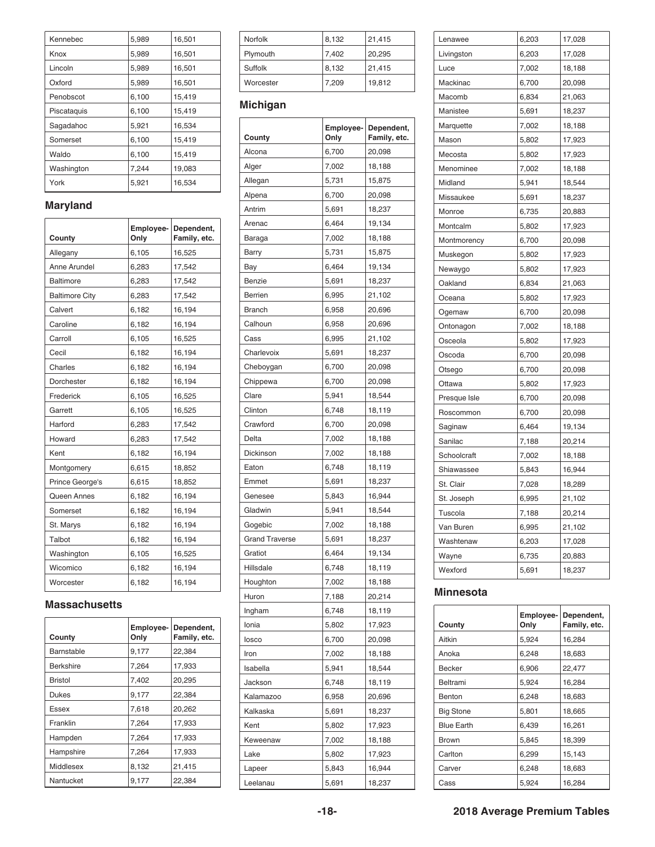| Kennebec    | 5,989 | 16,501 |
|-------------|-------|--------|
| Knox        | 5,989 | 16,501 |
| Lincoln     | 5,989 | 16,501 |
| Oxford      | 5,989 | 16,501 |
| Penobscot   | 6,100 | 15,419 |
| Piscataguis | 6,100 | 15,419 |
| Sagadahoc   | 5,921 | 16,534 |
| Somerset    | 6,100 | 15,419 |
| Waldo       | 6,100 | 15,419 |
| Washington  | 7,244 | 19,083 |
| York        | 5,921 | 16,534 |

### **Maryland**

| County                | Employee-<br>Only | Dependent,<br>Family, etc. |
|-----------------------|-------------------|----------------------------|
| Allegany              | 6,105             | 16,525                     |
| Anne Arundel          | 6,283             | 17,542                     |
| Baltimore             | 6,283             | 17,542                     |
| <b>Baltimore City</b> | 6,283             | 17,542                     |
| Calvert               | 6,182             | 16,194                     |
| Caroline              | 6,182             | 16,194                     |
| Carroll               | 6,105             | 16,525                     |
| Cecil                 | 6,182             | 16,194                     |
| Charles               | 6,182             | 16,194                     |
| Dorchester            | 6,182             | 16,194                     |
| Frederick             | 6,105             | 16,525                     |
| Garrett               | 6,105             | 16,525                     |
| Harford               | 6,283             | 17,542                     |
| Howard                | 6,283             | 17,542                     |
| Kent                  | 6,182             | 16,194                     |
| Montgomery            | 6,615             | 18,852                     |
| Prince George's       | 6,615             | 18,852                     |
| Queen Annes           | 6,182             | 16,194                     |
| Somerset              | 6,182             | 16,194                     |
| St. Marys             | 6,182             | 16,194                     |
| Talbot                | 6,182             | 16,194                     |
| Washington            | 6,105             | 16,525                     |
| Wicomico              | 6,182             | 16,194                     |
| Worcester             | 6,182             | 16,194                     |

#### **Massachusetts**

| County           | Employee-<br>Only | Dependent,<br>Family, etc. |
|------------------|-------------------|----------------------------|
| Barnstable       | 9,177             | 22,384                     |
| <b>Berkshire</b> | 7,264             | 17,933                     |
| <b>Bristol</b>   | 7,402             | 20,295                     |
| <b>Dukes</b>     | 9,177             | 22,384                     |
| Essex            | 7,618             | 20,262                     |
| Franklin         | 7,264             | 17,933                     |
| Hampden          | 7,264             | 17,933                     |
| Hampshire        | 7,264             | 17,933                     |
| Middlesex        | 8,132             | 21,415                     |
| Nantucket        | 9,177             | 22.384                     |

| Norfolk   | 8,132 | 21,415 |
|-----------|-------|--------|
| Plymouth  | 7,402 | 20,295 |
| Suffolk   | 8,132 | 21,415 |
| Worcester | 7.209 | 19,812 |

### **Michigan**

| County                | Employee-<br>Only | Dependent,<br>Family, etc. |
|-----------------------|-------------------|----------------------------|
| Alcona                | 6,700             | 20,098                     |
| Alger                 | 7,002             | 18,188                     |
| Allegan               | 5,731             | 15,875                     |
| Alpena                | 6,700             | 20,098                     |
| Antrim                | 5,691             | 18,237                     |
| Arenac                | 6,464             | 19,134                     |
| Baraga                | 7,002             | 18,188                     |
| Barry                 | 5,731             | 15,875                     |
| Bay                   | 6,464             | 19,134                     |
| Benzie                | 5,691             | 18,237                     |
| Berrien               | 6,995             | 21,102                     |
| <b>Branch</b>         | 6,958             | 20,696                     |
| Calhoun               | 6,958             | 20,696                     |
| Cass                  | 6,995             | 21,102                     |
| Charlevoix            | 5,691             | 18,237                     |
| Cheboygan             | 6,700             | 20,098                     |
| Chippewa              | 6,700             | 20,098                     |
| Clare                 | 5,941             | 18,544                     |
| Clinton               | 6,748             | 18,119                     |
| Crawford              | 6,700             | 20,098                     |
| Delta                 | 7,002             | 18,188                     |
| Dickinson             | 7,002             | 18,188                     |
| Eaton                 | 6,748             | 18,119                     |
| Emmet                 | 5,691             | 18,237                     |
| Genesee               | 5,843             | 16,944                     |
| Gladwin               | 5,941             | 18,544                     |
| Gogebic               | 7,002             | 18,188                     |
| <b>Grand Traverse</b> | 5,691             | 18,237                     |
| Gratiot               | 6,464             | 19,134                     |
| Hillsdale             | 6,748             | 18,119                     |
| Houghton              | 7,002             | 18,188                     |
| Huron                 | 7,188             | 20,214                     |
| Ingham                | 6,748             | 18,119                     |
| Ionia                 | 5,802             | 17,923                     |
| losco                 | 6,700             | 20,098                     |
| Iron                  | 7,002             | 18,188                     |
| Isabella              | 5,941             | 18,544                     |
| Jackson               | 6,748             | 18,119                     |
| Kalamazoo             | 6,958             | 20,696                     |
| Kalkaska              | 5,691             | 18,237                     |
| Kent                  | 5,802             | 17,923                     |
| Keweenaw              | 7,002             | 18,188                     |
| Lake                  | 5,802             | 17,923                     |
| Lapeer                | 5,843             | 16,944                     |
| Leelanau              | 5,691             | 18,237                     |

| Lenawee      | 6,203 | 17,028 |
|--------------|-------|--------|
| Livingston   | 6,203 | 17,028 |
| Luce         | 7,002 | 18,188 |
| Mackinac     | 6,700 | 20,098 |
| Macomb       | 6,834 | 21,063 |
| Manistee     | 5,691 | 18,237 |
| Marquette    | 7,002 | 18,188 |
| Mason        | 5,802 | 17,923 |
| Mecosta      | 5,802 | 17,923 |
| Menominee    | 7,002 | 18,188 |
| Midland      | 5,941 | 18,544 |
| Missaukee    | 5,691 | 18,237 |
| Monroe       | 6,735 | 20,883 |
| Montcalm     | 5,802 | 17,923 |
| Montmorency  | 6,700 | 20,098 |
| Muskegon     | 5,802 | 17,923 |
| Newaygo      | 5,802 | 17,923 |
| Oakland      | 6,834 | 21,063 |
| Oceana       | 5,802 | 17,923 |
| Ogemaw       | 6,700 | 20,098 |
| Ontonagon    | 7,002 | 18,188 |
| Osceola      | 5,802 | 17,923 |
| Oscoda       | 6,700 | 20,098 |
| Otsego       | 6,700 | 20,098 |
| Ottawa       | 5,802 | 17,923 |
| Presque Isle | 6,700 | 20,098 |
| Roscommon    | 6,700 | 20,098 |
| Saginaw      | 6,464 | 19,134 |
| Sanilac      | 7,188 | 20,214 |
| Schoolcraft  | 7,002 | 18,188 |
| Shiawassee   | 5,843 | 16,944 |
| St. Clair    | 7,028 | 18,289 |
| St. Joseph   | 6,995 | 21,102 |
| Tuscola      | 7,188 | 20,214 |
| Van Buren    | 6,995 | 21,102 |
| Washtenaw    | 6,203 | 17,028 |
| Wayne        | 6,735 | 20,883 |
| Wexford      | 5,691 | 18,237 |

#### **Minnesota**

| County            | Employee-<br>Only | Dependent,<br>Family, etc. |
|-------------------|-------------------|----------------------------|
| Aitkin            | 5,924             | 16,284                     |
| Anoka             | 6,248             | 18,683                     |
| Becker            | 6,906             | 22,477                     |
| Beltrami          | 5,924             | 16,284                     |
| Benton            | 6.248             | 18,683                     |
| <b>Big Stone</b>  | 5,801             | 18,665                     |
| <b>Blue Earth</b> | 6,439             | 16,261                     |
| <b>Brown</b>      | 5,845             | 18,399                     |
| Carlton           | 6,299             | 15,143                     |
| Carver            | 6,248             | 18,683                     |
| Cass              | 5.924             | 16,284                     |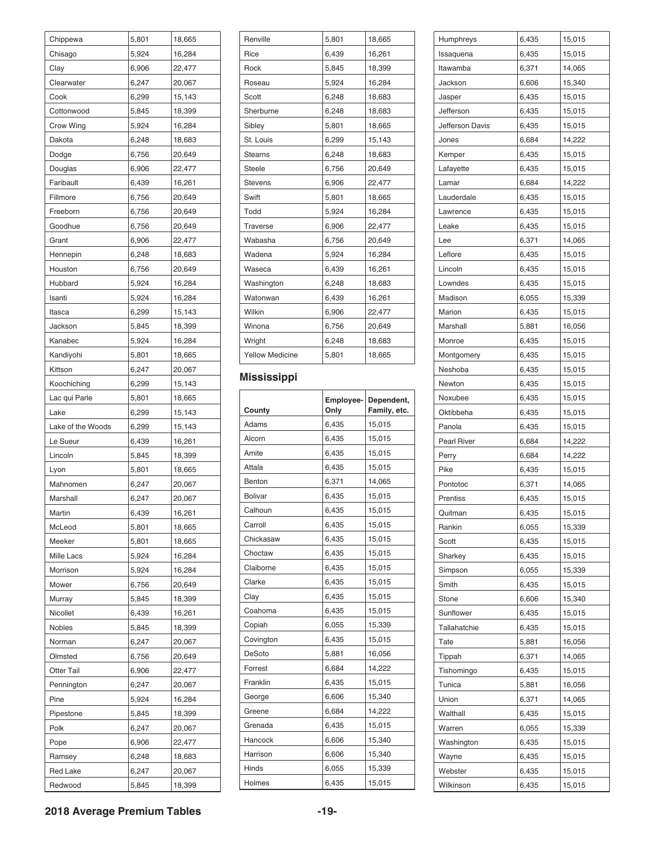| Chippewa          | 5,801 | 18,665 |
|-------------------|-------|--------|
| Chisago           | 5,924 | 16,284 |
| Clay              | 6,906 | 22,477 |
| Clearwater        | 6,247 | 20,067 |
| Cook              | 6,299 | 15,143 |
| Cottonwood        | 5,845 | 18,399 |
| Crow Wing         | 5,924 | 16,284 |
| Dakota            | 6,248 | 18,683 |
| Dodge             | 6,756 | 20,649 |
| Douglas           | 6,906 | 22,477 |
| Faribault         | 6,439 | 16,261 |
| Fillmore          | 6,756 | 20,649 |
| Freeborn          | 6,756 | 20,649 |
| Goodhue           | 6,756 | 20,649 |
| Grant             | 6,906 | 22,477 |
| Hennepin          | 6,248 | 18,683 |
| Houston           | 6,756 | 20,649 |
| Hubbard           | 5,924 | 16,284 |
| Isanti            | 5,924 | 16,284 |
| Itasca            | 6,299 | 15,143 |
| Jackson           | 5,845 | 18,399 |
| Kanabec           | 5,924 | 16,284 |
| Kandiyohi         | 5,801 | 18,665 |
| Kittson           | 6,247 | 20,067 |
| Koochiching       | 6,299 | 15,143 |
| Lac qui Parle     | 5,801 | 18,665 |
| Lake              | 6,299 | 15,143 |
| Lake of the Woods | 6,299 | 15,143 |
| Le Sueur          | 6,439 | 16,261 |
| Lincoln           | 5,845 | 18,399 |
| Lyon              | 5,801 | 18,665 |
| Mahnomen          | 6,247 | 20,067 |
| Marshall          | 6,247 | 20,067 |
| Martin            | 6,439 | 16,261 |
| McLeod            | 5,801 | 18,665 |
| Meeker            | 5,801 | 18,665 |
| <b>Mille Lacs</b> | 5,924 | 16,284 |
| Morrison          | 5,924 | 16,284 |
| Mower             | 6,756 | 20,649 |
| Murray            | 5,845 | 18,399 |
| Nicollet          | 6,439 | 16,261 |
| Nobles            |       |        |
|                   | 5,845 | 18,399 |
| Norman            | 6,247 | 20,067 |
| Olmsted           | 6,756 | 20,649 |
| <b>Otter Tail</b> | 6,906 | 22,477 |
| Pennington        | 6,247 | 20,067 |
| Pine              | 5,924 | 16,284 |
| Pipestone         | 5,845 | 18,399 |
| Polk              | 6,247 | 20,067 |
| Pope              | 6,906 | 22,477 |
| Ramsey            | 6,248 | 18,683 |
| <b>Red Lake</b>   | 6,247 | 20,067 |

| Renville               | 5,801 | 18,665 |
|------------------------|-------|--------|
| Rice                   | 6,439 | 16,261 |
| Rock                   | 5,845 | 18,399 |
| Roseau                 | 5,924 | 16,284 |
| Scott                  | 6,248 | 18,683 |
| Sherburne              | 6,248 | 18,683 |
| Sibley                 | 5,801 | 18,665 |
| St. Louis              | 6,299 | 15,143 |
| <b>Stearns</b>         | 6,248 | 18,683 |
| <b>Steele</b>          | 6,756 | 20,649 |
| <b>Stevens</b>         | 6,906 | 22,477 |
| Swift                  | 5,801 | 18,665 |
| Todd                   | 5,924 | 16,284 |
| <b>Traverse</b>        | 6,906 | 22,477 |
| Wabasha                | 6,756 | 20,649 |
| Wadena                 | 5,924 | 16,284 |
| Waseca                 | 6,439 | 16,261 |
| Washington             | 6,248 | 18,683 |
| Watonwan               | 6,439 | 16,261 |
| Wilkin                 | 6,906 | 22,477 |
| Winona                 | 6,756 | 20,649 |
| Wright                 | 6,248 | 18,683 |
| <b>Yellow Medicine</b> | 5,801 | 18,665 |
|                        |       |        |

### **Mississippi**

| County    | Employee-<br>Only | Dependent,<br>Family, etc. |
|-----------|-------------------|----------------------------|
| Adams     | 6,435             | 15,015                     |
| Alcorn    | 6,435             | 15,015                     |
| Amite     | 6,435             | 15,015                     |
| Attala    | 6,435             | 15,015                     |
| Benton    | 6,371             | 14,065                     |
| Bolivar   | 6,435             | 15,015                     |
| Calhoun   | 6,435             | 15,015                     |
| Carroll   | 6,435             | 15,015                     |
| Chickasaw | 6,435             | 15,015                     |
| Choctaw   | 6,435             | 15,015                     |
| Claiborne | 6,435             | 15,015                     |
| Clarke    | 6,435             | 15,015                     |
| Clay      | 6,435             | 15,015                     |
| Coahoma   | 6,435             | 15,015                     |
| Copiah    | 6,055             | 15,339                     |
| Covington | 6,435             | 15,015                     |
| DeSoto    | 5,881             | 16,056                     |
| Forrest   | 6,684             | 14,222                     |
| Franklin  | 6,435             | 15,015                     |
| George    | 6,606             | 15,340                     |
| Greene    | 6,684             | 14,222                     |
| Grenada   | 6,435             | 15,015                     |
| Hancock   | 6,606             | 15,340                     |
| Harrison  | 6,606             | 15,340                     |
| Hinds     | 6,055             | 15,339                     |
| Holmes    | 6,435             | 15,015                     |

| Humphreys          | 6,435 | 15,015           |
|--------------------|-------|------------------|
| Issaquena          | 6,435 | 15,015           |
| Itawamba           | 6,371 | 14,065           |
| Jackson            | 6,606 | 15,340           |
| Jasper             | 6.435 | 15,015           |
| Jefferson          | 6,435 | 15,015           |
| Jefferson Davis    | 6,435 | 15,015           |
| Jones              | 6,684 | 14,222           |
| Kemper             | 6,435 | 15,015           |
| Lafayette          | 6,435 | 15,015           |
| Lamar              | 6,684 | 14,222           |
| Lauderdale         | 6,435 | 15,015           |
| Lawrence           | 6,435 | 15,015           |
| Leake              | 6,435 | 15,015           |
| Lee                | 6,371 | 14,065           |
| Leflore            | 6,435 | 15,015           |
| Lincoln            | 6,435 | 15,015           |
| Lowndes            | 6,435 | 15,015           |
| Madison            | 6,055 | 15,339           |
| Marion             | 6,435 | 15,015           |
| Marshall           | 5,881 | 16,056           |
| Monroe             | 6,435 | 15,015           |
| Montgomery         | 6,435 | 15,015           |
| Neshoba            | 6,435 | 15,015           |
| Newton             | 6,435 | 15,015           |
| Noxubee            | 6,435 | 15,015           |
| Oktibbeha          | 6,435 | 15,015           |
| Panola             | 6,435 | 15,015           |
| Pearl River        | 6,684 | 14,222           |
| Perry              | 6,684 | 14,222           |
| Pike               | 6,435 | 15,015           |
| Pontotoc           | 6,371 | 14,065           |
| Prentiss           | 6,435 | 15,015           |
| Quitman            | 6,435 | 15,015           |
| Rankin             | 6,055 | 15,339           |
| Scott              | 6,435 | 15,015           |
| Sharkey            | 6,435 | 15,015           |
| Simpson            | 6,055 | 15,339           |
| Smith              | 6,435 | 15,015           |
|                    |       | 15,340           |
| Stone<br>Sunflower | 6,606 |                  |
|                    | 6,435 | 15,015<br>15,015 |
| Tallahatchie       | 6,435 |                  |
| Tate               | 5,881 | 16,056           |
| Tippah             | 6,371 | 14,065           |
| Tishomingo         | 6,435 | 15,015           |
| Tunica             | 5,881 | 16,056           |
| Union              | 6,371 | 14,065           |
| Walthall           | 6,435 | 15,015           |
| Warren             | 6,055 | 15,339           |
| Washington         | 6,435 | 15,015           |
| Wayne              | 6,435 | 15,015           |
| Webster            | 6,435 | 15,015           |
| Wilkinson          | 6,435 | 15,015           |

#### **2018 Average Premium Tables -19-**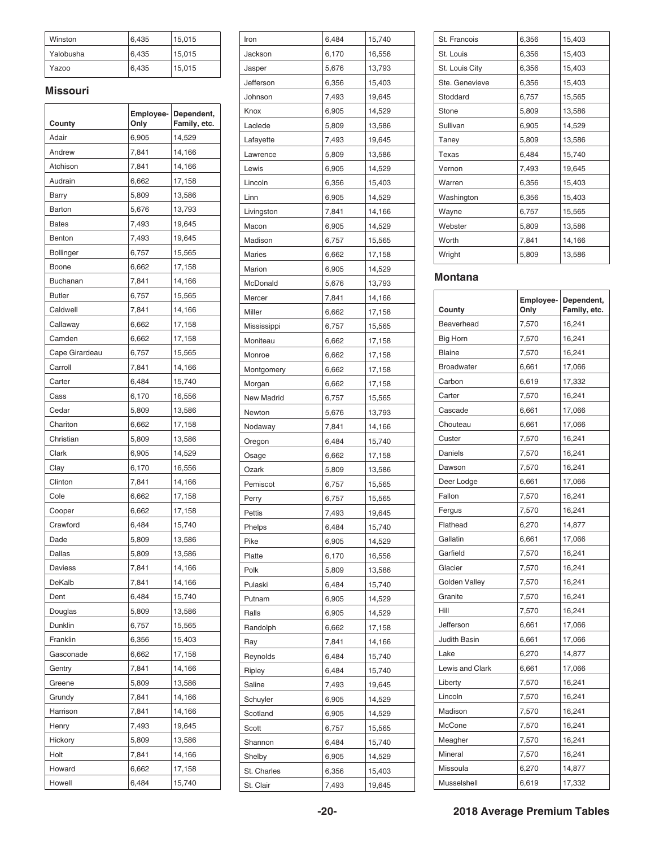| Winston   | 6,435 | 15,015 |
|-----------|-------|--------|
| Yalobusha | 6,435 | 15,015 |
| Yazoo     | 6,435 | 15,015 |

#### **Missouri**

| County         | Employee-<br>Only | Dependent,<br>Family, etc. |
|----------------|-------------------|----------------------------|
| Adair          | 6,905             | 14,529                     |
| Andrew         | 7,841             | 14,166                     |
| Atchison       | 7,841             | 14,166                     |
| Audrain        | 6,662             | 17,158                     |
| Barry          | 5,809             | 13,586                     |
| Barton         | 5,676             | 13,793                     |
| <b>Bates</b>   | 7,493             | 19,645                     |
| Benton         | 7,493             | 19,645                     |
| Bollinger      | 6,757             | 15,565                     |
| Boone          | 6,662             | 17,158                     |
| Buchanan       | 7,841             | 14,166                     |
| <b>Butler</b>  | 6,757             | 15,565                     |
| Caldwell       | 7,841             | 14,166                     |
| Callaway       | 6,662             | 17,158                     |
| Camden         | 6,662             | 17,158                     |
| Cape Girardeau | 6,757             | 15,565                     |
| Carroll        | 7,841             | 14,166                     |
| Carter         | 6,484             | 15,740                     |
| Cass           | 6,170             | 16,556                     |
| Cedar          | 5,809             | 13,586                     |
| Chariton       | 6,662             | 17,158                     |
| Christian      | 5,809             | 13,586                     |
| Clark          | 6,905             | 14,529                     |
| Clay           | 6,170             | 16,556                     |
| Clinton        | 7,841             | 14,166                     |
| Cole           | 6,662             | 17,158                     |
| Cooper         | 6,662             | 17,158                     |
| Crawford       | 6,484             | 15,740                     |
| Dade           | 5,809             | 13,586                     |
| Dallas         | 5,809             | 13,586                     |
| Daviess        | 7,841             | 14,166                     |
| DeKalb         | 7,841             | 14,166                     |
| Dent           | 6,484             | 15,740                     |
| Douglas        | 5,809             | 13,586                     |
| Dunklin        | 6,757             | 15,565                     |
| Franklin       | 6,356             | 15,403                     |
| Gasconade      | 6,662             | 17,158                     |
| Gentry         | 7,841             | 14,166                     |
| Greene         | 5,809             | 13,586                     |
| Grundy         | 7,841             | 14,166                     |
| Harrison       | 7,841             | 14,166                     |
| Henry          | 7,493             | 19,645                     |
| Hickory        | 5,809             | 13,586                     |
| Holt           | 7,841             | 14,166                     |
| Howard         | 6,662             | 17,158                     |
| Howell         | 6,484             | 15,740                     |

| Iron          | 6,484 | 15,740 |
|---------------|-------|--------|
| Jackson       | 6,170 | 16,556 |
| Jasper        | 5,676 | 13,793 |
| Jefferson     | 6,356 | 15,403 |
| Johnson       | 7,493 | 19,645 |
| Knox          | 6,905 | 14,529 |
| Laclede       | 5,809 | 13,586 |
| Lafayette     | 7,493 | 19,645 |
| Lawrence      | 5,809 | 13,586 |
| Lewis         | 6,905 | 14,529 |
| Lincoln       | 6,356 | 15,403 |
| Linn          | 6,905 | 14,529 |
| Livingston    | 7,841 | 14,166 |
| Macon         | 6,905 | 14,529 |
| Madison       | 6,757 | 15,565 |
| <b>Maries</b> | 6,662 | 17,158 |
| Marion        | 6,905 | 14,529 |
| McDonald      | 5,676 | 13,793 |
| Mercer        | 7,841 | 14,166 |
| Miller        | 6,662 | 17,158 |
| Mississippi   | 6,757 | 15,565 |
| Moniteau      | 6,662 | 17,158 |
| Monroe        | 6,662 | 17,158 |
| Montgomery    | 6,662 | 17,158 |
| Morgan        | 6,662 | 17,158 |
| New Madrid    | 6,757 | 15,565 |
| Newton        | 5,676 | 13,793 |
| Nodaway       | 7,841 | 14,166 |
| Oregon        | 6,484 | 15,740 |
| Osage         | 6,662 | 17,158 |
| Ozark         | 5,809 | 13,586 |
| Pemiscot      | 6,757 | 15,565 |
| Perry         | 6,757 | 15,565 |
| Pettis        | 7,493 | 19,645 |
| Phelps        | 6,484 | 15,740 |
| Pike          | 6,905 | 14,529 |
| Platte        | 6,170 | 16,556 |
| Polk          | 5,809 | 13,586 |
| Pulaski       | 6,484 | 15,740 |
| Putnam        | 6,905 | 14,529 |
| Ralls         | 6,905 | 14,529 |
| Randolph      | 6,662 | 17,158 |
| Ray           | 7,841 | 14,166 |
| Reynolds      | 6,484 | 15,740 |
| Ripley        | 6,484 | 15,740 |
| Saline        | 7,493 | 19,645 |
| Schuyler      | 6,905 | 14,529 |
| Scotland      | 6,905 | 14,529 |
| Scott         | 6,757 | 15,565 |
| Shannon       | 6,484 | 15,740 |
| Shelby        | 6,905 | 14,529 |
| St. Charles   | 6,356 | 15,403 |
| St. Clair     | 7,493 | 19,645 |

| St. Francois   | 6,356 | 15,403 |
|----------------|-------|--------|
| St. Louis      | 6,356 | 15,403 |
| St. Louis City | 6,356 | 15,403 |
| Ste. Genevieve | 6,356 | 15,403 |
| Stoddard       | 6,757 | 15,565 |
| Stone          | 5,809 | 13,586 |
| Sullivan       | 6,905 | 14,529 |
| Taney          | 5,809 | 13,586 |
| Texas          | 6,484 | 15,740 |
| Vernon         | 7,493 | 19,645 |
| Warren         | 6,356 | 15,403 |
| Washington     | 6,356 | 15,403 |
| Wayne          | 6,757 | 15,565 |
| Webster        | 5,809 | 13,586 |
| Worth          | 7,841 | 14,166 |
| Wright         | 5,809 | 13,586 |
|                |       |        |

#### **Montana**

| County            | Employee-<br>Only | Dependent,<br>Family, etc. |
|-------------------|-------------------|----------------------------|
| Beaverhead        | 7,570             | 16,241                     |
| <b>Big Horn</b>   | 7,570             | 16,241                     |
| <b>Blaine</b>     | 7,570             | 16,241                     |
| <b>Broadwater</b> | 6,661             | 17,066                     |
| Carbon            | 6,619             | 17,332                     |
| Carter            | 7,570             | 16,241                     |
| Cascade           | 6,661             | 17,066                     |
| Chouteau          | 6,661             | 17,066                     |
| Custer            | 7,570             | 16,241                     |
| Daniels           | 7,570             | 16,241                     |
| Dawson            | 7,570             | 16,241                     |
| Deer Lodge        | 6,661             | 17,066                     |
| Fallon            | 7,570             | 16,241                     |
| Fergus            | 7,570             | 16,241                     |
| Flathead          | 6,270             | 14,877                     |
| Gallatin          | 6,661             | 17,066                     |
| Garfield          | 7,570             | 16,241                     |
| Glacier           | 7,570             | 16,241                     |
| Golden Valley     | 7,570             | 16,241                     |
| Granite           | 7,570             | 16,241                     |
| Hill              | 7,570             | 16,241                     |
| Jefferson         | 6,661             | 17,066                     |
| Judith Basin      | 6,661             | 17,066                     |
| Lake              | 6,270             | 14,877                     |
| Lewis and Clark   | 6,661             | 17,066                     |
| Liberty           | 7,570             | 16,241                     |
| Lincoln           | 7,570             | 16,241                     |
| Madison           | 7,570             | 16,241                     |
| McCone            | 7,570             | 16,241                     |
| Meagher           | 7,570             | 16,241                     |
| Mineral           | 7,570             | 16,241                     |
| Missoula          | 6,270             | 14,877                     |
| Musselshell       | 6,619             | 17,332                     |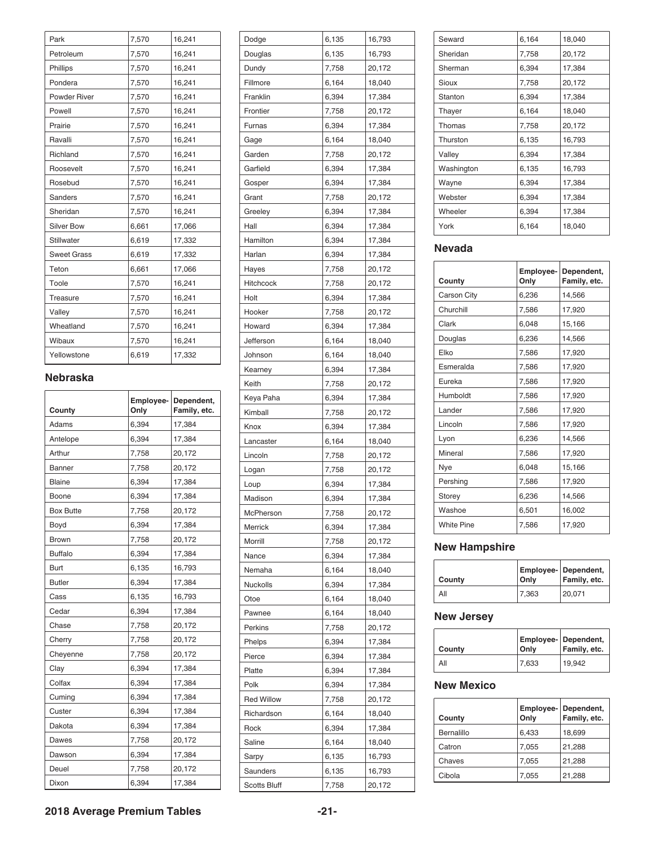| Park                | 7,570 | 16,241 |
|---------------------|-------|--------|
| Petroleum           | 7,570 | 16,241 |
| Phillips            | 7,570 | 16,241 |
| Pondera             | 7,570 | 16,241 |
| <b>Powder River</b> | 7,570 | 16,241 |
| Powell              | 7,570 | 16,241 |
| Prairie             | 7,570 | 16,241 |
| Ravalli             | 7,570 | 16,241 |
| Richland            | 7,570 | 16,241 |
| Roosevelt           | 7,570 | 16,241 |
| Rosebud             | 7,570 | 16,241 |
| <b>Sanders</b>      | 7,570 | 16,241 |
| Sheridan            | 7,570 | 16,241 |
| <b>Silver Bow</b>   | 6,661 | 17,066 |
| <b>Stillwater</b>   | 6,619 | 17,332 |
| <b>Sweet Grass</b>  | 6,619 | 17,332 |
| Teton               | 6,661 | 17,066 |
| Toole               | 7,570 | 16,241 |
| <b>Treasure</b>     | 7,570 | 16,241 |
| Valley              | 7,570 | 16,241 |
| Wheatland           | 7,570 | 16,241 |
| Wibaux              | 7,570 | 16,241 |
| Yellowstone         | 6,619 | 17,332 |

 $\Gamma$ 

### **Nebraska**

| County           | Employee-<br>Only | Dependent,<br>Family, etc. |
|------------------|-------------------|----------------------------|
| Adams            | 6,394             | 17,384                     |
| Antelope         | 6,394             | 17,384                     |
| Arthur           | 7,758             | 20,172                     |
| Banner           | 7,758             | 20,172                     |
| <b>Blaine</b>    | 6,394             | 17,384                     |
| Boone            | 6,394             | 17,384                     |
| <b>Box Butte</b> | 7,758             | 20,172                     |
| Boyd             | 6,394             | 17,384                     |
| <b>Brown</b>     | 7,758             | 20,172                     |
| <b>Buffalo</b>   | 6,394             | 17,384                     |
| Burt             | 6,135             | 16,793                     |
| <b>Butler</b>    | 6,394             | 17,384                     |
| Cass             | 6,135             | 16,793                     |
| Cedar            | 6,394             | 17,384                     |
| Chase            | 7,758             | 20,172                     |
| Cherry           | 7,758             | 20,172                     |
| Cheyenne         | 7,758             | 20,172                     |
| Clay             | 6,394             | 17,384                     |
| Colfax           | 6,394             | 17,384                     |
| Cuming           | 6,394             | 17,384                     |
| Custer           | 6,394             | 17,384                     |
| Dakota           | 6,394             | 17,384                     |
| Dawes            | 7,758             | 20,172                     |
| Dawson           | 6,394             | 17,384                     |
| Deuel            | 7,758             | 20,172                     |
| Dixon            | 6,394             | 17,384                     |

| Dodge               | 6,135 | 16,793 |
|---------------------|-------|--------|
| Douglas             | 6,135 | 16,793 |
| Dundy               | 7,758 | 20,172 |
| Fillmore            | 6,164 | 18,040 |
| Franklin            | 6,394 | 17,384 |
| Frontier            | 7,758 | 20,172 |
| Furnas              | 6,394 | 17,384 |
| Gage                | 6,164 | 18,040 |
| Garden              | 7,758 | 20,172 |
| Garfield            | 6,394 | 17,384 |
| Gosper              | 6,394 | 17,384 |
| Grant               | 7,758 | 20,172 |
| Greeley             | 6,394 | 17,384 |
| Hall                | 6,394 | 17,384 |
| Hamilton            | 6,394 | 17,384 |
| Harlan              | 6,394 | 17,384 |
| Hayes               | 7,758 | 20,172 |
| Hitchcock           | 7,758 | 20,172 |
| Holt                | 6,394 | 17,384 |
| Hooker              | 7,758 | 20,172 |
| Howard              | 6,394 | 17,384 |
| Jefferson           | 6,164 | 18,040 |
| Johnson             | 6,164 | 18,040 |
| Kearney             | 6,394 | 17,384 |
| Keith               | 7,758 | 20,172 |
| Keya Paha           | 6,394 | 17,384 |
| Kimball             | 7,758 | 20,172 |
| Knox                | 6,394 | 17,384 |
| Lancaster           | 6,164 | 18,040 |
| Lincoln             | 7,758 | 20,172 |
| Logan               | 7,758 | 20,172 |
| Loup                | 6,394 | 17,384 |
| Madison             | 6,394 | 17,384 |
| McPherson           | 7,758 | 20,172 |
| Merrick             | 6,394 | 17,384 |
| Morrill             | 7,758 | 20,172 |
| Nance               | 6,394 | 17,384 |
| Nemaha              | 6,164 | 18,040 |
| Nuckolls            | 6,394 | 17,384 |
| Otoe                | 6,164 | 18,040 |
| Pawnee              | 6,164 | 18,040 |
| Perkins             | 7,758 | 20,172 |
| Phelps              | 6,394 | 17,384 |
| Pierce              | 6,394 | 17,384 |
| Platte              | 6,394 | 17,384 |
| Polk                | 6,394 | 17,384 |
| <b>Red Willow</b>   | 7,758 | 20,172 |
| Richardson          | 6,164 | 18,040 |
| Rock                | 6,394 | 17,384 |
| Saline              | 6,164 | 18,040 |
| Sarpy               | 6,135 | 16,793 |
| Saunders            | 6,135 | 16,793 |
| <b>Scotts Bluff</b> | 7,758 | 20,172 |
|                     |       |        |

| Seward     | 6,164 | 18,040 |
|------------|-------|--------|
| Sheridan   | 7,758 | 20,172 |
| Sherman    | 6,394 | 17,384 |
| Sioux      | 7,758 | 20,172 |
| Stanton    | 6,394 | 17,384 |
| Thayer     | 6,164 | 18,040 |
| Thomas     | 7,758 | 20,172 |
| Thurston   | 6,135 | 16,793 |
| Valley     | 6,394 | 17,384 |
| Washington | 6,135 | 16,793 |
| Wayne      | 6,394 | 17,384 |
| Webster    | 6,394 | 17,384 |
| Wheeler    | 6,394 | 17,384 |
| York       | 6,164 | 18,040 |
|            |       |        |

### **Nevada**

|                   | Employee- | Dependent,   |
|-------------------|-----------|--------------|
| County            | Only      | Family, etc. |
| Carson City       | 6,236     | 14,566       |
| Churchill         | 7.586     | 17,920       |
| Clark             | 6,048     | 15,166       |
| Douglas           | 6.236     | 14.566       |
| Elko              | 7.586     | 17,920       |
| Esmeralda         | 7,586     | 17,920       |
| Eureka            | 7.586     | 17,920       |
| Humboldt          | 7,586     | 17,920       |
| Lander            | 7,586     | 17,920       |
| Lincoln           | 7,586     | 17,920       |
| Lyon              | 6,236     | 14,566       |
| Mineral           | 7,586     | 17,920       |
| Nye               | 6,048     | 15,166       |
| Pershing          | 7,586     | 17,920       |
| Storey            | 6,236     | 14,566       |
| Washoe            | 6,501     | 16,002       |
| <b>White Pine</b> | 7,586     | 17,920       |

### **New Hampshire**

| County | Only  | Employee- Dependent,<br>Family, etc. |
|--------|-------|--------------------------------------|
| All    | 7.363 | 20.071                               |

### **New Jersey**

| County | Only  | Employee- Dependent,<br>Family, etc. |
|--------|-------|--------------------------------------|
| All    | 7,633 | 19.942                               |

### **New Mexico**

| County     | Only  | Employee- Dependent,<br>Family, etc. |
|------------|-------|--------------------------------------|
| Bernalillo | 6,433 | 18,699                               |
| Catron     | 7,055 | 21,288                               |
| Chaves     | 7,055 | 21,288                               |
| Cibola     | 7,055 | 21,288                               |

**2018 Average Premium Tables -21-**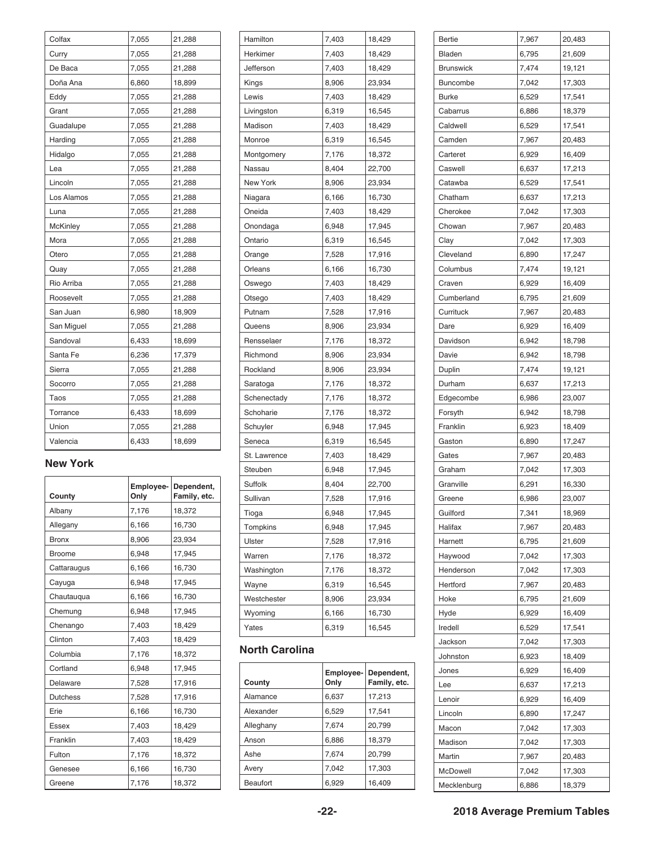| Colfax     | 7,055 | 21,288 |
|------------|-------|--------|
| Curry      | 7,055 | 21,288 |
| De Baca    | 7,055 | 21,288 |
| Doña Ana   | 6,860 | 18,899 |
| Eddy       | 7,055 | 21,288 |
| Grant      | 7,055 | 21,288 |
| Guadalupe  | 7,055 | 21,288 |
| Harding    | 7,055 | 21,288 |
| Hidalgo    | 7,055 | 21,288 |
| Lea        | 7,055 | 21,288 |
| Lincoln    | 7,055 | 21,288 |
| Los Alamos | 7,055 | 21,288 |
| Luna       | 7,055 | 21,288 |
| McKinley   | 7,055 | 21,288 |
| Mora       | 7,055 | 21,288 |
| Otero      | 7,055 | 21,288 |
| Quay       | 7,055 | 21,288 |
| Rio Arriba | 7,055 | 21,288 |
| Roosevelt  | 7,055 | 21,288 |
| San Juan   | 6,980 | 18,909 |
| San Miguel | 7,055 | 21,288 |
| Sandoval   | 6,433 | 18,699 |
| Santa Fe   | 6,236 | 17,379 |
| Sierra     | 7,055 | 21,288 |
| Socorro    | 7,055 | 21,288 |
| Taos       | 7,055 | 21,288 |
| Torrance   | 6,433 | 18,699 |
| Union      | 7,055 | 21,288 |
| Valencia   | 6.433 | 18,699 |

#### **New York**

| County          | Employee-<br>Only | Dependent,<br>Family, etc. |
|-----------------|-------------------|----------------------------|
| Albany          | 7,176             | 18,372                     |
| Allegany        | 6,166             | 16,730                     |
| <b>Bronx</b>    | 8,906             | 23,934                     |
| <b>Broome</b>   | 6,948             | 17,945                     |
| Cattaraugus     | 6,166             | 16,730                     |
| Cayuga          | 6,948             | 17,945                     |
| Chautauqua      | 6,166             | 16,730                     |
| Chemung         | 6,948             | 17,945                     |
| Chenango        | 7,403             | 18,429                     |
| Clinton         | 7,403             | 18,429                     |
| Columbia        | 7,176             | 18,372                     |
| Cortland        | 6,948             | 17,945                     |
| Delaware        | 7,528             | 17,916                     |
| <b>Dutchess</b> | 7,528             | 17,916                     |
| Erie            | 6,166             | 16,730                     |
| <b>Essex</b>    | 7,403             | 18,429                     |
| Franklin        | 7,403             | 18,429                     |
| Fulton          | 7,176             | 18,372                     |
| Genesee         | 6,166             | 16,730                     |
| Greene          | 7,176             | 18,372                     |

| Hamilton     | 7,403 | 18,429 |
|--------------|-------|--------|
| Herkimer     | 7,403 | 18,429 |
| Jefferson    | 7,403 | 18,429 |
| Kings        | 8,906 | 23,934 |
| Lewis        | 7,403 | 18,429 |
| Livingston   | 6,319 | 16,545 |
| Madison      | 7,403 | 18,429 |
| Monroe       | 6,319 | 16,545 |
| Montgomery   | 7,176 | 18,372 |
| Nassau       | 8,404 | 22,700 |
| New York     | 8,906 | 23,934 |
| Niagara      | 6,166 | 16,730 |
| Oneida       | 7,403 | 18,429 |
| Onondaga     | 6,948 | 17,945 |
| Ontario      | 6,319 | 16,545 |
| Orange       | 7,528 | 17,916 |
| Orleans      | 6,166 | 16,730 |
| Oswego       | 7,403 | 18,429 |
| Otsego       | 7,403 | 18,429 |
| Putnam       | 7,528 | 17,916 |
| Queens       | 8,906 | 23,934 |
| Rensselaer   | 7,176 | 18,372 |
| Richmond     | 8,906 | 23,934 |
| Rockland     | 8,906 | 23,934 |
| Saratoga     | 7,176 | 18,372 |
| Schenectady  | 7,176 | 18,372 |
| Schoharie    | 7,176 | 18,372 |
| Schuyler     | 6,948 | 17,945 |
| Seneca       | 6,319 | 16,545 |
| St. Lawrence | 7,403 | 18,429 |
| Steuben      | 6,948 | 17,945 |
| Suffolk      | 8,404 | 22,700 |
| Sullivan     | 7,528 | 17,916 |
| Tioga        | 6,948 | 17,945 |
| Tompkins     | 6,948 | 17,945 |
| Ulster       | 7,528 | 17,916 |
| Warren       | 7,176 | 18,372 |
| Washington   | 7,176 | 18,372 |
| Wayne        | 6,319 | 16,545 |
| Westchester  | 8,906 | 23,934 |
| Wyoming      | 6,166 | 16,730 |
| Yates        | 6,319 | 16,545 |

#### **North Carolina**

| County    | Only  | Employee- Dependent,<br>Family, etc. |
|-----------|-------|--------------------------------------|
| Alamance  | 6,637 | 17,213                               |
| Alexander | 6,529 | 17,541                               |
| Alleghany | 7,674 | 20,799                               |
| Anson     | 6,886 | 18,379                               |
| Ashe      | 7,674 | 20,799                               |
| Avery     | 7,042 | 17,303                               |
| Beaufort  | 6,929 | 16,409                               |

| Bertie           | 7,967 | 20,483 |
|------------------|-------|--------|
| Bladen           | 6,795 | 21,609 |
| <b>Brunswick</b> | 7,474 | 19,121 |
| Buncombe         | 7,042 | 17,303 |
| <b>Burke</b>     | 6,529 | 17,541 |
| Cabarrus         | 6,886 | 18,379 |
| Caldwell         | 6,529 | 17,541 |
| Camden           | 7,967 | 20,483 |
| Carteret         | 6,929 | 16,409 |
| Caswell          | 6,637 | 17,213 |
| Catawba          | 6,529 | 17,541 |
| Chatham          | 6,637 | 17,213 |
| Cherokee         | 7,042 | 17,303 |
| Chowan           | 7,967 | 20,483 |
| Clay             | 7,042 | 17,303 |
| Cleveland        | 6,890 | 17,247 |
| Columbus         | 7,474 | 19,121 |
| Craven           | 6,929 | 16,409 |
| Cumberland       | 6,795 | 21,609 |
| Currituck        | 7,967 | 20,483 |
| Dare             | 6,929 | 16,409 |
| Davidson         | 6,942 | 18,798 |
| Davie            | 6,942 | 18,798 |
| Duplin           | 7,474 | 19,121 |
| Durham           | 6,637 | 17,213 |
| Edgecombe        | 6,986 | 23,007 |
| Forsyth          | 6,942 | 18,798 |
| Franklin         | 6,923 | 18,409 |
| Gaston           | 6,890 | 17,247 |
| Gates            | 7,967 | 20,483 |
| Graham           | 7,042 | 17,303 |
| Granville        | 6,291 | 16,330 |
| Greene           | 6,986 | 23,007 |
| Guilford         | 7,341 | 18,969 |
| Halifax          | 7,967 | 20,483 |
| Harnett          | 6,795 | 21,609 |
| Haywood          | 7,042 | 17,303 |
| Henderson        | 7,042 | 17,303 |
| Hertford         | 7,967 | 20,483 |
| Hoke             | 6,795 | 21,609 |
|                  | 6,929 | 16,409 |
| Hyde<br>Iredell  | 6,529 | 17,541 |
|                  | 7,042 |        |
| Jackson          |       | 17,303 |
| Johnston         | 6,923 | 18,409 |
| Jones            | 6,929 | 16,409 |
| Lee              | 6,637 | 17,213 |
| Lenoir           | 6,929 | 16,409 |
| Lincoln          | 6,890 | 17,247 |
| Macon            | 7,042 | 17,303 |
| Madison          | 7,042 | 17,303 |
| Martin           | 7,967 | 20,483 |
| McDowell         | 7,042 | 17,303 |
| Mecklenburg      | 6,886 | 18,379 |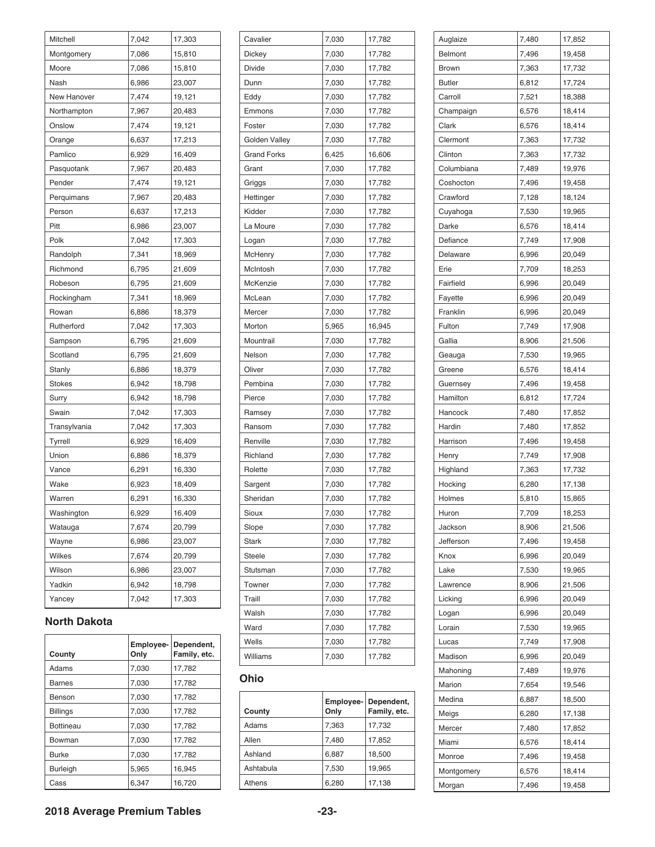| Mitchell      | 7,042 | 17,303 |
|---------------|-------|--------|
| Montgomery    | 7,086 | 15,810 |
| Moore         | 7,086 | 15,810 |
| Nash          | 6,986 | 23,007 |
| New Hanover   | 7,474 | 19,121 |
| Northampton   | 7,967 | 20,483 |
| Onslow        | 7,474 | 19,121 |
| Orange        | 6,637 | 17,213 |
| Pamlico       | 6,929 | 16,409 |
| Pasquotank    | 7,967 | 20,483 |
| Pender        | 7,474 | 19,121 |
| Perquimans    | 7,967 | 20,483 |
| Person        | 6,637 | 17,213 |
| Pitt          | 6,986 | 23,007 |
| Polk          | 7,042 | 17,303 |
| Randolph      | 7,341 | 18,969 |
| Richmond      | 6,795 | 21,609 |
| Robeson       | 6,795 | 21,609 |
| Rockingham    | 7,341 | 18,969 |
| Rowan         | 6,886 | 18,379 |
| Rutherford    | 7,042 | 17,303 |
| Sampson       | 6,795 | 21,609 |
| Scotland      | 6,795 | 21,609 |
| Stanly        | 6,886 | 18,379 |
| <b>Stokes</b> | 6,942 | 18,798 |
| Surry         | 6,942 | 18,798 |
| Swain         | 7,042 | 17,303 |
| Transylvania  | 7,042 | 17,303 |
| Tyrrell       | 6,929 | 16,409 |
| Union         | 6,886 | 18,379 |
| Vance         | 6,291 | 16,330 |
| Wake          | 6,923 | 18,409 |
| Warren        | 6,291 | 16,330 |
| Washington    | 6,929 | 16,409 |
| Watauga       | 7,674 | 20,799 |
| Wayne         | 6,986 | 23,007 |
| Wilkes        | 7,674 | 20,799 |
| Wilson        | 6,986 | 23,007 |
| Yadkin        | 6,942 | 18,798 |
| Yancey        | 7,042 | 17,303 |

### **North Dakota**

| County           | Only  | Employee- Dependent,<br>Family, etc. |
|------------------|-------|--------------------------------------|
| Adams            | 7,030 | 17,782                               |
| <b>Barnes</b>    | 7,030 | 17,782                               |
| Benson           | 7,030 | 17,782                               |
| <b>Billings</b>  | 7,030 | 17,782                               |
| <b>Bottineau</b> | 7,030 | 17,782                               |
| Bowman           | 7,030 | 17,782                               |
| <b>Burke</b>     | 7,030 | 17,782                               |
| <b>Burleigh</b>  | 5,965 | 16,945                               |
| Cass             | 6.347 | 16,720                               |

| Cavalier           | 7,030 | 17,782 |
|--------------------|-------|--------|
| Dickey             | 7,030 | 17,782 |
| Divide             | 7,030 | 17,782 |
| Dunn               | 7,030 | 17,782 |
| Eddy               | 7,030 | 17,782 |
| Emmons             | 7,030 | 17,782 |
| Foster             | 7,030 | 17,782 |
| Golden Valley      | 7,030 | 17,782 |
| <b>Grand Forks</b> | 6,425 | 16,606 |
| Grant              | 7,030 | 17,782 |
| Griggs             | 7,030 | 17,782 |
| Hettinger          | 7,030 | 17,782 |
| Kidder             | 7,030 | 17,782 |
| La Moure           | 7,030 | 17,782 |
| Logan              | 7,030 | 17,782 |
| McHenry            | 7,030 | 17,782 |
| McIntosh           | 7,030 | 17,782 |
| McKenzie           | 7,030 | 17,782 |
| McLean             | 7,030 | 17,782 |
| Mercer             | 7,030 | 17,782 |
| Morton             | 5,965 | 16,945 |
| Mountrail          | 7,030 | 17,782 |
| Nelson             | 7,030 | 17,782 |
| Oliver             | 7,030 | 17,782 |
| Pembina            | 7,030 | 17,782 |
| Pierce             | 7,030 | 17,782 |
| Ramsey             | 7,030 | 17,782 |
| Ransom             | 7,030 | 17,782 |
| Renville           | 7,030 | 17,782 |
| Richland           | 7,030 | 17,782 |
| Rolette            | 7,030 | 17,782 |
| Sargent            | 7,030 | 17,782 |
| Sheridan           | 7,030 | 17,782 |
| Sioux              | 7,030 | 17,782 |
| Slope              | 7,030 | 17,782 |
| <b>Stark</b>       | 7,030 | 17,782 |
| <b>Steele</b>      | 7,030 | 17,782 |
| Stutsman           | 7,030 | 17,782 |
| Towner             | 7,030 | 17,782 |
| Traill             | 7,030 | 17,782 |
| Walsh              | 7,030 | 17,782 |
| Ward               | 7,030 | 17,782 |
| Wells              | 7,030 | 17,782 |
| Williams           | 7,030 | 17,782 |

#### **Ohio**

| County    | Employee-<br>Only | Dependent,<br>Family, etc. |
|-----------|-------------------|----------------------------|
| Adams     | 7,363             | 17,732                     |
| Allen     | 7,480             | 17,852                     |
| Ashland   | 6,887             | 18,500                     |
| Ashtabula | 7,530             | 19,965                     |
| Athens    | 6,280             | 17,138                     |

| Auglaize      | 7,480 | 17,852 |
|---------------|-------|--------|
| Belmont       | 7,496 | 19,458 |
| Brown         | 7,363 | 17,732 |
| <b>Butler</b> | 6,812 | 17,724 |
| Carroll       | 7,521 | 18,388 |
| Champaign     | 6,576 | 18,414 |
| Clark         | 6,576 | 18,414 |
| Clermont      | 7,363 | 17,732 |
| Clinton       | 7,363 | 17,732 |
| Columbiana    | 7,489 | 19,976 |
| Coshocton     | 7,496 | 19,458 |
| Crawford      | 7,128 | 18,124 |
| Cuyahoga      | 7,530 | 19,965 |
| Darke         | 6,576 | 18,414 |
| Defiance      | 7,749 | 17,908 |
|               |       |        |
| Delaware      | 6,996 | 20,049 |
| Erie          | 7,709 | 18,253 |
| Fairfield     | 6,996 | 20,049 |
| Fayette       | 6,996 | 20,049 |
| Franklin      | 6,996 | 20,049 |
| Fulton        | 7,749 | 17,908 |
| Gallia        | 8,906 | 21,506 |
| Geauga        | 7,530 | 19,965 |
| Greene        | 6,576 | 18,414 |
| Guernsey      | 7,496 | 19,458 |
| Hamilton      | 6,812 | 17,724 |
| Hancock       | 7,480 | 17,852 |
| Hardin        | 7,480 | 17,852 |
| Harrison      | 7,496 | 19,458 |
| Henry         | 7,749 | 17,908 |
| Highland      | 7,363 | 17,732 |
| Hocking       | 6,280 | 17,138 |
| Holmes        | 5,810 | 15,865 |
| Huron         | 7,709 | 18,253 |
| Jackson       | 8,906 | 21,506 |
| Jefferson     | 7,496 | 19,458 |
| Knox          | 6,996 | 20,049 |
| Lake          | 7,530 | 19,965 |
| Lawrence      | 8,906 | 21,506 |
| Licking       | 6,996 | 20,049 |
| Logan         | 6,996 | 20,049 |
| Lorain        | 7,530 | 19,965 |
|               | 7,749 | 17,908 |
| Lucas         |       |        |
| Madison       | 6,996 | 20,049 |
| Mahoning      | 7,489 | 19,976 |
| Marion        | 7,654 | 19,546 |
| Medina        | 6,887 | 18,500 |
| Meigs         | 6,280 | 17,138 |
| Mercer        | 7,480 | 17,852 |
| Miami         | 6,576 | 18,414 |
| Monroe        | 7,496 | 19,458 |
| Montgomery    | 6,576 | 18,414 |
| Morgan        | 7,496 | 19,458 |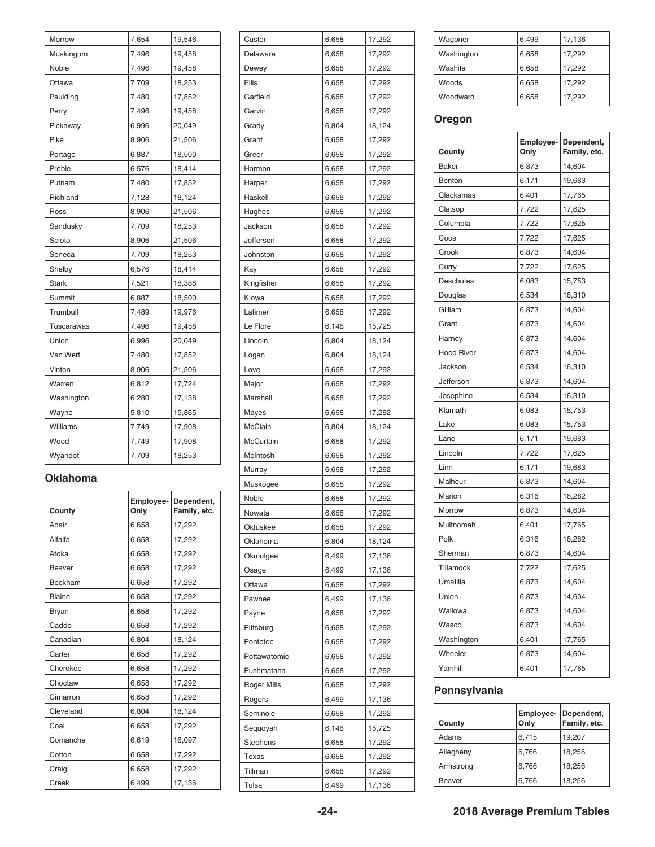| Morrow            | 7,654 | 19,546 |
|-------------------|-------|--------|
| Muskingum         | 7,496 | 19,458 |
| Noble             | 7,496 | 19,458 |
| Ottawa            | 7,709 | 18,253 |
| Paulding          | 7,480 | 17,852 |
| Perry             | 7,496 | 19,458 |
| Pickaway          | 6,996 | 20,049 |
| Pike              | 8,906 | 21,506 |
| Portage           | 6,887 | 18,500 |
| Preble            | 6,576 | 18,414 |
| Putnam            | 7,480 | 17,852 |
| Richland          | 7,128 | 18,124 |
| Ross              | 8,906 | 21,506 |
| Sandusky          | 7,709 | 18,253 |
| Scioto            | 8,906 | 21,506 |
| Seneca            | 7,709 | 18,253 |
| Shelby            | 6,576 | 18,414 |
| <b>Stark</b>      | 7,521 | 18,388 |
| Summit            | 6,887 | 18,500 |
| Trumbull          | 7,489 | 19,976 |
| <b>Tuscarawas</b> | 7,496 | 19,458 |
| Union             | 6,996 | 20,049 |
| Van Wert          | 7,480 | 17,852 |
| Vinton            | 8,906 | 21,506 |
| Warren            | 6,812 | 17,724 |
| Washington        | 6,280 | 17,138 |
| Wayne             | 5,810 | 15,865 |
| Williams          | 7,749 | 17,908 |
| Wood              | 7,749 | 17,908 |
| Wyandot           | 7,709 | 18,253 |

#### **Oklahoma**

| County         | Employee-<br>Only | Dependent,<br>Family, etc. |
|----------------|-------------------|----------------------------|
| Adair          | 6,658             | 17,292                     |
| Alfalfa        | 6,658             | 17,292                     |
| Atoka          | 6,658             | 17,292                     |
| <b>Beaver</b>  | 6,658             | 17,292                     |
| <b>Beckham</b> | 6,658             | 17,292                     |
| Blaine         | 6,658             | 17,292                     |
| Bryan          | 6,658             | 17,292                     |
| Caddo          | 6,658             | 17,292                     |
| Canadian       | 6,804             | 18,124                     |
| Carter         | 6,658             | 17,292                     |
| Cherokee       | 6,658             | 17,292                     |
| Choctaw        | 6,658             | 17,292                     |
| Cimarron       | 6,658             | 17,292                     |
| Cleveland      | 6,804             | 18,124                     |
| Coal           | 6,658             | 17,292                     |
| Comanche       | 6,619             | 16,097                     |
| Cotton         | 6,658             | 17,292                     |
| Craig          | 6,658             | 17,292                     |
| Creek          | 6,499             | 17,136                     |

| Custer       | 6,658 | 17,292 |
|--------------|-------|--------|
| Delaware     | 6,658 | 17,292 |
| Dewey        | 6,658 | 17,292 |
| Ellis        | 6,658 | 17,292 |
| Garfield     | 6,658 | 17,292 |
| Garvin       | 6,658 | 17,292 |
| Grady        | 6,804 | 18,124 |
| Grant        | 6,658 | 17,292 |
| Greer        | 6,658 | 17,292 |
| Harmon       | 6,658 | 17,292 |
| Harper       | 6,658 | 17,292 |
| Haskell      | 6,658 | 17,292 |
| Hughes       | 6,658 | 17,292 |
| Jackson      | 6,658 | 17,292 |
| Jefferson    | 6,658 | 17,292 |
| Johnston     | 6,658 | 17,292 |
| Kay          | 6,658 | 17,292 |
| Kingfisher   | 6,658 | 17,292 |
| Kiowa        | 6,658 | 17,292 |
| Latimer      | 6,658 | 17,292 |
| Le Flore     | 6,146 | 15,725 |
| Lincoln      | 6,804 | 18,124 |
| Logan        | 6,804 | 18,124 |
| Love         | 6,658 | 17,292 |
| Major        | 6,658 | 17,292 |
| Marshall     | 6,658 | 17,292 |
| Mayes        | 6,658 | 17,292 |
| McClain      | 6,804 | 18,124 |
| McCurtain    | 6,658 | 17,292 |
| McIntosh     | 6,658 | 17,292 |
| Murray       | 6,658 | 17,292 |
| Muskogee     | 6,658 | 17,292 |
| Noble        | 6,658 | 17,292 |
| Nowata       | 6,658 | 17,292 |
| Okfuskee     | 6,658 | 17,292 |
| Oklahoma     | 6,804 | 18,124 |
| Okmulgee     | 6,499 | 17,136 |
| Osage        | 6,499 | 17,136 |
| Ottawa       | 6,658 | 17,292 |
| Pawnee       | 6,499 | 17,136 |
| Payne        | 6,658 | 17,292 |
| Pittsburg    | 6,658 | 17,292 |
| Pontotoc     | 6,658 | 17,292 |
| Pottawatomie | 6,658 | 17,292 |
| Pushmataha   | 6,658 | 17,292 |
|              |       |        |
| Roger Mills  | 6,658 | 17,292 |
| Rogers       | 6,499 | 17,136 |
| Seminole     | 6,658 | 17,292 |
| Sequoyah     | 6,146 | 15,725 |
| Stephens     | 6,658 | 17,292 |
| Texas        | 6,658 | 17,292 |
| Tillman      | 6,658 | 17,292 |
| Tulsa        | 6,499 | 17,136 |

| Wagoner    | 6,499 | 17,136 |
|------------|-------|--------|
| Washington | 6,658 | 17,292 |
| Washita    | 6,658 | 17,292 |
| Woods      | 6,658 | 17,292 |
| Woodward   | 6,658 | 17,292 |

### **Oregon**

| County            | Employee-<br>Only | Dependent,<br>Family, etc. |
|-------------------|-------------------|----------------------------|
| <b>Baker</b>      | 6,873             | 14,604                     |
| Benton            | 6,171             | 19,683                     |
| Clackamas         | 6,401             | 17,765                     |
| Clatsop           | 7,722             | 17,625                     |
| Columbia          | 7,722             | 17,625                     |
| Coos              | 7,722             | 17,625                     |
| Crook             | 6,873             | 14,604                     |
| Curry             | 7,722             | 17,625                     |
| <b>Deschutes</b>  | 6,083             | 15,753                     |
| Douglas           | 6,534             | 16,310                     |
| Gilliam           | 6,873             | 14,604                     |
| Grant             | 6,873             | 14,604                     |
| Harney            | 6,873             | 14,604                     |
| <b>Hood River</b> | 6,873             | 14,604                     |
| Jackson           | 6,534             | 16,310                     |
| Jefferson         | 6,873             | 14,604                     |
| Josephine         | 6,534             | 16,310                     |
| Klamath           | 6,083             | 15,753                     |
| Lake              | 6,083             | 15,753                     |
| Lane              | 6,171             | 19,683                     |
| Lincoln           | 7,722             | 17,625                     |
| Linn              | 6,171             | 19,683                     |
| Malheur           | 6,873             | 14,604                     |
| Marion            | 6,316             | 16,282                     |
| Morrow            | 6,873             | 14,604                     |
| Multnomah         | 6,401             | 17,765                     |
| Polk              | 6,316             | 16,282                     |
| Sherman           | 6,873             | 14,604                     |
| Tillamook         | 7,722             | 17,625                     |
| Umatilla          | 6,873             | 14,604                     |
| Union             | 6,873             | 14,604                     |
| Wallowa           | 6,873             | 14,604                     |
| Wasco             | 6,873             | 14,604                     |
| Washington        | 6,401             | 17,765                     |
| Wheeler           | 6,873             | 14,604                     |
| Yamhill           | 6,401             | 17,765                     |

### **Pennsylvania**

| County    | Only  | Employee- Dependent,<br>Family, etc. |
|-----------|-------|--------------------------------------|
| Adams     | 6.715 | 19,207                               |
| Allegheny | 6,766 | 18,256                               |
| Armstrong | 6,766 | 18,256                               |
| Beaver    | 6,766 | 18,256                               |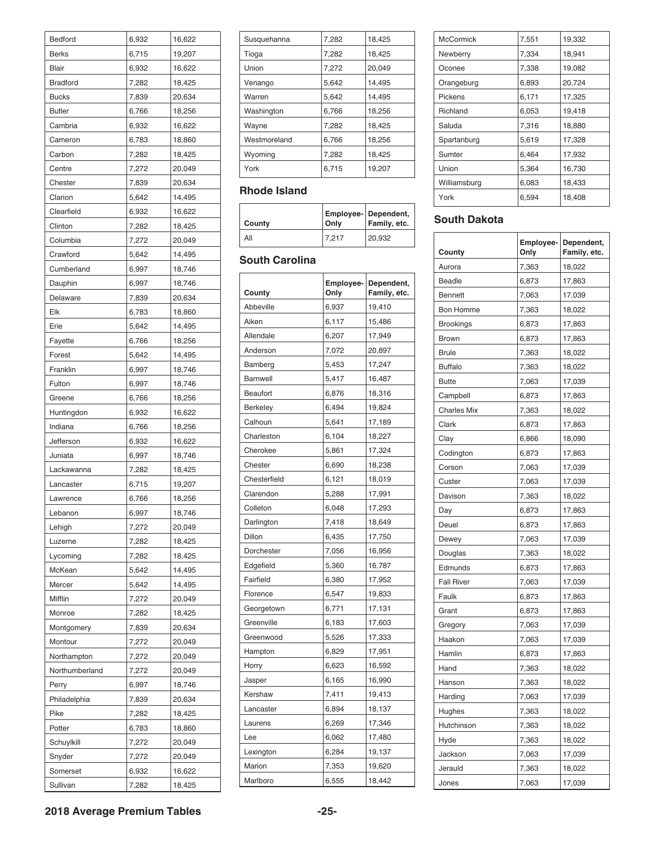| <b>Bedford</b>        | 6,932          | 16,622 |
|-----------------------|----------------|--------|
| <b>Berks</b>          | 6,715          | 19,207 |
| <b>Blair</b>          | 6,932          | 16,622 |
| <b>Bradford</b>       | 7,282          | 18,425 |
| <b>Bucks</b>          | 7,839          | 20,634 |
| <b>Butler</b>         | 6,766          | 18,256 |
| Cambria               | 6,932          | 16,622 |
| Cameron               | 6,783          | 18,860 |
| Carbon                | 7,282          | 18,425 |
| Centre                | 7,272          | 20,049 |
| Chester               | 7,839          | 20,634 |
| Clarion               | 5,642          | 14,495 |
| Clearfield            | 6,932          | 16,622 |
| Clinton               | 7,282          | 18,425 |
| Columbia              | 7,272          | 20,049 |
| Crawford              | 5,642          | 14,495 |
| Cumberland            | 6,997          | 18,746 |
| Dauphin               | 6,997          | 18,746 |
| Delaware              | 7,839          | 20,634 |
| Elk                   | 6,783          | 18,860 |
| Erie                  | 5,642          | 14,495 |
| Fayette               | 6,766          | 18,256 |
| Forest                | 5,642          | 14,495 |
| Franklin              | 6,997          | 18,746 |
| Fulton                | 6,997          | 18,746 |
| Greene                | 6,766          | 18,256 |
| Huntingdon            | 6,932          | 16,622 |
| Indiana               | 6,766          | 18,256 |
| Jefferson             | 6,932          | 16,622 |
| Juniata               | 6,997          | 18,746 |
| Lackawanna            | 7,282          | 18,425 |
| Lancaster             | 6,715          | 19,207 |
| Lawrence              | 6,766          | 18,256 |
| Lebanon               | 6,997          | 18,746 |
| Lehigh                | 7,272          | 20,049 |
| Luzerne               | 7,282          | 18,425 |
| Lycoming              | 7,282          | 18,425 |
| McKean                | 5,642          | 14,495 |
| Mercer                | 5,642          | 14,495 |
| Mifflin               | 7,272          | 20,049 |
| Monroe                | 7,282          | 18,425 |
|                       |                | 20,634 |
| Montgomery<br>Montour | 7,839<br>7,272 | 20,049 |
|                       |                | 20,049 |
| Northampton           | 7,272          |        |
| Northumberland        | 7,272          | 20,049 |
| Perry                 | 6,997          | 18,746 |
| Philadelphia          | 7,839          | 20,634 |
| Pike                  | 7,282          | 18,425 |
| Potter                | 6,783          | 18,860 |
| Schuylkill            | 7,272          | 20,049 |
| Snyder                | 7,272          | 20,049 |
| Somerset              | 6,932          | 16,622 |
| Sullivan              | 7,282          | 18,425 |

| Susquehanna  | 7,282 | 18,425 |
|--------------|-------|--------|
| Tioga        | 7,282 | 18,425 |
| Union        | 7,272 | 20,049 |
| Venango      | 5,642 | 14,495 |
| Warren       | 5,642 | 14,495 |
| Washington   | 6,766 | 18,256 |
| Wayne        | 7,282 | 18,425 |
| Westmoreland | 6,766 | 18,256 |
| Wyoming      | 7,282 | 18,425 |
| York         | 6,715 | 19,207 |

#### **Rhode Island**

| County | ∣Onlv | <b>Employee- Dependent,</b><br>Family, etc. |
|--------|-------|---------------------------------------------|
| Αll    | 7.217 | 20.932                                      |

### **South Carolina**

| County          | Employee-<br>Only | Dependent,<br>Family, etc. |
|-----------------|-------------------|----------------------------|
| Abbeville       | 6,937             | 19,410                     |
| Aiken           | 6,117             | 15,486                     |
| Allendale       | 6,207             | 17,949                     |
| Anderson        | 7,072             | 20,897                     |
| Bamberg         | 5,453             | 17,247                     |
| Barnwell        | 5,417             | 16,487                     |
| <b>Beaufort</b> | 6,876             | 18,316                     |
| Berkeley        | 6,494             | 19,824                     |
| Calhoun         | 5,641             | 17,189                     |
| Charleston      | 6,104             | 18,227                     |
| Cherokee        | 5,861             | 17,324                     |
| Chester         | 6,690             | 18,238                     |
| Chesterfield    | 6,121             | 18,019                     |
| Clarendon       | 5,288             | 17,991                     |
| Colleton        | 6,048             | 17,293                     |
| Darlington      | 7,418             | 18,649                     |
| Dillon          | 6,435             | 17,750                     |
| Dorchester      | 7,056             | 16,956                     |
| Edgefield       | 5,360             | 16,787                     |
| Fairfield       | 6,380             | 17,952                     |
| Florence        | 6,547             | 19,833                     |
| Georgetown      | 6,771             | 17,131                     |
| Greenville      | 6,183             | 17,603                     |
| Greenwood       | 5,526             | 17,333                     |
| Hampton         | 6,829             | 17,951                     |
| Horry           | 6,623             | 16,592                     |
| Jasper          | 6,165             | 16,990                     |
| Kershaw         | 7,411             | 19,413                     |
| Lancaster       | 6,894             | 18,137                     |
| Laurens         | 6,269             | 17,346                     |
| Lee             | 6,062             | 17,480                     |
| Lexington       | 6,284             | 19,137                     |
| Marion          | 7,353             | 19,620                     |
| Marlboro        | 6,555             | 18,442                     |

| <b>McCormick</b> | 7,551 | 19,332 |
|------------------|-------|--------|
| Newberry         | 7,334 | 18,941 |
| Oconee           | 7,338 | 19,082 |
| Orangeburg       | 6,893 | 20,724 |
| Pickens          | 6,171 | 17,325 |
| Richland         | 6,053 | 19,418 |
| Saluda           | 7,316 | 18,880 |
| Spartanburg      | 5,619 | 17,328 |
| Sumter           | 6,464 | 17,932 |
| Union            | 5,364 | 16,730 |
| Williamsburg     | 6,083 | 18,433 |
| York             | 6,594 | 18,408 |
|                  |       |        |

### **South Dakota**

| County             | Employee-<br>Only | Dependent,<br>Family, etc. |
|--------------------|-------------------|----------------------------|
| Aurora             | 7,363             | 18,022                     |
| <b>Beadle</b>      | 6,873             | 17,863                     |
| <b>Bennett</b>     | 7,063             | 17,039                     |
| <b>Bon Homme</b>   | 7,363             | 18,022                     |
| <b>Brookings</b>   | 6,873             | 17,863                     |
| <b>Brown</b>       | 6,873             | 17,863                     |
| <b>Brule</b>       | 7,363             | 18,022                     |
| <b>Buffalo</b>     | 7,363             | 18,022                     |
| <b>Butte</b>       | 7,063             | 17,039                     |
| Campbell           | 6,873             | 17,863                     |
| <b>Charles Mix</b> | 7,363             | 18,022                     |
| Clark              | 6,873             | 17,863                     |
| Clay               | 6,866             | 18,090                     |
| Codington          | 6,873             | 17,863                     |
| Corson             | 7,063             | 17,039                     |
| Custer             | 7,063             | 17,039                     |
| Davison            | 7,363             | 18,022                     |
| Day                | 6,873             | 17,863                     |
| Deuel              | 6,873             | 17,863                     |
| Dewey              | 7,063             | 17,039                     |
| Douglas            | 7,363             | 18,022                     |
| Edmunds            | 6,873             | 17,863                     |
| <b>Fall River</b>  | 7,063             | 17,039                     |
| Faulk              | 6,873             | 17,863                     |
| Grant              | 6,873             | 17,863                     |
| Gregory            | 7,063             | 17,039                     |
| Haakon             | 7,063             | 17,039                     |
| Hamlin             | 6,873             | 17,863                     |
| Hand               | 7,363             | 18,022                     |
| Hanson             | 7,363             | 18,022                     |
| Harding            | 7,063             | 17,039                     |
| Hughes             | 7,363             | 18,022                     |
| Hutchinson         | 7,363             | 18,022                     |
| Hyde               | 7,363             | 18,022                     |
| Jackson            | 7,063             | 17,039                     |
| Jerauld            | 7,363             | 18,022                     |
| Jones              | 7,063             | 17,039                     |

**2018 Average Premium Tables -25-**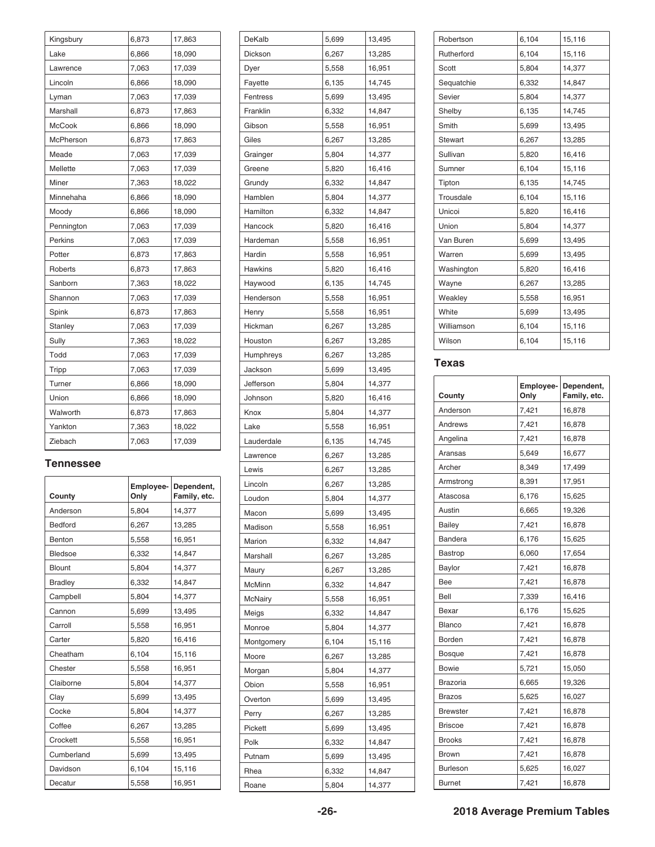| Kingsbury      | 6,873 | 17,863 |
|----------------|-------|--------|
| Lake           | 6,866 | 18,090 |
| Lawrence       | 7,063 | 17,039 |
| Lincoln        | 6,866 | 18,090 |
| Lyman          | 7,063 | 17,039 |
| Marshall       | 6,873 | 17,863 |
| <b>McCook</b>  | 6,866 | 18,090 |
| McPherson      | 6,873 | 17,863 |
| Meade          | 7,063 | 17,039 |
| Mellette       | 7,063 | 17,039 |
| Miner          | 7,363 | 18,022 |
| Minnehaha      | 6,866 | 18,090 |
| Moody          | 6,866 | 18,090 |
| Pennington     | 7,063 | 17,039 |
| <b>Perkins</b> | 7,063 | 17,039 |
| Potter         | 6,873 | 17,863 |
| Roberts        | 6,873 | 17,863 |
| Sanborn        | 7,363 | 18,022 |
| Shannon        | 7,063 | 17,039 |
| Spink          | 6,873 | 17,863 |
| Stanley        | 7,063 | 17,039 |
| Sully          | 7,363 | 18,022 |
| Todd           | 7,063 | 17,039 |
| Tripp          | 7,063 | 17,039 |
| Turner         | 6,866 | 18,090 |
| Union          | 6,866 | 18,090 |
| Walworth       | 6,873 | 17,863 |
| Yankton        | 7,363 | 18,022 |
| Ziebach        | 7,063 | 17,039 |

#### **Tennessee**

| County         | Employee-<br>Only | Dependent,<br>Family, etc. |
|----------------|-------------------|----------------------------|
| Anderson       | 5,804             | 14,377                     |
| Bedford        | 6,267             | 13,285                     |
| Benton         | 5,558             | 16,951                     |
| Bledsoe        | 6,332             | 14,847                     |
| <b>Blount</b>  | 5,804             | 14,377                     |
| <b>Bradley</b> | 6,332             | 14,847                     |
| Campbell       | 5,804             | 14,377                     |
| Cannon         | 5,699             | 13,495                     |
| Carroll        | 5,558             | 16,951                     |
| Carter         | 5,820             | 16,416                     |
| Cheatham       | 6,104             | 15,116                     |
| Chester        | 5,558             | 16,951                     |
| Claiborne      | 5,804             | 14,377                     |
| Clay           | 5,699             | 13,495                     |
| Cocke          | 5,804             | 14,377                     |
| Coffee         | 6,267             | 13,285                     |
| Crockett       | 5,558             | 16,951                     |
| Cumberland     | 5,699             | 13,495                     |
| Davidson       | 6,104             | 15,116                     |
| Decatur        | 5,558             | 16,951                     |

| DeKalb           | 5,699 | 13,495           |
|------------------|-------|------------------|
| Dickson          | 6,267 | 13,285           |
| Dyer             | 5,558 | 16,951           |
| Fayette          | 6,135 | 14,745           |
| Fentress         | 5,699 | 13,495           |
| Franklin         | 6,332 | 14,847           |
| Gibson           | 5,558 | 16,951           |
| Giles            | 6,267 | 13,285           |
| Grainger         | 5,804 | 14,377           |
| Greene           | 5,820 | 16,416           |
| Grundy           | 6,332 | 14,847           |
| Hamblen          | 5,804 | 14,377           |
| Hamilton         | 6,332 | 14,847           |
| Hancock          | 5,820 | 16,416           |
| Hardeman         | 5,558 | 16,951           |
| Hardin           | 5,558 | 16,951           |
| <b>Hawkins</b>   | 5,820 | 16,416           |
| Haywood          | 6,135 | 14,745           |
| Henderson        | 5,558 | 16,951           |
| Henry            | 5,558 | 16,951           |
| Hickman          | 6,267 | 13,285           |
| Houston          | 6,267 | 13,285           |
| Humphreys        | 6,267 | 13,285           |
| Jackson          | 5,699 | 13,495           |
| Jefferson        | 5,804 | 14,377           |
| Johnson          | 5,820 | 16,416           |
| Knox             | 5,804 | 14,377           |
| Lake             | 5,558 | 16,951           |
| Lauderdale       | 6,135 | 14,745           |
| Lawrence         | 6,267 | 13,285           |
| Lewis            | 6,267 | 13,285           |
| Lincoln          | 6,267 | 13,285           |
| Loudon           | 5,804 | 14,377           |
| Macon            | 5,699 | 13,495           |
| Madison          | 5,558 | 16,951           |
| Marion           | 6,332 | 14,847           |
| Marshall         | 6,267 | 13,285           |
| Maury            | 6,267 | 13,285           |
| McMinn           | 6,332 | 14,847           |
| McNairy          | 5,558 | 16,951           |
| Meigs            | 6,332 | 14,847           |
| Monroe           | 5,804 | 14,377           |
| Montgomery       | 6,104 | 15,116           |
| Moore            | 6,267 | 13,285           |
| Morgan           | 5,804 | 14,377           |
| Obion            | 5,558 | 16,951           |
|                  | 5,699 |                  |
| Overton<br>Perry | 6,267 | 13,495<br>13,285 |
|                  |       |                  |
| Pickett<br>Polk  | 5,699 | 13,495           |
|                  | 6,332 | 14,847           |
| Putnam           | 5,699 | 13,495           |
| Rhea             | 6,332 | 14,847           |
| Roane            | 5,804 | 14,377           |

| Robertson      | 6,104 | 15,116 |
|----------------|-------|--------|
| Rutherford     | 6,104 | 15,116 |
| Scott          | 5,804 | 14,377 |
| Sequatchie     | 6,332 | 14,847 |
| Sevier         | 5,804 | 14,377 |
| Shelby         | 6,135 | 14,745 |
| Smith          | 5,699 | 13,495 |
| <b>Stewart</b> | 6,267 | 13,285 |
| Sullivan       | 5,820 | 16,416 |
| Sumner         | 6,104 | 15,116 |
| Tipton         | 6,135 | 14,745 |
| Trousdale      | 6,104 | 15,116 |
| Unicoi         | 5,820 | 16,416 |
| Union          | 5,804 | 14,377 |
| Van Buren      | 5,699 | 13,495 |
| Warren         | 5,699 | 13,495 |
| Washington     | 5,820 | 16,416 |
| Wayne          | 6,267 | 13,285 |
| Weakley        | 5,558 | 16,951 |
| White          | 5,699 | 13,495 |
| Williamson     | 6,104 | 15,116 |
| Wilson         | 6,104 | 15,116 |
|                |       |        |

#### **Texas**

| County          | Employee-<br>Only | Dependent,<br>Family, etc. |
|-----------------|-------------------|----------------------------|
| Anderson        | 7,421             | 16,878                     |
| Andrews         | 7,421             | 16,878                     |
| Angelina        | 7,421             | 16,878                     |
| Aransas         | 5,649             | 16,677                     |
| Archer          | 8,349             | 17,499                     |
| Armstrong       | 8,391             | 17,951                     |
| Atascosa        | 6,176             | 15,625                     |
| Austin          | 6,665             | 19,326                     |
| Bailey          | 7,421             | 16,878                     |
| Bandera         | 6,176             | 15,625                     |
| Bastrop         | 6,060             | 17,654                     |
| Baylor          | 7,421             | 16,878                     |
| Bee             | 7,421             | 16,878                     |
| Bell            | 7,339             | 16,416                     |
| Bexar           | 6,176             | 15,625                     |
| <b>Blanco</b>   | 7,421             | 16,878                     |
| Borden          | 7,421             | 16,878                     |
| <b>Bosque</b>   | 7,421             | 16,878                     |
| <b>Bowie</b>    | 5,721             | 15,050                     |
| <b>Brazoria</b> | 6,665             | 19,326                     |
| <b>Brazos</b>   | 5,625             | 16,027                     |
| <b>Brewster</b> | 7,421             | 16,878                     |
| <b>Briscoe</b>  | 7,421             | 16,878                     |
| <b>Brooks</b>   | 7,421             | 16,878                     |
| <b>Brown</b>    | 7,421             | 16,878                     |
| Burleson        | 5,625             | 16,027                     |
| <b>Burnet</b>   | 7,421             | 16,878                     |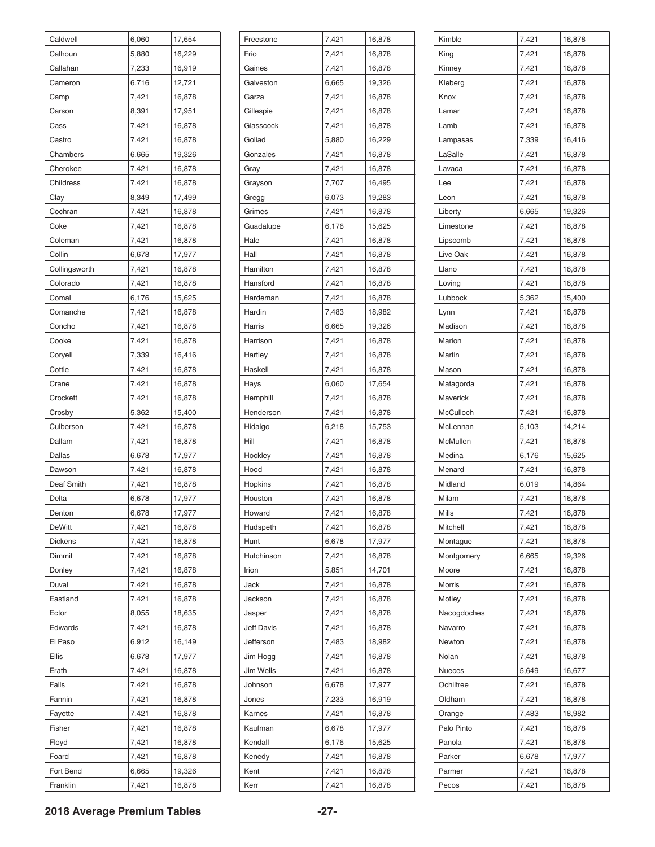| Caldwell             | 6,060          | 17,654           |
|----------------------|----------------|------------------|
| Calhoun              | 5,880          | 16,229           |
| Callahan             | 7,233          | 16,919           |
| Cameron              | 6,716          | 12,721           |
| Camp                 | 7,421          | 16,878           |
| Carson               | 8,391          | 17,951           |
| Cass                 | 7,421          | 16,878           |
| Castro               | 7,421          | 16,878           |
| Chambers             | 6,665          | 19,326           |
| Cherokee             | 7,421          | 16,878           |
| Childress            | 7,421          | 16,878           |
| Clay                 | 8,349          | 17,499           |
| Cochran              | 7,421          | 16,878           |
| Coke                 | 7,421          | 16,878           |
| Coleman              | 7,421          | 16,878           |
| Collin               | 6,678          | 17,977           |
| Collingsworth        | 7,421          | 16,878           |
| Colorado             | 7,421          | 16,878           |
| Comal                | 6,176          | 15,625           |
| Comanche             | 7,421          | 16,878           |
| Concho               | 7,421          | 16,878           |
| Cooke                | 7,421          | 16,878           |
| Coryell              | 7,339          | 16,416           |
| Cottle               | 7,421          | 16,878           |
|                      | 7,421          |                  |
| Crane                |                | 16,878           |
| Crockett             | 7,421          | 16,878           |
| Crosby               | 5,362          | 15,400           |
| Culberson            | 7,421          | 16,878           |
| Dallam               | 7,421          | 16,878<br>17,977 |
| Dallas               | 6,678          |                  |
| Dawson<br>Deaf Smith | 7,421<br>7,421 | 16,878           |
|                      |                | 16,878           |
| Delta                | 6,678          | 17,977           |
| Denton               | 6,678          | 17,977           |
| DeWitt               | 7,421          | 16,878           |
| Dickens              | 7,421          | 16,878           |
| Dimmit               | 7,421          | 16,878           |
| Donley               | 7,421          | 16,878           |
| Duval                | 7,421          | 16,878           |
| Eastland             | 7,421          | 16,878           |
| Ector                | 8,055          | 18,635           |
| Edwards              | 7,421          | 16,878           |
| El Paso              | 6,912          | 16,149           |
| <b>Ellis</b>         | 6,678          | 17,977           |
| Erath                | 7,421          | 16,878           |
| Falls                | 7,421          | 16,878           |
| Fannin               | 7,421          | 16,878           |
| Fayette              | 7,421          | 16,878           |
| Fisher               | 7,421          | 16,878           |
| Floyd                | 7,421          | 16,878           |
| Foard                | 7,421          | 16,878           |
| Fort Bend            | 6,665          | 19,326           |
| Franklin             | 7,421          | 16,878           |

| Freestone         | 7,421 | 16,878 |
|-------------------|-------|--------|
| Frio              | 7,421 | 16,878 |
| Gaines            | 7,421 | 16,878 |
| Galveston         | 6,665 | 19,326 |
| Garza             | 7,421 | 16,878 |
| Gillespie         | 7,421 | 16,878 |
| Glasscock         | 7,421 | 16,878 |
| Goliad            | 5,880 | 16,229 |
| Gonzales          | 7,421 | 16,878 |
| Gray              | 7,421 | 16,878 |
| Grayson           | 7,707 | 16,495 |
| Gregg             | 6,073 | 19,283 |
| Grimes            | 7,421 | 16,878 |
| Guadalupe         | 6,176 | 15,625 |
| Hale              | 7,421 | 16,878 |
| Hall              | 7,421 | 16,878 |
| Hamilton          | 7,421 | 16,878 |
| Hansford          | 7,421 | 16,878 |
| Hardeman          | 7,421 | 16,878 |
| Hardin            | 7,483 | 18,982 |
| Harris            | 6,665 | 19,326 |
| Harrison          | 7,421 | 16,878 |
| Hartley           | 7,421 | 16,878 |
| Haskell           | 7,421 | 16,878 |
| Hays              | 6,060 | 17,654 |
| Hemphill          | 7,421 | 16,878 |
| Henderson         | 7,421 | 16,878 |
| Hidalgo           | 6,218 | 15,753 |
| Hill              | 7,421 | 16,878 |
| Hockley           | 7,421 | 16,878 |
| Hood              | 7,421 | 16,878 |
| Hopkins           | 7,421 | 16,878 |
| Houston           | 7,421 | 16,878 |
| Howard            | 7,421 | 16,878 |
| Hudspeth          | 7,421 | 16,878 |
| Hunt              | 6,678 | 17,977 |
| Hutchinson        | 7,421 | 16,878 |
| Irion             | 5,851 | 14,701 |
| Jack              | 7,421 | 16,878 |
| Jackson           | 7,421 | 16,878 |
| Jasper            | 7,421 | 16,878 |
| <b>Jeff Davis</b> | 7,421 | 16,878 |
| Jefferson         | 7,483 | 18,982 |
| Jim Hogg          | 7,421 | 16,878 |
| Jim Wells         | 7,421 | 16,878 |
| Johnson           | 6,678 | 17,977 |
| Jones             | 7,233 | 16,919 |
| Karnes            | 7,421 | 16,878 |
| Kaufman           | 6,678 | 17,977 |
| Kendall           | 6,176 | 15,625 |
| Kenedy            | 7,421 | 16,878 |
| Kent              | 7,421 | 16,878 |
| Kerr              | 7,421 | 16,878 |

| Kimble      | 7,421 | 16,878 |
|-------------|-------|--------|
| King        | 7,421 | 16,878 |
| Kinney      | 7,421 | 16,878 |
| Kleberg     | 7,421 | 16,878 |
| Knox        | 7,421 | 16,878 |
| Lamar       | 7,421 | 16,878 |
| Lamb        | 7,421 | 16,878 |
| Lampasas    | 7,339 | 16,416 |
| LaSalle     | 7,421 | 16,878 |
| Lavaca      | 7,421 | 16,878 |
| Lee         | 7,421 | 16,878 |
| Leon        | 7,421 | 16,878 |
| Liberty     | 6,665 | 19,326 |
| Limestone   | 7,421 | 16,878 |
| Lipscomb    | 7,421 | 16,878 |
|             |       |        |
| Live Oak    | 7,421 | 16,878 |
| Llano       | 7,421 | 16,878 |
| Loving      | 7,421 | 16,878 |
| Lubbock     | 5,362 | 15,400 |
| Lynn        | 7,421 | 16,878 |
| Madison     | 7,421 | 16,878 |
| Marion      | 7,421 | 16,878 |
| Martin      | 7,421 | 16,878 |
| Mason       | 7,421 | 16,878 |
| Matagorda   | 7,421 | 16,878 |
| Maverick    | 7,421 | 16,878 |
| McCulloch   | 7,421 | 16,878 |
| McLennan    | 5,103 | 14,214 |
| McMullen    | 7,421 | 16,878 |
| Medina      | 6,176 | 15,625 |
| Menard      | 7,421 | 16,878 |
| Midland     | 6,019 | 14,864 |
| Milam       | 7,421 | 16,878 |
| Mills       | 7,421 | 16,878 |
| Mitchell    | 7,421 | 16,878 |
| Montague    | 7,421 | 16,878 |
| Montgomery  | 6,665 | 19,326 |
| Moore       | 7,421 | 16,878 |
| Morris      | 7,421 | 16,878 |
| Motley      | 7,421 | 16,878 |
| Nacogdoches | 7,421 | 16,878 |
| Navarro     | 7,421 | 16,878 |
| Newton      | 7,421 | 16,878 |
| Nolan       | 7,421 | 16,878 |
| Nueces      | 5,649 | 16,677 |
| Ochiltree   | 7,421 | 16,878 |
| Oldham      | 7,421 | 16,878 |
| Orange      | 7,483 | 18,982 |
| Palo Pinto  | 7,421 | 16,878 |
| Panola      | 7,421 | 16,878 |
| Parker      | 6,678 | 17,977 |
| Parmer      | 7,421 | 16,878 |
| Pecos       | 7,421 | 16,878 |
|             |       |        |

#### **2018 Average Premium Tables -27-**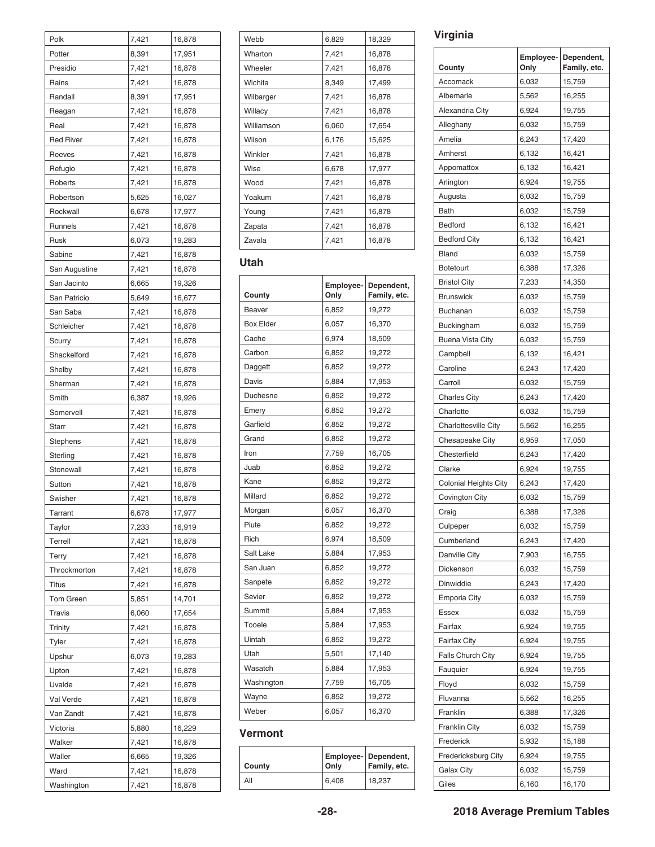| Polk             | 7,421 | 16,878 |
|------------------|-------|--------|
| Potter           | 8,391 | 17,951 |
| Presidio         | 7,421 | 16,878 |
| Rains            | 7,421 | 16,878 |
| Randall          | 8,391 | 17,951 |
| Reagan           | 7,421 | 16,878 |
| Real             | 7,421 | 16,878 |
| <b>Red River</b> | 7,421 | 16,878 |
| Reeves           | 7,421 | 16,878 |
| Refugio          | 7,421 | 16,878 |
| Roberts          | 7,421 | 16,878 |
| Robertson        | 5,625 | 16,027 |
| Rockwall         | 6,678 | 17,977 |
| Runnels          | 7,421 | 16,878 |
| Rusk             | 6,073 | 19,283 |
| Sabine           | 7,421 | 16,878 |
| San Augustine    | 7,421 | 16,878 |
| San Jacinto      | 6,665 | 19,326 |
| San Patricio     | 5,649 | 16,677 |
| San Saba         | 7,421 | 16,878 |
| Schleicher       | 7,421 | 16,878 |
| Scurry           | 7,421 | 16,878 |
| Shackelford      | 7,421 | 16,878 |
| Shelby           | 7,421 | 16,878 |
| Sherman          | 7,421 | 16,878 |
| Smith            | 6,387 | 19,926 |
| Somervell        | 7,421 | 16,878 |
| <b>Starr</b>     | 7,421 | 16,878 |
| Stephens         | 7,421 | 16,878 |
| Sterling         | 7,421 | 16,878 |
| Stonewall        | 7,421 | 16,878 |
| Sutton           | 7,421 | 16,878 |
| Swisher          | 7,421 | 16,878 |
| Tarrant          | 6,678 | 17,977 |
|                  | 7,233 | 16,919 |
| Taylor           |       |        |
| Terrell          | 7,421 | 16,878 |
| Terry            | 7,421 | 16,878 |
| Throckmorton     | 7,421 | 16,878 |
| Titus            | 7,421 | 16,878 |
| <b>Tom Green</b> | 5,851 | 14,701 |
| Travis           | 6,060 | 17,654 |
| Trinity          | 7,421 | 16,878 |
| Tyler            | 7,421 | 16,878 |
| Upshur           | 6,073 | 19,283 |
| Upton            | 7,421 | 16,878 |
| Uvalde           | 7,421 | 16,878 |
| Val Verde        | 7,421 | 16,878 |
| Van Zandt        | 7,421 | 16,878 |
| Victoria         | 5,880 | 16,229 |
| Walker           | 7,421 | 16,878 |
| Waller           | 6,665 | 19,326 |
| Ward             | 7,421 | 16,878 |
| Washington       | 7,421 | 16,878 |

| Webb       | 6,829 | 18,329 |
|------------|-------|--------|
| Wharton    | 7,421 | 16,878 |
| Wheeler    | 7,421 | 16,878 |
| Wichita    | 8,349 | 17,499 |
| Wilbarger  | 7,421 | 16,878 |
| Willacy    | 7,421 | 16,878 |
| Williamson | 6,060 | 17,654 |
| Wilson     | 6,176 | 15,625 |
| Winkler    | 7,421 | 16,878 |
| Wise       | 6,678 | 17,977 |
| Wood       | 7,421 | 16,878 |
| Yoakum     | 7,421 | 16,878 |
| Young      | 7,421 | 16,878 |
| Zapata     | 7,421 | 16,878 |
| Zavala     | 7,421 | 16,878 |

#### **Utah**

| County           | Employee-<br>Only | Dependent,<br>Family, etc. |
|------------------|-------------------|----------------------------|
| Beaver           | 6,852             | 19,272                     |
| <b>Box Elder</b> | 6,057             | 16,370                     |
| Cache            | 6,974             | 18,509                     |
| Carbon           | 6,852             | 19,272                     |
| Daggett          | 6,852             | 19,272                     |
| Davis            | 5,884             | 17,953                     |
| Duchesne         | 6,852             | 19,272                     |
| Emery            | 6,852             | 19,272                     |
| Garfield         | 6,852             | 19,272                     |
| Grand            | 6,852             | 19,272                     |
| Iron             | 7,759             | 16,705                     |
| Juab             | 6,852             | 19,272                     |
| Kane             | 6,852             | 19,272                     |
| Millard          | 6,852             | 19,272                     |
| Morgan           | 6,057             | 16,370                     |
| Piute            | 6,852             | 19,272                     |
| Rich             | 6,974             | 18,509                     |
| Salt Lake        | 5,884             | 17,953                     |
| San Juan         | 6,852             | 19,272                     |
| Sanpete          | 6,852             | 19,272                     |
| Sevier           | 6,852             | 19,272                     |
| Summit           | 5,884             | 17,953                     |
| Tooele           | 5,884             | 17,953                     |
| Uintah           | 6,852             | 19,272                     |
| Utah             | 5,501             | 17,140                     |
| Wasatch          | 5,884             | 17,953                     |
| Washington       | 7,759             | 16,705                     |
| Wayne            | 6,852             | 19,272                     |
| Weber            | 6,057             | 16,370                     |

#### **Vermont**

| County | Only  | <b>Employee- Dependent,</b><br>Family, etc. |
|--------|-------|---------------------------------------------|
| All    | 6.408 | 18,237                                      |

#### **Virginia**

| County                       | Employee-<br>Only | Dependent,<br>Family, etc. |
|------------------------------|-------------------|----------------------------|
| Accomack                     | 6,032             | 15,759                     |
| Albemarle                    | 5,562             | 16,255                     |
| Alexandria City              | 6,924             | 19,755                     |
|                              |                   | 15,759                     |
| Alleghany<br>Amelia          | 6,032<br>6,243    |                            |
|                              |                   | 17,420                     |
| Amherst                      | 6,132             | 16,421                     |
| Appomattox                   | 6,132             | 16,421                     |
| Arlington                    | 6,924             | 19,755                     |
| Augusta                      | 6,032             | 15,759                     |
| Bath                         | 6,032             | 15,759                     |
| Bedford                      | 6,132             | 16,421                     |
| <b>Bedford City</b>          | 6,132             | 16,421                     |
| Bland                        | 6,032             | 15,759                     |
| <b>Botetourt</b>             | 6,388             | 17,326                     |
| <b>Bristol City</b>          | 7,233             | 14,350                     |
| <b>Brunswick</b>             | 6,032             | 15,759                     |
| Buchanan                     | 6,032             | 15,759                     |
| Buckingham                   | 6,032             | 15,759                     |
| <b>Buena Vista City</b>      | 6,032             | 15,759                     |
| Campbell                     | 6,132             | 16,421                     |
| Caroline                     | 6,243             | 17,420                     |
| Carroll                      | 6,032             | 15,759                     |
| <b>Charles City</b>          | 6,243             | 17,420                     |
| Charlotte                    | 6,032             | 15,759                     |
| <b>Charlottesville City</b>  | 5,562             | 16,255                     |
| <b>Chesapeake City</b>       | 6,959             | 17,050                     |
| Chesterfield                 | 6,243             | 17,420                     |
| Clarke                       | 6,924             | 19,755                     |
| <b>Colonial Heights City</b> | 6,243             | 17,420                     |
| Covington City               | 6,032             | 15,759                     |
| Craig                        | 6,388             | 17,326                     |
| Culpeper                     | 6,032             | 15,759                     |
| Cumberland                   | 6,243             | 17,420                     |
| Danville City                | 7,903             | 16,755                     |
| Dickenson                    | 6,032             | 15,759                     |
| Dinwiddie                    | 6,243             | 17,420                     |
| <b>Emporia City</b>          | 6,032             | 15,759                     |
| <b>Essex</b>                 | 6,032             | 15,759                     |
| Fairfax                      | 6,924             | 19,755                     |
| <b>Fairfax City</b>          | 6,924             | 19,755                     |
| Falls Church City            | 6,924             | 19,755                     |
| Fauquier                     | 6,924             | 19,755                     |
| Floyd                        | 6,032             | 15,759                     |
| Fluvanna                     | 5,562             | 16,255                     |
| Franklin                     | 6,388             | 17,326                     |
| <b>Franklin City</b>         | 6,032             |                            |
| Frederick                    |                   | 15,759                     |
|                              | 5,932             | 15,188                     |
| Fredericksburg City          | 6,924             | 19,755                     |
| <b>Galax City</b>            | 6,032             | 15,759                     |
| Giles                        | 6,160             | 16,170                     |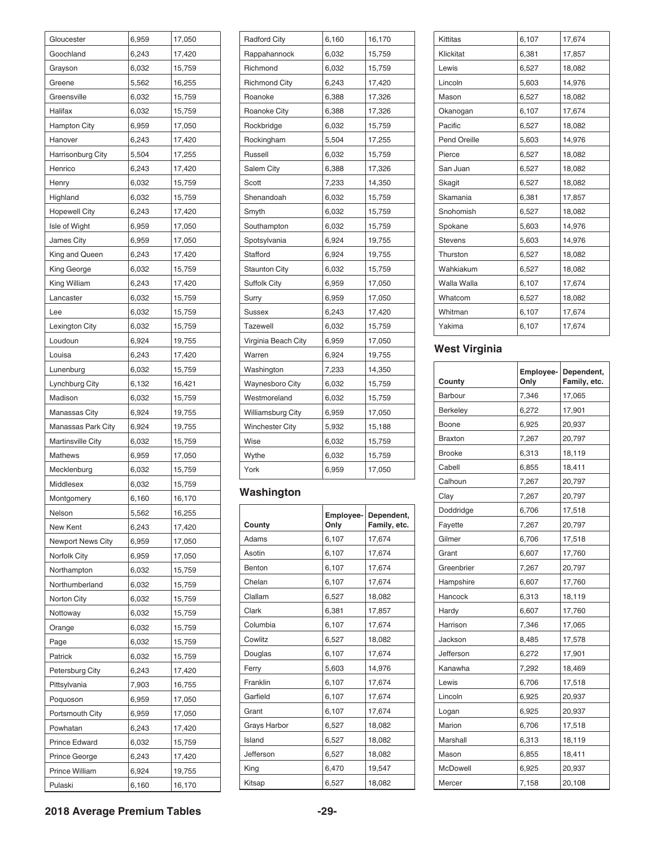| Gloucester               | 6,959 | 17,050 |
|--------------------------|-------|--------|
| Goochland                | 6,243 | 17,420 |
| Grayson                  | 6,032 | 15,759 |
| Greene                   | 5,562 | 16,255 |
| Greensville              | 6,032 | 15,759 |
| Halifax                  | 6,032 | 15,759 |
| <b>Hampton City</b>      | 6,959 | 17,050 |
| Hanover                  | 6,243 | 17,420 |
| Harrisonburg City        | 5,504 | 17,255 |
| Henrico                  | 6,243 | 17,420 |
| Henry                    | 6,032 | 15,759 |
| Highland                 | 6,032 | 15,759 |
| <b>Hopewell City</b>     | 6,243 | 17,420 |
| Isle of Wight            | 6,959 | 17,050 |
| <b>James City</b>        | 6,959 | 17,050 |
| King and Queen           | 6,243 | 17,420 |
| King George              | 6,032 | 15,759 |
| King William             | 6,243 | 17,420 |
| Lancaster                | 6,032 | 15,759 |
| Lee                      | 6,032 | 15,759 |
| Lexington City           | 6,032 | 15,759 |
| Loudoun                  | 6,924 | 19,755 |
| Louisa                   | 6,243 | 17,420 |
| Lunenburg                | 6,032 | 15,759 |
| Lynchburg City           | 6,132 | 16,421 |
| Madison                  | 6,032 | 15,759 |
| Manassas City            | 6,924 | 19,755 |
| Manassas Park City       | 6,924 | 19,755 |
| <b>Martinsville City</b> | 6,032 | 15,759 |
| <b>Mathews</b>           | 6,959 | 17,050 |
| Mecklenburg              | 6,032 | 15,759 |
| Middlesex                | 6,032 | 15,759 |
| Montgomery               | 6,160 | 16,170 |
| Nelson                   | 5,562 | 16,255 |
| New Kent                 | 6,243 | 17,420 |
| <b>Newport News City</b> | 6,959 | 17,050 |
| Norfolk City             | 6,959 | 17,050 |
| Northampton              | 6,032 | 15,759 |
| Northumberland           | 6,032 | 15,759 |
| Norton City              | 6,032 | 15,759 |
| Nottoway                 | 6,032 | 15,759 |
| Orange                   | 6,032 | 15,759 |
| Page                     | 6,032 | 15,759 |
| Patrick                  | 6,032 | 15,759 |
| Petersburg City          | 6,243 | 17,420 |
| Pittsylvania             | 7,903 | 16,755 |
| Poquoson                 | 6,959 | 17,050 |
| Portsmouth City          | 6,959 | 17,050 |
| Powhatan                 | 6,243 | 17,420 |
| Prince Edward            | 6,032 | 15,759 |
| Prince George            | 6,243 | 17,420 |
| Prince William           | 6,924 | 19,755 |
| Pulaski                  | 6,160 | 16,170 |

| <b>Radford City</b>      | 6,160 | 16,170 |
|--------------------------|-------|--------|
| Rappahannock             | 6,032 | 15,759 |
| Richmond                 | 6,032 | 15,759 |
| <b>Richmond City</b>     | 6,243 | 17,420 |
| Roanoke                  | 6,388 | 17,326 |
| <b>Roanoke City</b>      | 6,388 | 17,326 |
| Rockbridge               | 6,032 | 15,759 |
| Rockingham               | 5,504 | 17,255 |
| Russell                  | 6,032 | 15,759 |
| Salem City               | 6,388 | 17,326 |
| Scott                    | 7,233 | 14,350 |
| Shenandoah               | 6,032 | 15,759 |
| Smyth                    | 6,032 | 15,759 |
| Southampton              | 6,032 | 15,759 |
| Spotsylvania             | 6,924 | 19,755 |
| Stafford                 | 6,924 | 19,755 |
| <b>Staunton City</b>     | 6,032 | 15,759 |
| Suffolk City             | 6,959 | 17,050 |
| Surry                    | 6,959 | 17,050 |
| Sussex                   | 6,243 | 17,420 |
| Tazewell                 | 6,032 | 15,759 |
| Virginia Beach City      | 6,959 | 17,050 |
| Warren                   | 6,924 | 19,755 |
| Washington               | 7,233 | 14,350 |
| Waynesboro City          | 6,032 | 15,759 |
| Westmoreland             | 6,032 | 15,759 |
| <b>Williamsburg City</b> | 6,959 | 17,050 |
| Winchester City          | 5,932 | 15,188 |
| Wise                     | 6,032 | 15,759 |
| Wythe                    | 6,032 | 15,759 |
| York                     | 6,959 | 17,050 |

### **Washington**

| County       | Employee-<br>Only | Dependent,<br>Family, etc. |
|--------------|-------------------|----------------------------|
| Adams        | 6,107             | 17,674                     |
| Asotin       | 6,107             | 17,674                     |
| Benton       | 6,107             | 17,674                     |
| Chelan       | 6,107             | 17,674                     |
| Clallam      | 6,527             | 18,082                     |
| Clark        | 6,381             | 17,857                     |
| Columbia     | 6,107             | 17,674                     |
| Cowlitz      | 6,527             | 18,082                     |
| Douglas      | 6,107             | 17,674                     |
| Ferry        | 5,603             | 14,976                     |
| Franklin     | 6,107             | 17,674                     |
| Garfield     | 6,107             | 17,674                     |
| Grant        | 6,107             | 17,674                     |
| Grays Harbor | 6,527             | 18,082                     |
| Island       | 6,527             | 18,082                     |
| Jefferson    | 6,527             | 18,082                     |
| King         | 6,470             | 19,547                     |
| Kitsap       | 6,527             | 18,082                     |

### **West Virginia**

| County          | Employee-<br>Only | Dependent,<br>Family, etc. |
|-----------------|-------------------|----------------------------|
| Barbour         | 7,346             | 17,065                     |
| <b>Berkeley</b> | 6,272             | 17,901                     |
| Boone           | 6,925             | 20,937                     |
| <b>Braxton</b>  | 7,267             | 20,797                     |
| <b>Brooke</b>   | 6,313             | 18,119                     |
| Cabell          | 6,855             | 18,411                     |
| Calhoun         | 7,267             | 20,797                     |
| Clay            | 7,267             | 20,797                     |
| Doddridge       | 6,706             | 17,518                     |
| Fayette         | 7,267             | 20,797                     |
| Gilmer          | 6,706             | 17,518                     |
| Grant           | 6,607             | 17,760                     |
| Greenbrier      | 7,267             | 20,797                     |
| Hampshire       | 6,607             | 17,760                     |
| Hancock         | 6,313             | 18,119                     |
| Hardy           | 6,607             | 17,760                     |
| Harrison        | 7,346             | 17,065                     |
| Jackson         | 8,485             | 17,578                     |
| Jefferson       | 6,272             | 17,901                     |
| Kanawha         | 7,292             | 18,469                     |
| Lewis           | 6,706             | 17,518                     |
| Lincoln         | 6,925             | 20,937                     |
| Logan           | 6,925             | 20,937                     |
| Marion          | 6,706             | 17,518                     |
| Marshall        | 6,313             | 18,119                     |
| Mason           | 6,855             | 18,411                     |
| <b>McDowell</b> | 6,925             | 20,937                     |
| Mercer          | 7,158             | 20,108                     |

#### **2018 Average Premium Tables -29-**